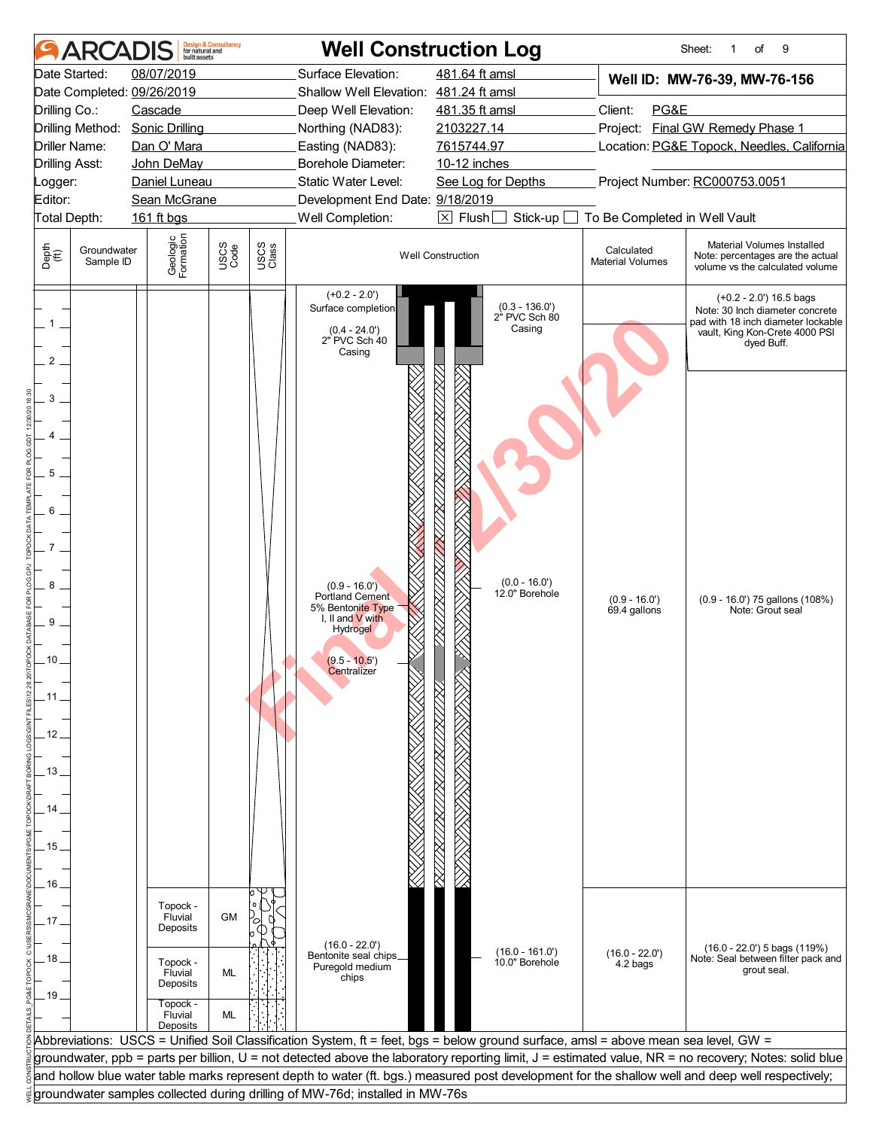|                                        | ARCAD                    | built assets                                                                           | <b>Design &amp; Consultancy</b><br>for natural and |               |                                                                                                           | <b>Well Construction Log</b>                                                                                                       |                                       | Sheet:<br>of<br>9<br>1                                                                                                                                |
|----------------------------------------|--------------------------|----------------------------------------------------------------------------------------|----------------------------------------------------|---------------|-----------------------------------------------------------------------------------------------------------|------------------------------------------------------------------------------------------------------------------------------------|---------------------------------------|-------------------------------------------------------------------------------------------------------------------------------------------------------|
| Drilling Co.:                          | Date Started:            | 08/07/2019<br>Date Completed: 09/26/2019<br>Cascade<br>Drilling Method: Sonic Drilling |                                                    |               | Surface Elevation:<br>Shallow Well Elevation: 481.24 ft amsl<br>Deep Well Elevation:<br>Northing (NAD83): | 481.64 ft amsl<br>481.35 ft amsl<br>2103227.14                                                                                     | Client:<br>PG&E                       | Well ID: MW-76-39, MW-76-156<br>Project: Final GW Remedy Phase 1                                                                                      |
| Driller Name:<br><b>Drilling Asst:</b> |                          | Dan O' Mara<br>John DeMay                                                              |                                                    |               | Easting (NAD83):<br>Borehole Diameter:                                                                    | 7615744.97<br>10-12 inches                                                                                                         |                                       | Location: PG&E Topock, Needles, California                                                                                                            |
| Logger:                                |                          | Daniel Luneau                                                                          |                                                    |               | Static Water Level:                                                                                       | See Log for Depths                                                                                                                 |                                       | Project Number: RC000753.0051                                                                                                                         |
| Editor:                                |                          | Sean McGrane                                                                           |                                                    |               | Development End Date: 9/18/2019                                                                           |                                                                                                                                    |                                       |                                                                                                                                                       |
| Total Depth:                           |                          | 161 ft bgs                                                                             |                                                    |               | Well Completion:                                                                                          | $\boxtimes$ Flush<br>Stick-up                                                                                                      | To Be Completed in Well Vault         |                                                                                                                                                       |
| Depth<br>$\bigoplus_{i=1}^{n}$         | Groundwater<br>Sample ID | Geologic<br>Formation                                                                  | USCS<br>Code                                       | USCS<br>Class |                                                                                                           | <b>Well Construction</b>                                                                                                           | Calculated<br><b>Material Volumes</b> | Material Volumes Installed<br>Note: percentages are the actual<br>volume vs the calculated volume                                                     |
| 2                                      |                          |                                                                                        |                                                    |               | $(+0.2 - 2.0')$<br>Surface completion<br>$(0.4 - 24.0')$<br>$2"$ PVC Sch 40<br>Casing                     | $(0.3 - 136.0)$<br>2" PVC Sch 80<br>Casing                                                                                         |                                       | $(+0.2 - 2.0)$ 16.5 bags<br>Note: 30 Inch diameter concrete<br>pad with 18 inch diameter lockable<br>vault, King Kon-Crete 4000 PSI<br>dyed Buff.     |
| 3                                      |                          |                                                                                        |                                                    |               |                                                                                                           |                                                                                                                                    |                                       |                                                                                                                                                       |
| 5                                      |                          |                                                                                        |                                                    |               |                                                                                                           |                                                                                                                                    |                                       |                                                                                                                                                       |
| 6                                      |                          |                                                                                        |                                                    |               |                                                                                                           |                                                                                                                                    |                                       |                                                                                                                                                       |
| 8<br>9                                 |                          |                                                                                        |                                                    |               | $(0.9 - 16.0')$<br>Portland Cement<br>5% Bentonite Type<br>I, II and V with                               | $(0.0 - 16.0')$<br>12.0" Borehole                                                                                                  | $(0.9 - 16.0')$<br>69.4 gallons       | (0.9 - 16.0') 75 gallons (108%)<br>Note: Grout seal                                                                                                   |
| 10                                     |                          |                                                                                        |                                                    |               | <b>Hydrogel</b><br>$(9.5 - 10.5)$<br>Centralizer                                                          |                                                                                                                                    |                                       |                                                                                                                                                       |
| . 11<br>12                             |                          |                                                                                        |                                                    |               |                                                                                                           |                                                                                                                                    |                                       |                                                                                                                                                       |
| . 13 .                                 |                          |                                                                                        |                                                    |               |                                                                                                           |                                                                                                                                    |                                       |                                                                                                                                                       |
| 14                                     |                          |                                                                                        |                                                    |               |                                                                                                           |                                                                                                                                    |                                       |                                                                                                                                                       |
| 15<br>16                               |                          |                                                                                        |                                                    |               |                                                                                                           |                                                                                                                                    |                                       |                                                                                                                                                       |
| . 17 .                                 |                          | Topock -<br>Fluvial<br>Deposits                                                        | <b>GM</b>                                          |               |                                                                                                           |                                                                                                                                    |                                       |                                                                                                                                                       |
| . 18 .<br>19 <sub>1</sub>              |                          | Topock -<br>Fluvial<br>Deposits                                                        | ML                                                 |               | $(16.0 - 22.0)$<br>Bentonite seal chips_<br>Puregold medium<br>chips                                      | $(16.0 - 161.0)$<br>10.0" Borehole                                                                                                 | $(16.0 - 22.0')$<br>4.2 bags          | $(16.0 - 22.0)$ 5 bags $(119%)$<br>Note: Seal between filter pack and<br>grout seal.                                                                  |
|                                        |                          | Topock -<br>Fluvial<br>Deposits                                                        | ML                                                 |               |                                                                                                           | Abbreviations: USCS = Unified Soil Classification System, ft = feet, bgs = below ground surface, amsl = above mean sea level, GW = |                                       |                                                                                                                                                       |
|                                        |                          |                                                                                        |                                                    |               |                                                                                                           |                                                                                                                                    |                                       | groundwater, ppb = parts per billion, U = not detected above the laboratory reporting limit, J = estimated value, NR = no recovery; Notes: solid blue |
|                                        |                          |                                                                                        |                                                    |               |                                                                                                           |                                                                                                                                    |                                       | and hollow blue water table marks represent depth to water (ft. bgs.) measured post development for the shallow well and deep well respectively;      |
|                                        |                          |                                                                                        |                                                    |               | groundwater samples collected during drilling of MW-76d; installed in MW-76s                              |                                                                                                                                    |                                       |                                                                                                                                                       |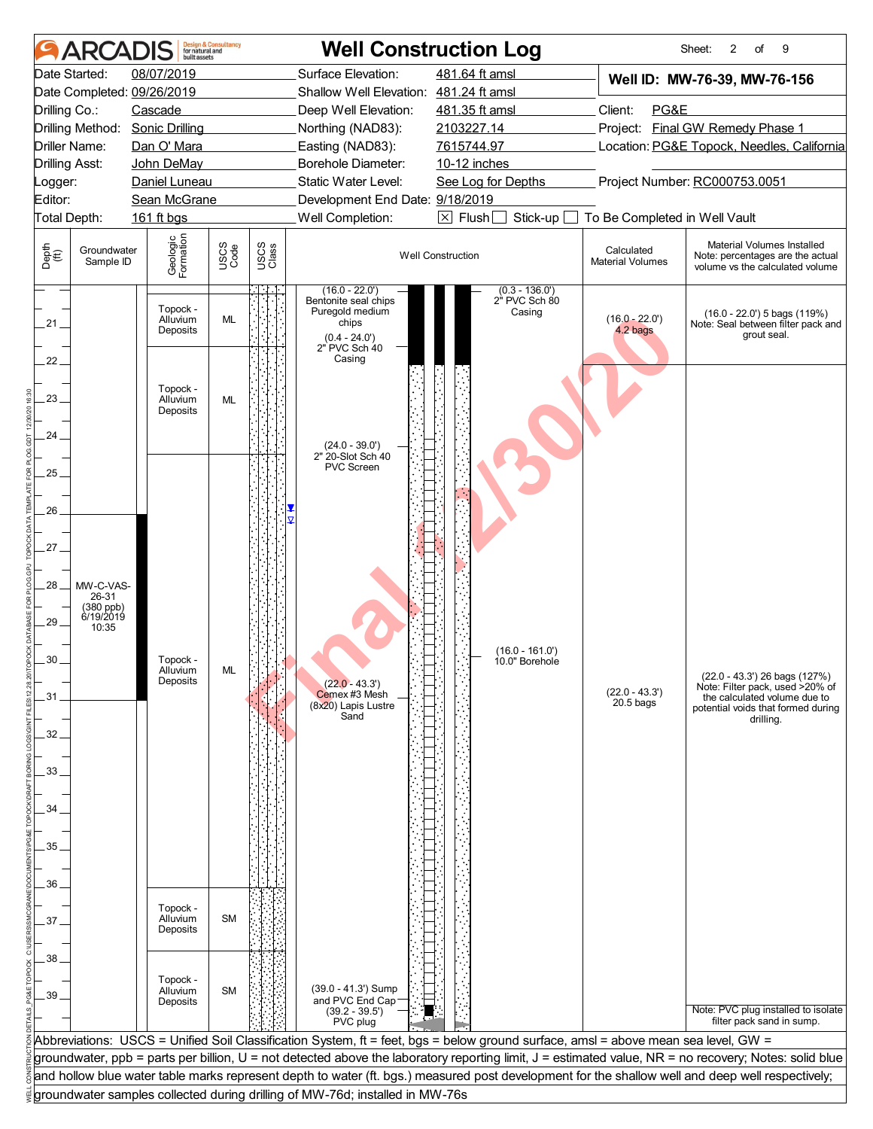| <b>ARCADIS</b>                                                                                                                                    | huilt assets                                                                                 | <b>Design &amp; Consultancy</b><br>for natural and |               | <b>Well Construction Log</b>                                                                                                      |                                                                                                                                                  |                                                                        | 2<br>9<br>Sheet:<br>of                                                                                                                                |  |  |
|---------------------------------------------------------------------------------------------------------------------------------------------------|----------------------------------------------------------------------------------------------|----------------------------------------------------|---------------|-----------------------------------------------------------------------------------------------------------------------------------|--------------------------------------------------------------------------------------------------------------------------------------------------|------------------------------------------------------------------------|-------------------------------------------------------------------------------------------------------------------------------------------------------|--|--|
| Date Started:<br>Date Completed: 09/26/2019<br>Drilling Co.:<br>Drilling Method:                                                                  | 08/07/2019<br>Cascade<br><b>Sonic Drilling</b>                                               |                                                    |               | Surface Elevation:<br>Shallow Well Elevation: 481.24 ft amsl<br>Deep Well Elevation:<br>Northing (NAD83):                         | 481.64 ft amsl<br>481.35 ft amsl<br>2103227.14<br>7615744.97                                                                                     | Client:<br>PG&E                                                        | Well ID: MW-76-39, MW-76-156<br>Project: Final GW Remedy Phase 1<br>Location: PG&E Topock, Needles, California                                        |  |  |
| Driller Name:<br><b>Drilling Asst:</b><br>ogger:<br>Editor:<br>Total Depth:                                                                       | Dan O' Mara<br>John DeMay<br>Daniel Luneau<br>Sean McGrane<br>161 ft bgs                     |                                                    |               | Easting (NAD83):<br>Borehole Diameter:<br>Static Water Level:<br>Development End Date: 9/18/2019<br>Well Completion:              | 10-12 inches<br>See Log for Depths<br>$\boxed{\times}$ Flush<br>Stick-up                                                                         | Project Number: RC000753.0051                                          |                                                                                                                                                       |  |  |
| Depth<br>(ft)<br>Groundwater<br>Sample ID                                                                                                         | Geologic<br>Formation                                                                        | USCS<br>Code                                       | USCS<br>Class |                                                                                                                                   | <b>Well Construction</b>                                                                                                                         | To Be Completed in Well Vault<br>Calculated<br><b>Material Volumes</b> | Material Volumes Installed<br>Note: percentages are the actual<br>volume vs the calculated volume                                                     |  |  |
| 21 <sub>1</sub>                                                                                                                                   | Topock -<br>Alluvium<br>Deposits                                                             | ML                                                 |               | $(16.0 - 22.0')$<br>Bentonite seal chips<br>Puregold medium<br>chips<br>$(0.4 - 24.0')$<br>2" PVC Sch 40                          | $(0.3 - 136.0)$<br>2" PVC Sch 80<br>Casing                                                                                                       | $(16.0 - 22.0')$<br>4.2 bags                                           | $(16.0 - 22.0')$ 5 bags $(119%)$<br>Note: Seal between filter pack and<br>grout seal.                                                                 |  |  |
| 22.<br>23<br>24                                                                                                                                   | Topock -<br>Alluvium<br>Deposits                                                             | ML                                                 |               | Casing<br>$(24.0 - 39.0')$                                                                                                        |                                                                                                                                                  |                                                                        |                                                                                                                                                       |  |  |
| 25.<br>26<br>27<br>28<br>MW-C-VAS-<br>26-31<br>$(380$ ppb)<br>6/19/2019<br>29<br>10:35<br>30<br>31<br>32<br>33.<br>34<br>35.<br>36.<br>37.<br>38. | Topock -<br>Alluvium<br>Deposits<br>Topock -<br>Alluvium<br>Deposits<br>Topock -<br>Alluvium | <b>ML</b><br><b>SM</b><br><b>SM</b>                |               | 2" 20-Slot Sch 40<br><b>PVC Screen</b><br>$(22.0 - 43.3')$<br>Cemex #3 Mesh<br>(8x20) Lapis Lustre<br>Sand<br>(39.0 - 41.3') Sump | $(16.0 - 161.0)$<br>10.0" Borehole                                                                                                               | $(22.0 - 43.3')$<br>$20.5$ bags                                        | (22.0 - 43.3') 26 bags (127%)<br>Note: Filter pack, used >20% of<br>the calculated volume due to<br>potential voids that formed during<br>drilling.   |  |  |
|                                                                                                                                                   | Deposits                                                                                     |                                                    |               | and PVC End Cap-<br>$(39.2 - 39.5')$<br>PVC plug                                                                                  | Abbreviations: USCS = Unified Soil Classification System, ft = feet, bgs = below ground surface, amsl = above mean sea level, GW =               |                                                                        | Note: PVC plug installed to isolate<br>filter pack sand in sump.                                                                                      |  |  |
|                                                                                                                                                   |                                                                                              |                                                    |               |                                                                                                                                   | and hollow blue water table marks represent depth to water (ft. bgs.) measured post development for the shallow well and deep well respectively; |                                                                        | groundwater, ppb = parts per billion, U = not detected above the laboratory reporting limit, J = estimated value, NR = no recovery; Notes: solid blue |  |  |
|                                                                                                                                                   |                                                                                              |                                                    |               | groundwater samples collected during drilling of MW-76d; installed in MW-76s                                                      |                                                                                                                                                  |                                                                        |                                                                                                                                                       |  |  |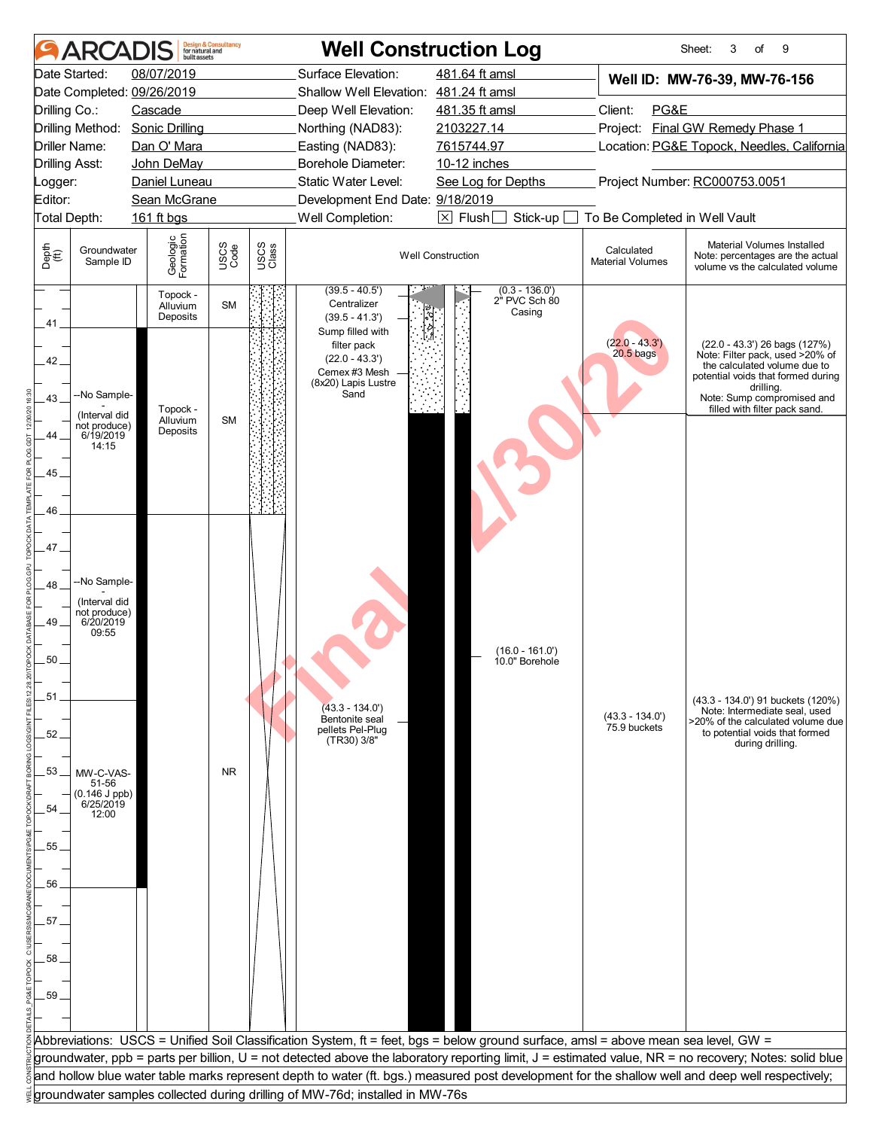|                    | <b>ARCAI</b>                                              |                                                     | <b>Design &amp; Consultancy</b><br>for natural and<br>built assets |               | <b>Well Construction Log</b>                                                         |                                                                                                                                    |                                       | Sheet:<br>3<br>of<br>9                                                                                                                                                                                             |  |
|--------------------|-----------------------------------------------------------|-----------------------------------------------------|--------------------------------------------------------------------|---------------|--------------------------------------------------------------------------------------|------------------------------------------------------------------------------------------------------------------------------------|---------------------------------------|--------------------------------------------------------------------------------------------------------------------------------------------------------------------------------------------------------------------|--|
|                    | Date Started:                                             | 08/07/2019<br>Date Completed: 09/26/2019<br>Cascade |                                                                    |               | Surface Elevation:<br>Shallow Well Elevation: 481.24 ft amsl<br>Deep Well Elevation: | 481.64 ft amsl<br>481.35 ft amsl                                                                                                   | PG&E<br>Client:                       | Well ID: MW-76-39, MW-76-156                                                                                                                                                                                       |  |
| Drilling Co.:      | Driller Name:                                             | Drilling Method: Sonic Drilling<br>Dan O' Mara      |                                                                    |               | Northing (NAD83):<br>Easting (NAD83):                                                | 2103227.14<br>7615744.97                                                                                                           |                                       | Project: Final GW Remedy Phase 1<br>Location: PG&E Topock, Needles, California                                                                                                                                     |  |
| _ogger:<br>Editor: | Drilling Asst:                                            | John DeMay<br>Daniel Luneau<br>Sean McGrane         |                                                                    |               | Borehole Diameter:<br>Static Water Level:<br>Development End Date: 9/18/2019         | 10-12 inches<br>See Log for Depths                                                                                                 | Project Number: RC000753.0051         |                                                                                                                                                                                                                    |  |
|                    | <b>Total Depth:</b>                                       | 161 ft bgs                                          |                                                                    |               | Well Completion:                                                                     | $\boxtimes$ Flush<br>Stick-up                                                                                                      | To Be Completed in Well Vault         |                                                                                                                                                                                                                    |  |
| Depth<br>(ff)      | Groundwater<br>Sample ID                                  | Geologic<br>Formation                               | USCS<br>Code                                                       | USCS<br>Class |                                                                                      | <b>Well Construction</b>                                                                                                           | Calculated<br><b>Material Volumes</b> | Material Volumes Installed<br>Note: percentages are the actual<br>volume vs the calculated volume                                                                                                                  |  |
| 41                 |                                                           | Topock -<br>Alluvium<br>Deposits                    | <b>SM</b>                                                          |               | $(39.5 - 40.5')$<br>Centralizer<br>$(39.5 - 41.3')$<br>Sump filled with              | $(0.3 - 136.0')$<br>2" PVC Sch 80<br>Casing                                                                                        |                                       |                                                                                                                                                                                                                    |  |
| 42.<br>43.         | --No Sample-<br>(Interval did<br>not produce)             | Topock -<br>Alluvium                                | <b>SM</b>                                                          |               | filter pack<br>$(22.0 - 43.3')$<br>Cemex #3 Mesh<br>(8x20) Lapis Lustre<br>Sand      |                                                                                                                                    | $(22.0 - 43.3')$<br>$20.5$ bags       | (22.0 - 43.3') 26 bags (127%)<br>Note: Filter pack, used >20% of<br>the calculated volume due to<br>potential voids that formed during<br>drilling.<br>Note: Sump compromised and<br>filled with filter pack sand. |  |
| 44.<br>45<br>46    | 6/19/2019<br>14:15                                        | Deposits                                            |                                                                    |               |                                                                                      |                                                                                                                                    |                                       |                                                                                                                                                                                                                    |  |
| 47.<br>48          | --No Sample-                                              |                                                     |                                                                    |               |                                                                                      |                                                                                                                                    |                                       |                                                                                                                                                                                                                    |  |
| 49.                | (Interval did<br>not produce)<br>6/20/2019<br>09:55       |                                                     |                                                                    |               |                                                                                      | $(16.0 - 161.0)$                                                                                                                   |                                       |                                                                                                                                                                                                                    |  |
| 50<br>51           |                                                           |                                                     |                                                                    |               |                                                                                      | 10.0" Borehole                                                                                                                     |                                       | (43.3 - 134.0') 91 buckets (120%)                                                                                                                                                                                  |  |
| 52.                |                                                           |                                                     |                                                                    |               | $(43.3 - 134.0')$<br>Bentonite seal<br>pellets Pel-Plug<br>(TR30) 3/8"               |                                                                                                                                    | $(43.3 - 134.0')$<br>75.9 buckets     | Note: Intermediate seal, used<br>>20% of the calculated volume due<br>to potential voids that formed<br>during drilling.                                                                                           |  |
| 53<br>54           | MW-C-VAS-<br>51-56<br>(0.146 J ppb)<br>6/25/2019<br>12:00 |                                                     | <b>NR</b>                                                          |               |                                                                                      |                                                                                                                                    |                                       |                                                                                                                                                                                                                    |  |
| 55.                |                                                           |                                                     |                                                                    |               |                                                                                      |                                                                                                                                    |                                       |                                                                                                                                                                                                                    |  |
| 56.                |                                                           |                                                     |                                                                    |               |                                                                                      |                                                                                                                                    |                                       |                                                                                                                                                                                                                    |  |
| 57.                |                                                           |                                                     |                                                                    |               |                                                                                      |                                                                                                                                    |                                       |                                                                                                                                                                                                                    |  |
| .58.               |                                                           |                                                     |                                                                    |               |                                                                                      |                                                                                                                                    |                                       |                                                                                                                                                                                                                    |  |
| 59                 |                                                           |                                                     |                                                                    |               |                                                                                      |                                                                                                                                    |                                       |                                                                                                                                                                                                                    |  |
|                    |                                                           |                                                     |                                                                    |               |                                                                                      | Abbreviations: USCS = Unified Soil Classification System, ft = feet, bgs = below ground surface, amsl = above mean sea level, GW = |                                       |                                                                                                                                                                                                                    |  |
|                    |                                                           |                                                     |                                                                    |               |                                                                                      |                                                                                                                                    |                                       | groundwater, ppb = parts per billion, U = not detected above the laboratory reporting limit, J = estimated value, NR = no recovery; Notes: solid blue                                                              |  |
|                    |                                                           |                                                     |                                                                    |               |                                                                                      |                                                                                                                                    |                                       | and hollow blue water table marks represent depth to water (ft. bgs.) measured post development for the shallow well and deep well respectively;                                                                   |  |
|                    |                                                           |                                                     |                                                                    |               | groundwater samples collected during drilling of MW-76d; installed in MW-76s         |                                                                                                                                    |                                       |                                                                                                                                                                                                                    |  |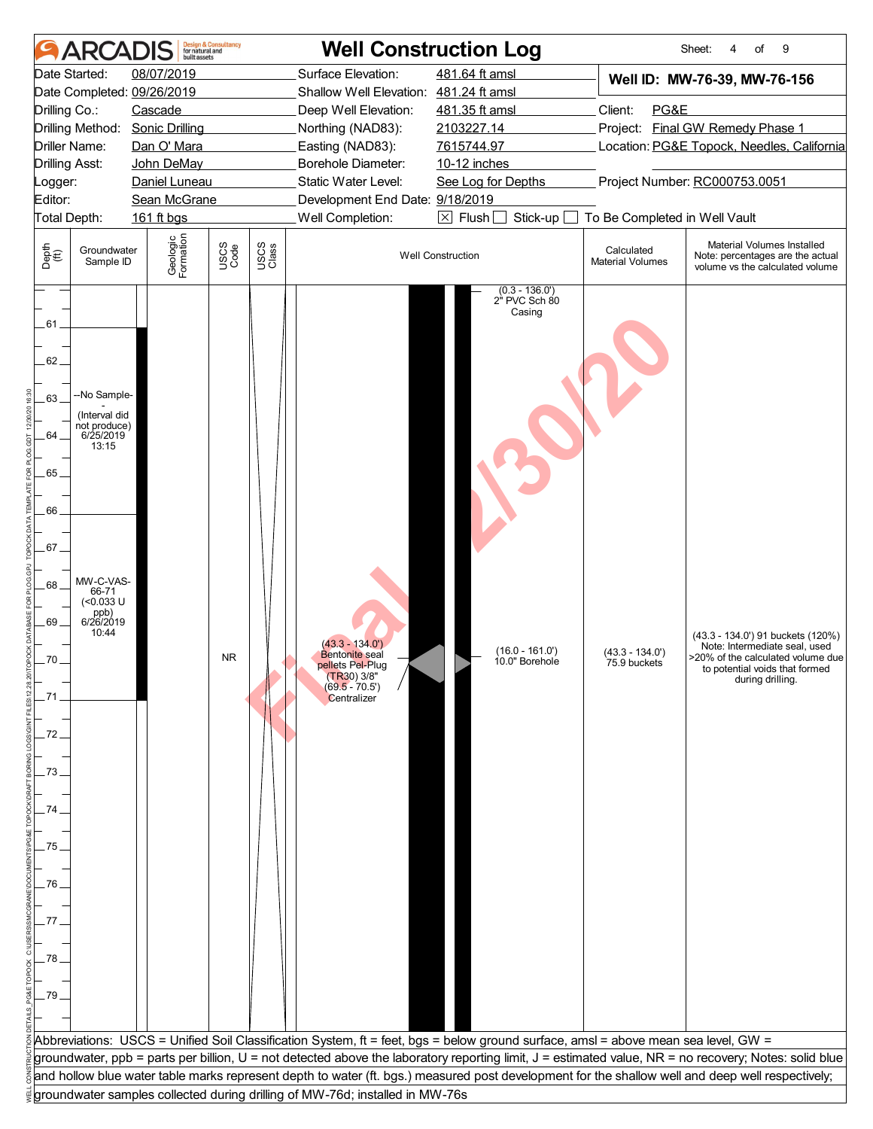|               |                               | built assets                    | <b>Design &amp; Consultancy</b><br>for natural and |               |                                                                              | <b>Well Construction Log</b>                                                                                                       |                                                                                                                                            | Sheet:<br>9<br>4<br>of                                                                                                                                |  |
|---------------|-------------------------------|---------------------------------|----------------------------------------------------|---------------|------------------------------------------------------------------------------|------------------------------------------------------------------------------------------------------------------------------------|--------------------------------------------------------------------------------------------------------------------------------------------|-------------------------------------------------------------------------------------------------------------------------------------------------------|--|
|               | Date Started:                 | 08/07/2019                      |                                                    |               | Surface Elevation:                                                           | 481.64 ft amsl                                                                                                                     |                                                                                                                                            | Well ID: MW-76-39, MW-76-156                                                                                                                          |  |
|               |                               | Date Completed: 09/26/2019      |                                                    |               | Shallow Well Elevation: 481.24 ft amsl                                       |                                                                                                                                    |                                                                                                                                            |                                                                                                                                                       |  |
| Drilling Co.: |                               | Cascade                         |                                                    |               | Deep Well Elevation:                                                         | 481.35 ft amsl                                                                                                                     | Client:<br>PG&E                                                                                                                            |                                                                                                                                                       |  |
|               |                               | Drilling Method: Sonic Drilling |                                                    |               | Northing (NAD83):                                                            | 2103227.14                                                                                                                         |                                                                                                                                            | Project: Final GW Remedy Phase 1                                                                                                                      |  |
|               | Driller Name:                 | Dan O' Mara                     |                                                    |               | Easting (NAD83):                                                             | 7615744.97                                                                                                                         |                                                                                                                                            | Location: PG&E Topock, Needles, California                                                                                                            |  |
|               | <b>Drilling Asst:</b>         | John DeMay                      |                                                    |               | Borehole Diameter:                                                           | 10-12 inches                                                                                                                       |                                                                                                                                            |                                                                                                                                                       |  |
| Logger:       |                               | Daniel Luneau                   |                                                    |               | Static Water Level:                                                          | See Log for Depths                                                                                                                 |                                                                                                                                            | Project Number: RC000753.0051                                                                                                                         |  |
| Editor:       |                               | Sean McGrane                    |                                                    |               | Development End Date: 9/18/2019                                              |                                                                                                                                    |                                                                                                                                            |                                                                                                                                                       |  |
|               | Total Depth:                  | 161 ft bgs                      |                                                    |               | Well Completion:                                                             | $\boxed{\times}$ Flush<br>Stick-up                                                                                                 | To Be Completed in Well Vault                                                                                                              |                                                                                                                                                       |  |
| Depth<br>(ft) | Groundwater<br>Sample ID      | Geologic<br>Formation           | USCS<br>Code                                       | USCS<br>Class |                                                                              | <b>Well Construction</b>                                                                                                           | Material Volumes Installed<br>Calculated<br>Note: percentages are the actual<br><b>Material Volumes</b><br>volume vs the calculated volume |                                                                                                                                                       |  |
| 61<br>62.     |                               |                                 |                                                    |               |                                                                              | $(0.3 - 136.0)$<br>2" PVC Sch 80<br>Casing                                                                                         |                                                                                                                                            |                                                                                                                                                       |  |
| 63            | -No Sample-                   |                                 |                                                    |               |                                                                              |                                                                                                                                    |                                                                                                                                            |                                                                                                                                                       |  |
|               | (Interval did<br>not produce) |                                 |                                                    |               |                                                                              |                                                                                                                                    |                                                                                                                                            |                                                                                                                                                       |  |
| .64.          | 6/25/2019<br>13:15            |                                 |                                                    |               |                                                                              |                                                                                                                                    |                                                                                                                                            |                                                                                                                                                       |  |
|               |                               |                                 |                                                    |               |                                                                              |                                                                                                                                    |                                                                                                                                            |                                                                                                                                                       |  |
| 65            |                               |                                 |                                                    |               |                                                                              |                                                                                                                                    |                                                                                                                                            |                                                                                                                                                       |  |
|               |                               |                                 |                                                    |               |                                                                              |                                                                                                                                    |                                                                                                                                            |                                                                                                                                                       |  |
| 66            |                               |                                 |                                                    |               |                                                                              |                                                                                                                                    |                                                                                                                                            |                                                                                                                                                       |  |
|               |                               |                                 |                                                    |               |                                                                              |                                                                                                                                    |                                                                                                                                            |                                                                                                                                                       |  |
| 67            |                               |                                 |                                                    |               |                                                                              |                                                                                                                                    |                                                                                                                                            |                                                                                                                                                       |  |
|               |                               |                                 |                                                    |               |                                                                              |                                                                                                                                    |                                                                                                                                            |                                                                                                                                                       |  |
| 68            | MW-C-VAS-<br>66-71            |                                 |                                                    |               |                                                                              |                                                                                                                                    |                                                                                                                                            |                                                                                                                                                       |  |
|               | (<0.033 U                     |                                 |                                                    |               |                                                                              |                                                                                                                                    |                                                                                                                                            |                                                                                                                                                       |  |
| .69           | ppb)<br>6/26/2019<br>10:44    |                                 |                                                    |               |                                                                              |                                                                                                                                    |                                                                                                                                            |                                                                                                                                                       |  |
|               |                               |                                 |                                                    |               | $(43.3 - 134.0')$<br><b>Bentonite</b> seal                                   | $(16.0 - 161.0)$                                                                                                                   | $(43.3 - 134.0')$                                                                                                                          | (43.3 - 134.0') 91 buckets (120%)<br>Note: Intermediate seal, used                                                                                    |  |
| 70            |                               |                                 | NR.                                                |               | pellets Pel-Plug                                                             | 10.0" Borehole                                                                                                                     | 75.9 buckets                                                                                                                               | >20% of the calculated volume due<br>to potential voids that formed                                                                                   |  |
|               |                               |                                 |                                                    |               | $(TR30)$ 3/8"<br>(69.5 - 70.5')                                              |                                                                                                                                    |                                                                                                                                            | during drilling.                                                                                                                                      |  |
|               |                               |                                 |                                                    |               | Centralizer                                                                  |                                                                                                                                    |                                                                                                                                            |                                                                                                                                                       |  |
|               |                               |                                 |                                                    |               |                                                                              |                                                                                                                                    |                                                                                                                                            |                                                                                                                                                       |  |
| 72            |                               |                                 |                                                    |               |                                                                              |                                                                                                                                    |                                                                                                                                            |                                                                                                                                                       |  |
|               |                               |                                 |                                                    |               |                                                                              |                                                                                                                                    |                                                                                                                                            |                                                                                                                                                       |  |
| 73            |                               |                                 |                                                    |               |                                                                              |                                                                                                                                    |                                                                                                                                            |                                                                                                                                                       |  |
|               |                               |                                 |                                                    |               |                                                                              |                                                                                                                                    |                                                                                                                                            |                                                                                                                                                       |  |
| 74            |                               |                                 |                                                    |               |                                                                              |                                                                                                                                    |                                                                                                                                            |                                                                                                                                                       |  |
|               |                               |                                 |                                                    |               |                                                                              |                                                                                                                                    |                                                                                                                                            |                                                                                                                                                       |  |
| 75            |                               |                                 |                                                    |               |                                                                              |                                                                                                                                    |                                                                                                                                            |                                                                                                                                                       |  |
|               |                               |                                 |                                                    |               |                                                                              |                                                                                                                                    |                                                                                                                                            |                                                                                                                                                       |  |
| 76            |                               |                                 |                                                    |               |                                                                              |                                                                                                                                    |                                                                                                                                            |                                                                                                                                                       |  |
|               |                               |                                 |                                                    |               |                                                                              |                                                                                                                                    |                                                                                                                                            |                                                                                                                                                       |  |
|               |                               |                                 |                                                    |               |                                                                              |                                                                                                                                    |                                                                                                                                            |                                                                                                                                                       |  |
|               |                               |                                 |                                                    |               |                                                                              |                                                                                                                                    |                                                                                                                                            |                                                                                                                                                       |  |
| .78           |                               |                                 |                                                    |               |                                                                              |                                                                                                                                    |                                                                                                                                            |                                                                                                                                                       |  |
|               |                               |                                 |                                                    |               |                                                                              |                                                                                                                                    |                                                                                                                                            |                                                                                                                                                       |  |
| .79           |                               |                                 |                                                    |               |                                                                              |                                                                                                                                    |                                                                                                                                            |                                                                                                                                                       |  |
|               |                               |                                 |                                                    |               |                                                                              |                                                                                                                                    |                                                                                                                                            |                                                                                                                                                       |  |
|               |                               |                                 |                                                    |               |                                                                              | Abbreviations: USCS = Unified Soil Classification System, ft = feet, bgs = below ground surface, amsl = above mean sea level, GW = |                                                                                                                                            |                                                                                                                                                       |  |
|               |                               |                                 |                                                    |               |                                                                              |                                                                                                                                    |                                                                                                                                            | groundwater, ppb = parts per billion, U = not detected above the laboratory reporting limit, J = estimated value, NR = no recovery; Notes: solid blue |  |
|               |                               |                                 |                                                    |               |                                                                              |                                                                                                                                    |                                                                                                                                            | and hollow blue water table marks represent depth to water (ft. bgs.) measured post development for the shallow well and deep well respectively;      |  |
|               |                               |                                 |                                                    |               | groundwater samples collected during drilling of MW-76d; installed in MW-76s |                                                                                                                                    |                                                                                                                                            |                                                                                                                                                       |  |
|               |                               |                                 |                                                    |               |                                                                              |                                                                                                                                    |                                                                                                                                            |                                                                                                                                                       |  |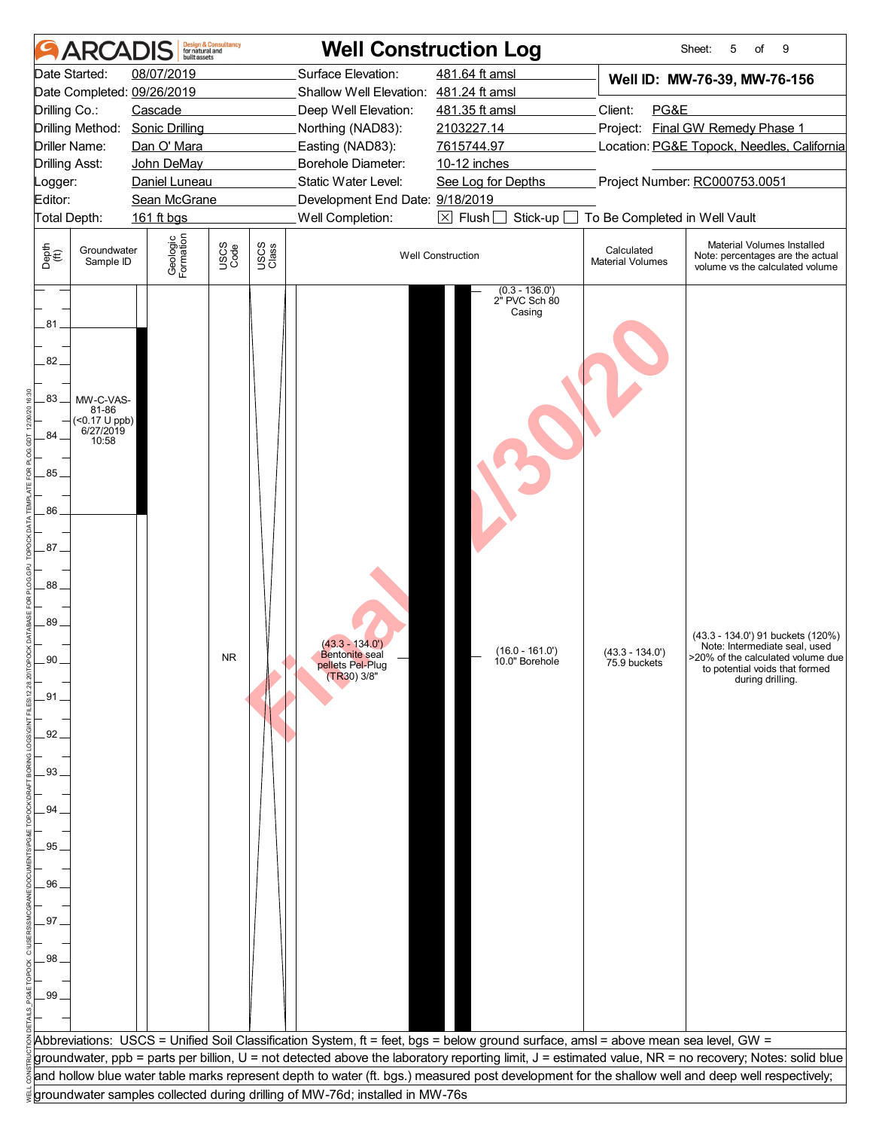|                                                                                                                     |                                                                            | built assets                                                                                                                                                                                | <b>Design &amp; Consultancy</b><br>for natural and |               |                                                                                                                                                                                                                                                               | <b>Well Construction Log</b>                                                                                                                                                                                                                                                                                                                                  |                                   | 5<br>9<br>Sheet:<br>of                                                                                                                                        |  |
|---------------------------------------------------------------------------------------------------------------------|----------------------------------------------------------------------------|---------------------------------------------------------------------------------------------------------------------------------------------------------------------------------------------|----------------------------------------------------|---------------|---------------------------------------------------------------------------------------------------------------------------------------------------------------------------------------------------------------------------------------------------------------|---------------------------------------------------------------------------------------------------------------------------------------------------------------------------------------------------------------------------------------------------------------------------------------------------------------------------------------------------------------|-----------------------------------|---------------------------------------------------------------------------------------------------------------------------------------------------------------|--|
| Drilling Co.:<br><b>Drilling Asst:</b><br>Logger:<br>Editor:<br>Depth<br>(ft)                                       | Date Started:<br>Driller Name:<br>Total Depth:<br>Groundwater<br>Sample ID | 08/07/2019<br>Date Completed: 09/26/2019<br>Cascade<br>Drilling Method: Sonic Drilling<br>Dan O' Mara<br>John DeMay<br>Daniel Luneau<br>Sean McGrane<br>161 ft bgs<br>Geologic<br>Formation | USCS<br>Code                                       | USCS<br>Class | Surface Elevation:<br>Shallow Well Elevation: 481.24 ft amsl<br>Deep Well Elevation:<br>Northing (NAD83):<br>Easting (NAD83):<br>Borehole Diameter:<br>Static Water Level:<br>Development End Date: 9/18/2019<br>Well Completion:<br><b>Well Construction</b> | Well ID: MW-76-39, MW-76-156<br>Client:<br>PG&E<br>Project: Final GW Remedy Phase 1<br>Location: PG&E Topock, Needles, California<br>Project Number: RC000753.0051<br>To Be Completed in Well Vault<br>Stick-up<br>Material Volumes Installed<br>Calculated<br>Note: percentages are the actual<br><b>Material Volumes</b><br>volume vs the calculated volume |                                   |                                                                                                                                                               |  |
| 81<br>82.<br>83<br>84<br>85<br>86<br>87.<br>88<br>.89<br>90<br>.91.<br>92<br>93<br>94<br>95<br>96<br>97<br>98<br>99 | MW-C-VAS-<br>81-86<br>(<0.17 U ppb)<br>6/27/2019<br>10:58                  |                                                                                                                                                                                             | <b>NR</b>                                          |               | $(43.3 - 134.0')$<br><b>Bentonite</b> seal<br>pellets Pel-Plug<br>(TR30) 3/8"                                                                                                                                                                                 | $(0.3 - 136.0)$<br>2" PVC Sch 80<br>Casing<br>$(16.0 - 161.0)$<br>10.0" Borehole                                                                                                                                                                                                                                                                              | $(43.3 - 134.0')$<br>75.9 buckets | (43.3 - 134.0') 91 buckets (120%)<br>Note: Intermediate seal, used<br>>20% of the calculated volume due<br>to potential voids that formed<br>during drilling. |  |
|                                                                                                                     |                                                                            |                                                                                                                                                                                             |                                                    |               | Abbreviations: USCS = Unified Soil Classification System, ft = feet, bgs = below ground surface, amsl = above mean sea level, GW =                                                                                                                            |                                                                                                                                                                                                                                                                                                                                                               |                                   | groundwater, ppb = parts per billion, U = not detected above the laboratory reporting limit, J = estimated value, NR = no recovery; Notes: solid blue         |  |
|                                                                                                                     |                                                                            |                                                                                                                                                                                             |                                                    |               |                                                                                                                                                                                                                                                               |                                                                                                                                                                                                                                                                                                                                                               |                                   | and hollow blue water table marks represent depth to water (ft. bgs.) measured post development for the shallow well and deep well respectively;              |  |
|                                                                                                                     |                                                                            |                                                                                                                                                                                             |                                                    |               | groundwater samples collected during drilling of MW-76d; installed in MW-76s                                                                                                                                                                                  |                                                                                                                                                                                                                                                                                                                                                               |                                   |                                                                                                                                                               |  |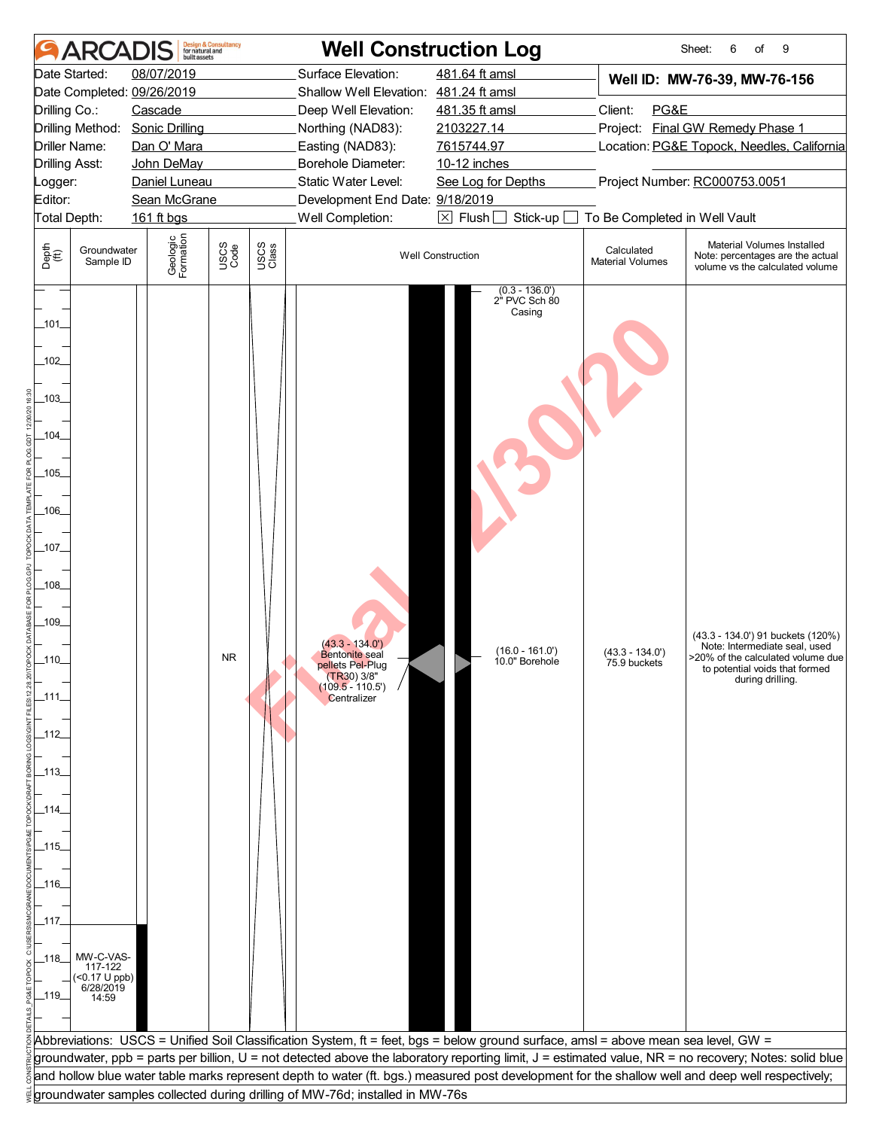| <b>ARCAI</b>                                                                                                                                                                                                                                    | built assets                                                  | <b>Design &amp; Consultancy</b><br>for natural and |               | <b>Well Construction Log</b>                                                                                                  |                                                                                                                                                                                                                         |                                       | Sheet:<br>6<br>of<br>9                                                                                                                                        |  |  |
|-------------------------------------------------------------------------------------------------------------------------------------------------------------------------------------------------------------------------------------------------|---------------------------------------------------------------|----------------------------------------------------|---------------|-------------------------------------------------------------------------------------------------------------------------------|-------------------------------------------------------------------------------------------------------------------------------------------------------------------------------------------------------------------------|---------------------------------------|---------------------------------------------------------------------------------------------------------------------------------------------------------------|--|--|
| Date Started:<br>Date Completed: 09/26/2019<br>Drilling Co.:<br>Drilling Method:<br>Driller Name:                                                                                                                                               | 08/07/2019<br>Cascade<br><b>Sonic Drilling</b><br>Dan O' Mara |                                                    |               | Surface Elevation:<br>Shallow Well Elevation: 481.24 ft amsl<br>Deep Well Elevation:<br>Northing (NAD83):<br>Easting (NAD83): | 481.64 ft amsl<br>481.35 ft amsl<br>2103227.14<br>7615744.97                                                                                                                                                            | Client:<br>PG&E                       | Well ID: MW-76-39, MW-76-156<br>Project: Final GW Remedy Phase 1<br>Location: PG&E Topock, Needles, California                                                |  |  |
| <b>Drilling Asst:</b><br>Logger:                                                                                                                                                                                                                | John DeMay<br>Daniel Luneau                                   |                                                    |               | <b>Borehole Diameter:</b><br>Static Water Level:                                                                              | 10-12 inches<br>Project Number: RC000753.0051<br>See Log for Depths                                                                                                                                                     |                                       |                                                                                                                                                               |  |  |
| Editor:<br>Total Depth:                                                                                                                                                                                                                         | Sean McGrane<br>161 ft bgs                                    |                                                    |               | Development End Date: 9/18/2019<br>Well Completion:                                                                           | $\boxtimes$ Flush<br>Stick-up                                                                                                                                                                                           | To Be Completed in Well Vault         |                                                                                                                                                               |  |  |
| Depth<br>(ff)<br>Groundwater<br>Sample ID                                                                                                                                                                                                       | Geologic<br>Formation                                         | USCS<br>Code                                       | USCS<br>Class |                                                                                                                               | <b>Well Construction</b>                                                                                                                                                                                                | Calculated<br><b>Material Volumes</b> | Material Volumes Installed<br>Note: percentages are the actual<br>volume vs the calculated volume                                                             |  |  |
| _101_<br>$-102$<br>_103_<br>_104_<br>$-105$<br>_106_<br>_107_<br>$-108$<br>$-109$<br>$-110$<br>_111_<br>_112_<br>_113_<br>_114_<br>_115_<br>_116_<br>_117_<br>MW-C-VAS-<br>_118_<br>117-122<br>$($ < 0.17 U ppb)<br>6/28/2019<br>_119_<br>14:59 |                                                               | <b>NR</b>                                          |               | $(43.3 - 134.0')$<br><b>Bentonite</b> seal<br>pellets Pel-Plug<br>$(TR30)$ 3/8"<br>(109.5 - 110.5")<br>Centralizer            | $(0.3 - 136.0')$<br>2" PVC Sch 80<br>Casing<br>$(16.0 - 161.0)$<br>10.0" Borehole<br>Abbreviations: USCS = Unified Soil Classification System, ft = feet, bgs = below ground surface, amsl = above mean sea level, GW = | (43.3 - 134.0')<br>75.9 buckets       | (43.3 - 134.0') 91 buckets (120%)<br>Note: Intermediate seal, used<br>>20% of the calculated volume due<br>to potential voids that formed<br>during drilling. |  |  |
|                                                                                                                                                                                                                                                 |                                                               |                                                    |               |                                                                                                                               |                                                                                                                                                                                                                         |                                       | groundwater, ppb = parts per billion, U = not detected above the laboratory reporting limit, J = estimated value, NR = no recovery; Notes: solid blue         |  |  |
|                                                                                                                                                                                                                                                 |                                                               |                                                    |               |                                                                                                                               |                                                                                                                                                                                                                         |                                       | and hollow blue water table marks represent depth to water (ft. bgs.) measured post development for the shallow well and deep well respectively;              |  |  |
|                                                                                                                                                                                                                                                 |                                                               |                                                    |               | groundwater samples collected during drilling of MW-76d; installed in MW-76s                                                  |                                                                                                                                                                                                                         |                                       |                                                                                                                                                               |  |  |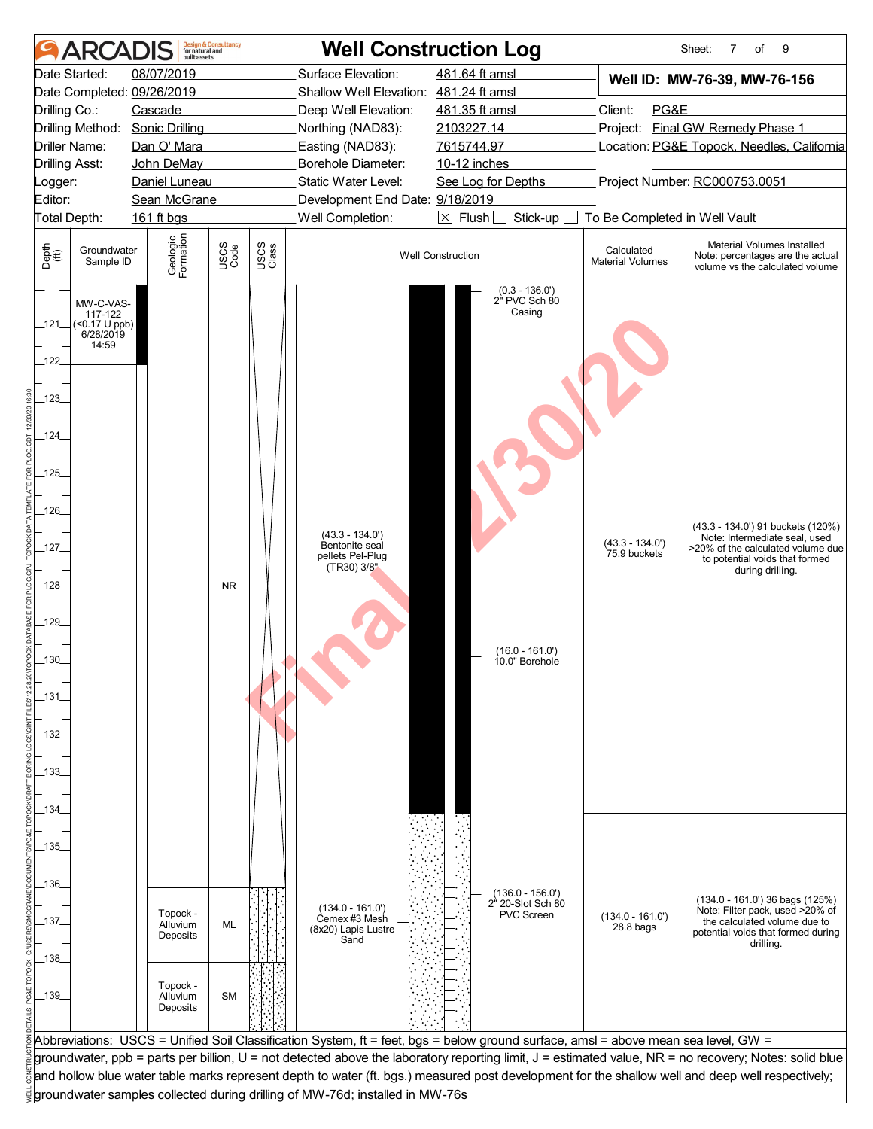|                                                                                                                      | AR                                                             | built assets                     | <b>Design &amp; Consultancy</b><br>for natural and |               | <b>Well Construction Log</b>                                           |                                                                                                                                    |                                       | 9<br>Sheet:<br>7<br>of                                                                                                                                        |  |  |
|----------------------------------------------------------------------------------------------------------------------|----------------------------------------------------------------|----------------------------------|----------------------------------------------------|---------------|------------------------------------------------------------------------|------------------------------------------------------------------------------------------------------------------------------------|---------------------------------------|---------------------------------------------------------------------------------------------------------------------------------------------------------------|--|--|
| Date Started:                                                                                                        |                                                                | 08/07/2019                       |                                                    |               | Surface Elevation:                                                     | 481.64 ft amsl                                                                                                                     |                                       | Well ID: MW-76-39, MW-76-156                                                                                                                                  |  |  |
|                                                                                                                      |                                                                | Date Completed: 09/26/2019       |                                                    |               | Shallow Well Elevation: 481.24 ft amsl                                 |                                                                                                                                    |                                       |                                                                                                                                                               |  |  |
| Drilling Co.:                                                                                                        |                                                                | Cascade                          |                                                    |               | Deep Well Elevation:                                                   | 481.35 ft amsl                                                                                                                     | Client:<br>PG&E                       |                                                                                                                                                               |  |  |
|                                                                                                                      |                                                                | Drilling Method: Sonic Drilling  |                                                    |               | Northing (NAD83):                                                      | 2103227.14                                                                                                                         |                                       | Project: Final GW Remedy Phase 1                                                                                                                              |  |  |
| Driller Name:                                                                                                        |                                                                | Dan O' Mara                      |                                                    |               | Easting (NAD83):                                                       | 7615744.97                                                                                                                         |                                       | Location: PG&E Topock, Needles, California                                                                                                                    |  |  |
| <b>Drilling Asst:</b>                                                                                                |                                                                | John DeMay                       |                                                    |               | Borehole Diameter:                                                     | 10-12 inches                                                                                                                       |                                       |                                                                                                                                                               |  |  |
| Logger:                                                                                                              |                                                                | Daniel Luneau                    |                                                    |               | Static Water Level:                                                    | Project Number: RC000753.0051<br>See Log for Depths                                                                                |                                       |                                                                                                                                                               |  |  |
| Editor:<br>Total Depth:                                                                                              |                                                                | Sean McGrane                     |                                                    |               | Development End Date: 9/18/2019                                        |                                                                                                                                    |                                       |                                                                                                                                                               |  |  |
|                                                                                                                      |                                                                | 161 ft bgs                       |                                                    |               | Well Completion:                                                       | $\boxtimes$ Flush $\Box$<br>Stick-up                                                                                               | To Be Completed in Well Vault         |                                                                                                                                                               |  |  |
| Depth<br>(ff)                                                                                                        | Groundwater<br>Sample ID                                       | Geologic<br>Formation            | USCS<br>Code                                       | USCS<br>Class |                                                                        | <b>Well Construction</b>                                                                                                           | Calculated<br><b>Material Volumes</b> | Material Volumes Installed<br>Note: percentages are the actual<br>volume vs the calculated volume                                                             |  |  |
| _121_<br>122<br>123<br>_124_<br>$-125$<br>_126_<br>$-127$<br>$-128$<br>$-129$<br>$.130 -$<br>$-131-$<br>132<br>_133_ | MW-C-VAS-<br>117-122<br>$($ <0.17 U ppb)<br>6/28/2019<br>14:59 |                                  | <b>NR</b>                                          |               | $(43.3 - 134.0')$<br>Bentonite seal<br>pellets Pel-Plug<br>(TR30) 3/8" | $(0.3 - 136.0)$<br>2" PVC Sch 80<br>Casing<br>$(16.0 - 161.0)$<br>10.0" Borehole                                                   | $(43.3 - 134.0)$<br>75.9 buckets      | (43.3 - 134.0') 91 buckets (120%)<br>Note: Intermediate seal, used<br>>20% of the calculated volume due<br>to potential voids that formed<br>during drilling. |  |  |
| _134_<br>_135_<br>_136_<br>_137_                                                                                     |                                                                | Topock -<br>Alluvium             | ML                                                 |               | $(134.0 - 161.0)$<br>Cemex #3 Mesh                                     | $(136.0 - 156.0)$<br>2 <sup>h</sup> 20-Slot Sch 80<br><b>PVC Screen</b>                                                            | $(134.0 - 161.0)$                     | $(134.0 - 161.0)$ 36 bags $(125%)$<br>Note: Filter pack, used >20% of<br>the calculated volume due to                                                         |  |  |
| _138_                                                                                                                |                                                                | Deposits                         |                                                    |               | (8x20) Lapis Lustre<br>Sand                                            |                                                                                                                                    | 28.8 <sub>bag</sub>                   | potential voids that formed during<br>drilling.                                                                                                               |  |  |
| _139_                                                                                                                |                                                                | Topock -<br>Alluvium<br>Deposits | <b>SM</b>                                          |               |                                                                        |                                                                                                                                    |                                       |                                                                                                                                                               |  |  |
|                                                                                                                      |                                                                |                                  |                                                    |               |                                                                        | Abbreviations: USCS = Unified Soil Classification System, ft = feet, bgs = below ground surface, amsl = above mean sea level, GW = |                                       |                                                                                                                                                               |  |  |
|                                                                                                                      |                                                                |                                  |                                                    |               |                                                                        |                                                                                                                                    |                                       |                                                                                                                                                               |  |  |
|                                                                                                                      |                                                                |                                  |                                                    |               |                                                                        |                                                                                                                                    |                                       | groundwater, ppb = parts per billion, U = not detected above the laboratory reporting limit, J = estimated value, NR = no recovery; Notes: solid blue         |  |  |
|                                                                                                                      |                                                                |                                  |                                                    |               |                                                                        |                                                                                                                                    |                                       | and hollow blue water table marks represent depth to water (ft. bgs.) measured post development for the shallow well and deep well respectively;              |  |  |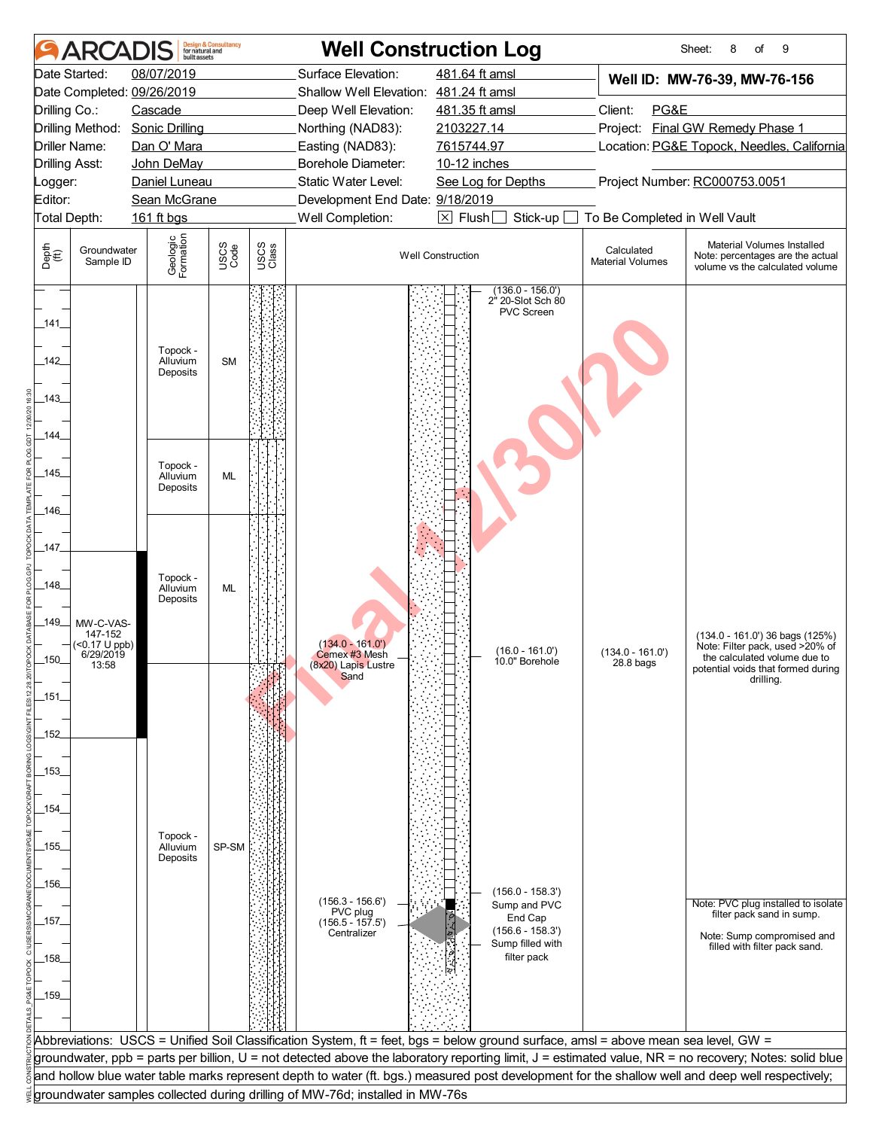| 481.64 ft amsl<br>08/07/2019<br>Surface Elevation:<br>Date Started:<br>Well ID: MW-76-39, MW-76-156<br>Date Completed: 09/26/2019<br>Shallow Well Elevation: 481.24 ft amsl<br>Client:<br>PG&E<br>Drilling Co.:<br>Cascade<br>Deep Well Elevation:<br>481.35 ft amsl<br>Project: Final GW Remedy Phase 1<br>Drilling Method:<br><b>Sonic Drilling</b><br>2103227.14<br>Northing (NAD83):<br>7615744.97<br>Location: PG&E Topock, Needles, California<br>Driller Name:<br>Dan O' Mara<br>Easting (NAD83):<br>Borehole Diameter:<br><b>Drilling Asst:</b><br>John DeMay<br>10-12 inches<br>Static Water Level:<br>Project Number: RC000753.0051<br>Daniel Luneau<br>See Log for Depths<br>Logger:<br>Editor:<br>Development End Date: 9/18/2019<br>Sean McGrane<br>Well Completion:<br>$\boxtimes$ Flush<br>To Be Completed in Well Vault<br>Total Depth:<br>161 ft bgs<br>Stick-up<br>Geologic<br>Formation<br>Material Volumes Installed<br>USCS<br>Code<br>USCS<br>Class<br>Depth<br>$\bigoplus_{i=1}^{n}$<br>Calculated<br>Groundwater<br><b>Well Construction</b><br>Note: percentages are the actual<br><b>Material Volumes</b><br>Sample ID<br>volume vs the calculated volume<br>$(136.0 - 156.0')$<br>2 <sup>h</sup> 20-Slot Sch 80<br>PVC Screen<br>_141_<br>Topock -<br>142<br><b>SM</b><br>Alluvium<br>Deposits<br>$-143$<br>_144_<br>Topock -<br>$-145$<br>Alluvium<br><b>ML</b><br>Deposits<br>_146_<br>_147_<br>Topock -<br>148<br>Alluvium<br>ML<br>Deposits<br>_149_<br>MW-C-VAS-<br>147-152<br>(134.0 - 161.0') 36 bags (125%)<br>$(134.0 - 161.0)$<br>(<0.17 U ppb)<br>Note: Filter pack, used >20% of<br>$(16.0 - 161.0')$<br>$(134.0 - 161.0')$<br>6/29/2019<br>Cemex #3 Mesh<br>the calculated volume due to<br>.150.<br>10.0" Borehole<br>28.8 <sub>bag</sub><br>13:58<br>(8x20) Lapis Lustre<br>potential voids that formed during<br>Sand<br>drilling.<br>_151_<br>_152<br>_153_<br>_154_<br>Topock -<br>SP-SM<br>_155_<br>Alluvium<br>Deposits<br>_156_<br>$(156.0 - 158.3')$<br>$(156.3 - 156.6')$<br>Note: PVC plug installed to isolate<br>Sump and PVC<br>PVC plug<br>filter pack sand in sump.<br>End Cap<br>_157_<br>$(156.5 - 157.5)$<br>$(156.6 - 158.3')$<br>Centralizer<br>Note: Sump compromised and<br>Sump filled with<br>filled with filter pack sand.<br>filter pack<br>_158_<br>$-159$<br>Abbreviations: USCS = Unified Soil Classification System, ft = feet, bgs = below ground surface, amsl = above mean sea level, GW =<br>groundwater, ppb = parts per billion, U = not detected above the laboratory reporting limit, J = estimated value, NR = no recovery; Notes: solid blue<br>and hollow blue water table marks represent depth to water (ft. bgs.) measured post development for the shallow well and deep well respectively;<br>groundwater samples collected during drilling of MW-76d; installed in MW-76s | ARCADIS | built assets | <b>Design &amp; Consultancy</b><br>for natural and |  | <b>Well Construction Log</b> | 8<br>9<br>Sheet:<br>of |
|-------------------------------------------------------------------------------------------------------------------------------------------------------------------------------------------------------------------------------------------------------------------------------------------------------------------------------------------------------------------------------------------------------------------------------------------------------------------------------------------------------------------------------------------------------------------------------------------------------------------------------------------------------------------------------------------------------------------------------------------------------------------------------------------------------------------------------------------------------------------------------------------------------------------------------------------------------------------------------------------------------------------------------------------------------------------------------------------------------------------------------------------------------------------------------------------------------------------------------------------------------------------------------------------------------------------------------------------------------------------------------------------------------------------------------------------------------------------------------------------------------------------------------------------------------------------------------------------------------------------------------------------------------------------------------------------------------------------------------------------------------------------------------------------------------------------------------------------------------------------------------------------------------------------------------------------------------------------------------------------------------------------------------------------------------------------------------------------------------------------------------------------------------------------------------------------------------------------------------------------------------------------------------------------------------------------------------------------------------------------------------------------------------------------------------------------------------------------------------------------------------------------------------------------------------------------------------------------------------------------------------------------------------------------------------------------------------------------------------------------------------------------------------------------------------------------------------------------------------------------|---------|--------------|----------------------------------------------------|--|------------------------------|------------------------|
|                                                                                                                                                                                                                                                                                                                                                                                                                                                                                                                                                                                                                                                                                                                                                                                                                                                                                                                                                                                                                                                                                                                                                                                                                                                                                                                                                                                                                                                                                                                                                                                                                                                                                                                                                                                                                                                                                                                                                                                                                                                                                                                                                                                                                                                                                                                                                                                                                                                                                                                                                                                                                                                                                                                                                                                                                                                                   |         |              |                                                    |  |                              |                        |
|                                                                                                                                                                                                                                                                                                                                                                                                                                                                                                                                                                                                                                                                                                                                                                                                                                                                                                                                                                                                                                                                                                                                                                                                                                                                                                                                                                                                                                                                                                                                                                                                                                                                                                                                                                                                                                                                                                                                                                                                                                                                                                                                                                                                                                                                                                                                                                                                                                                                                                                                                                                                                                                                                                                                                                                                                                                                   |         |              |                                                    |  |                              |                        |
|                                                                                                                                                                                                                                                                                                                                                                                                                                                                                                                                                                                                                                                                                                                                                                                                                                                                                                                                                                                                                                                                                                                                                                                                                                                                                                                                                                                                                                                                                                                                                                                                                                                                                                                                                                                                                                                                                                                                                                                                                                                                                                                                                                                                                                                                                                                                                                                                                                                                                                                                                                                                                                                                                                                                                                                                                                                                   |         |              |                                                    |  |                              |                        |
|                                                                                                                                                                                                                                                                                                                                                                                                                                                                                                                                                                                                                                                                                                                                                                                                                                                                                                                                                                                                                                                                                                                                                                                                                                                                                                                                                                                                                                                                                                                                                                                                                                                                                                                                                                                                                                                                                                                                                                                                                                                                                                                                                                                                                                                                                                                                                                                                                                                                                                                                                                                                                                                                                                                                                                                                                                                                   |         |              |                                                    |  |                              |                        |
|                                                                                                                                                                                                                                                                                                                                                                                                                                                                                                                                                                                                                                                                                                                                                                                                                                                                                                                                                                                                                                                                                                                                                                                                                                                                                                                                                                                                                                                                                                                                                                                                                                                                                                                                                                                                                                                                                                                                                                                                                                                                                                                                                                                                                                                                                                                                                                                                                                                                                                                                                                                                                                                                                                                                                                                                                                                                   |         |              |                                                    |  |                              |                        |
|                                                                                                                                                                                                                                                                                                                                                                                                                                                                                                                                                                                                                                                                                                                                                                                                                                                                                                                                                                                                                                                                                                                                                                                                                                                                                                                                                                                                                                                                                                                                                                                                                                                                                                                                                                                                                                                                                                                                                                                                                                                                                                                                                                                                                                                                                                                                                                                                                                                                                                                                                                                                                                                                                                                                                                                                                                                                   |         |              |                                                    |  |                              |                        |
|                                                                                                                                                                                                                                                                                                                                                                                                                                                                                                                                                                                                                                                                                                                                                                                                                                                                                                                                                                                                                                                                                                                                                                                                                                                                                                                                                                                                                                                                                                                                                                                                                                                                                                                                                                                                                                                                                                                                                                                                                                                                                                                                                                                                                                                                                                                                                                                                                                                                                                                                                                                                                                                                                                                                                                                                                                                                   |         |              |                                                    |  |                              |                        |
|                                                                                                                                                                                                                                                                                                                                                                                                                                                                                                                                                                                                                                                                                                                                                                                                                                                                                                                                                                                                                                                                                                                                                                                                                                                                                                                                                                                                                                                                                                                                                                                                                                                                                                                                                                                                                                                                                                                                                                                                                                                                                                                                                                                                                                                                                                                                                                                                                                                                                                                                                                                                                                                                                                                                                                                                                                                                   |         |              |                                                    |  |                              |                        |
|                                                                                                                                                                                                                                                                                                                                                                                                                                                                                                                                                                                                                                                                                                                                                                                                                                                                                                                                                                                                                                                                                                                                                                                                                                                                                                                                                                                                                                                                                                                                                                                                                                                                                                                                                                                                                                                                                                                                                                                                                                                                                                                                                                                                                                                                                                                                                                                                                                                                                                                                                                                                                                                                                                                                                                                                                                                                   |         |              |                                                    |  |                              |                        |
|                                                                                                                                                                                                                                                                                                                                                                                                                                                                                                                                                                                                                                                                                                                                                                                                                                                                                                                                                                                                                                                                                                                                                                                                                                                                                                                                                                                                                                                                                                                                                                                                                                                                                                                                                                                                                                                                                                                                                                                                                                                                                                                                                                                                                                                                                                                                                                                                                                                                                                                                                                                                                                                                                                                                                                                                                                                                   |         |              |                                                    |  |                              |                        |
|                                                                                                                                                                                                                                                                                                                                                                                                                                                                                                                                                                                                                                                                                                                                                                                                                                                                                                                                                                                                                                                                                                                                                                                                                                                                                                                                                                                                                                                                                                                                                                                                                                                                                                                                                                                                                                                                                                                                                                                                                                                                                                                                                                                                                                                                                                                                                                                                                                                                                                                                                                                                                                                                                                                                                                                                                                                                   |         |              |                                                    |  |                              |                        |
|                                                                                                                                                                                                                                                                                                                                                                                                                                                                                                                                                                                                                                                                                                                                                                                                                                                                                                                                                                                                                                                                                                                                                                                                                                                                                                                                                                                                                                                                                                                                                                                                                                                                                                                                                                                                                                                                                                                                                                                                                                                                                                                                                                                                                                                                                                                                                                                                                                                                                                                                                                                                                                                                                                                                                                                                                                                                   |         |              |                                                    |  |                              |                        |
|                                                                                                                                                                                                                                                                                                                                                                                                                                                                                                                                                                                                                                                                                                                                                                                                                                                                                                                                                                                                                                                                                                                                                                                                                                                                                                                                                                                                                                                                                                                                                                                                                                                                                                                                                                                                                                                                                                                                                                                                                                                                                                                                                                                                                                                                                                                                                                                                                                                                                                                                                                                                                                                                                                                                                                                                                                                                   |         |              |                                                    |  |                              |                        |
|                                                                                                                                                                                                                                                                                                                                                                                                                                                                                                                                                                                                                                                                                                                                                                                                                                                                                                                                                                                                                                                                                                                                                                                                                                                                                                                                                                                                                                                                                                                                                                                                                                                                                                                                                                                                                                                                                                                                                                                                                                                                                                                                                                                                                                                                                                                                                                                                                                                                                                                                                                                                                                                                                                                                                                                                                                                                   |         |              |                                                    |  |                              |                        |
|                                                                                                                                                                                                                                                                                                                                                                                                                                                                                                                                                                                                                                                                                                                                                                                                                                                                                                                                                                                                                                                                                                                                                                                                                                                                                                                                                                                                                                                                                                                                                                                                                                                                                                                                                                                                                                                                                                                                                                                                                                                                                                                                                                                                                                                                                                                                                                                                                                                                                                                                                                                                                                                                                                                                                                                                                                                                   |         |              |                                                    |  |                              |                        |
|                                                                                                                                                                                                                                                                                                                                                                                                                                                                                                                                                                                                                                                                                                                                                                                                                                                                                                                                                                                                                                                                                                                                                                                                                                                                                                                                                                                                                                                                                                                                                                                                                                                                                                                                                                                                                                                                                                                                                                                                                                                                                                                                                                                                                                                                                                                                                                                                                                                                                                                                                                                                                                                                                                                                                                                                                                                                   |         |              |                                                    |  |                              |                        |
|                                                                                                                                                                                                                                                                                                                                                                                                                                                                                                                                                                                                                                                                                                                                                                                                                                                                                                                                                                                                                                                                                                                                                                                                                                                                                                                                                                                                                                                                                                                                                                                                                                                                                                                                                                                                                                                                                                                                                                                                                                                                                                                                                                                                                                                                                                                                                                                                                                                                                                                                                                                                                                                                                                                                                                                                                                                                   |         |              |                                                    |  |                              |                        |
|                                                                                                                                                                                                                                                                                                                                                                                                                                                                                                                                                                                                                                                                                                                                                                                                                                                                                                                                                                                                                                                                                                                                                                                                                                                                                                                                                                                                                                                                                                                                                                                                                                                                                                                                                                                                                                                                                                                                                                                                                                                                                                                                                                                                                                                                                                                                                                                                                                                                                                                                                                                                                                                                                                                                                                                                                                                                   |         |              |                                                    |  |                              |                        |
|                                                                                                                                                                                                                                                                                                                                                                                                                                                                                                                                                                                                                                                                                                                                                                                                                                                                                                                                                                                                                                                                                                                                                                                                                                                                                                                                                                                                                                                                                                                                                                                                                                                                                                                                                                                                                                                                                                                                                                                                                                                                                                                                                                                                                                                                                                                                                                                                                                                                                                                                                                                                                                                                                                                                                                                                                                                                   |         |              |                                                    |  |                              |                        |
|                                                                                                                                                                                                                                                                                                                                                                                                                                                                                                                                                                                                                                                                                                                                                                                                                                                                                                                                                                                                                                                                                                                                                                                                                                                                                                                                                                                                                                                                                                                                                                                                                                                                                                                                                                                                                                                                                                                                                                                                                                                                                                                                                                                                                                                                                                                                                                                                                                                                                                                                                                                                                                                                                                                                                                                                                                                                   |         |              |                                                    |  |                              |                        |
|                                                                                                                                                                                                                                                                                                                                                                                                                                                                                                                                                                                                                                                                                                                                                                                                                                                                                                                                                                                                                                                                                                                                                                                                                                                                                                                                                                                                                                                                                                                                                                                                                                                                                                                                                                                                                                                                                                                                                                                                                                                                                                                                                                                                                                                                                                                                                                                                                                                                                                                                                                                                                                                                                                                                                                                                                                                                   |         |              |                                                    |  |                              |                        |
|                                                                                                                                                                                                                                                                                                                                                                                                                                                                                                                                                                                                                                                                                                                                                                                                                                                                                                                                                                                                                                                                                                                                                                                                                                                                                                                                                                                                                                                                                                                                                                                                                                                                                                                                                                                                                                                                                                                                                                                                                                                                                                                                                                                                                                                                                                                                                                                                                                                                                                                                                                                                                                                                                                                                                                                                                                                                   |         |              |                                                    |  |                              |                        |
|                                                                                                                                                                                                                                                                                                                                                                                                                                                                                                                                                                                                                                                                                                                                                                                                                                                                                                                                                                                                                                                                                                                                                                                                                                                                                                                                                                                                                                                                                                                                                                                                                                                                                                                                                                                                                                                                                                                                                                                                                                                                                                                                                                                                                                                                                                                                                                                                                                                                                                                                                                                                                                                                                                                                                                                                                                                                   |         |              |                                                    |  |                              |                        |
|                                                                                                                                                                                                                                                                                                                                                                                                                                                                                                                                                                                                                                                                                                                                                                                                                                                                                                                                                                                                                                                                                                                                                                                                                                                                                                                                                                                                                                                                                                                                                                                                                                                                                                                                                                                                                                                                                                                                                                                                                                                                                                                                                                                                                                                                                                                                                                                                                                                                                                                                                                                                                                                                                                                                                                                                                                                                   |         |              |                                                    |  |                              |                        |
|                                                                                                                                                                                                                                                                                                                                                                                                                                                                                                                                                                                                                                                                                                                                                                                                                                                                                                                                                                                                                                                                                                                                                                                                                                                                                                                                                                                                                                                                                                                                                                                                                                                                                                                                                                                                                                                                                                                                                                                                                                                                                                                                                                                                                                                                                                                                                                                                                                                                                                                                                                                                                                                                                                                                                                                                                                                                   |         |              |                                                    |  |                              |                        |
|                                                                                                                                                                                                                                                                                                                                                                                                                                                                                                                                                                                                                                                                                                                                                                                                                                                                                                                                                                                                                                                                                                                                                                                                                                                                                                                                                                                                                                                                                                                                                                                                                                                                                                                                                                                                                                                                                                                                                                                                                                                                                                                                                                                                                                                                                                                                                                                                                                                                                                                                                                                                                                                                                                                                                                                                                                                                   |         |              |                                                    |  |                              |                        |
|                                                                                                                                                                                                                                                                                                                                                                                                                                                                                                                                                                                                                                                                                                                                                                                                                                                                                                                                                                                                                                                                                                                                                                                                                                                                                                                                                                                                                                                                                                                                                                                                                                                                                                                                                                                                                                                                                                                                                                                                                                                                                                                                                                                                                                                                                                                                                                                                                                                                                                                                                                                                                                                                                                                                                                                                                                                                   |         |              |                                                    |  |                              |                        |
|                                                                                                                                                                                                                                                                                                                                                                                                                                                                                                                                                                                                                                                                                                                                                                                                                                                                                                                                                                                                                                                                                                                                                                                                                                                                                                                                                                                                                                                                                                                                                                                                                                                                                                                                                                                                                                                                                                                                                                                                                                                                                                                                                                                                                                                                                                                                                                                                                                                                                                                                                                                                                                                                                                                                                                                                                                                                   |         |              |                                                    |  |                              |                        |
|                                                                                                                                                                                                                                                                                                                                                                                                                                                                                                                                                                                                                                                                                                                                                                                                                                                                                                                                                                                                                                                                                                                                                                                                                                                                                                                                                                                                                                                                                                                                                                                                                                                                                                                                                                                                                                                                                                                                                                                                                                                                                                                                                                                                                                                                                                                                                                                                                                                                                                                                                                                                                                                                                                                                                                                                                                                                   |         |              |                                                    |  |                              |                        |
|                                                                                                                                                                                                                                                                                                                                                                                                                                                                                                                                                                                                                                                                                                                                                                                                                                                                                                                                                                                                                                                                                                                                                                                                                                                                                                                                                                                                                                                                                                                                                                                                                                                                                                                                                                                                                                                                                                                                                                                                                                                                                                                                                                                                                                                                                                                                                                                                                                                                                                                                                                                                                                                                                                                                                                                                                                                                   |         |              |                                                    |  |                              |                        |
|                                                                                                                                                                                                                                                                                                                                                                                                                                                                                                                                                                                                                                                                                                                                                                                                                                                                                                                                                                                                                                                                                                                                                                                                                                                                                                                                                                                                                                                                                                                                                                                                                                                                                                                                                                                                                                                                                                                                                                                                                                                                                                                                                                                                                                                                                                                                                                                                                                                                                                                                                                                                                                                                                                                                                                                                                                                                   |         |              |                                                    |  |                              |                        |
|                                                                                                                                                                                                                                                                                                                                                                                                                                                                                                                                                                                                                                                                                                                                                                                                                                                                                                                                                                                                                                                                                                                                                                                                                                                                                                                                                                                                                                                                                                                                                                                                                                                                                                                                                                                                                                                                                                                                                                                                                                                                                                                                                                                                                                                                                                                                                                                                                                                                                                                                                                                                                                                                                                                                                                                                                                                                   |         |              |                                                    |  |                              |                        |
|                                                                                                                                                                                                                                                                                                                                                                                                                                                                                                                                                                                                                                                                                                                                                                                                                                                                                                                                                                                                                                                                                                                                                                                                                                                                                                                                                                                                                                                                                                                                                                                                                                                                                                                                                                                                                                                                                                                                                                                                                                                                                                                                                                                                                                                                                                                                                                                                                                                                                                                                                                                                                                                                                                                                                                                                                                                                   |         |              |                                                    |  |                              |                        |
|                                                                                                                                                                                                                                                                                                                                                                                                                                                                                                                                                                                                                                                                                                                                                                                                                                                                                                                                                                                                                                                                                                                                                                                                                                                                                                                                                                                                                                                                                                                                                                                                                                                                                                                                                                                                                                                                                                                                                                                                                                                                                                                                                                                                                                                                                                                                                                                                                                                                                                                                                                                                                                                                                                                                                                                                                                                                   |         |              |                                                    |  |                              |                        |
|                                                                                                                                                                                                                                                                                                                                                                                                                                                                                                                                                                                                                                                                                                                                                                                                                                                                                                                                                                                                                                                                                                                                                                                                                                                                                                                                                                                                                                                                                                                                                                                                                                                                                                                                                                                                                                                                                                                                                                                                                                                                                                                                                                                                                                                                                                                                                                                                                                                                                                                                                                                                                                                                                                                                                                                                                                                                   |         |              |                                                    |  |                              |                        |
|                                                                                                                                                                                                                                                                                                                                                                                                                                                                                                                                                                                                                                                                                                                                                                                                                                                                                                                                                                                                                                                                                                                                                                                                                                                                                                                                                                                                                                                                                                                                                                                                                                                                                                                                                                                                                                                                                                                                                                                                                                                                                                                                                                                                                                                                                                                                                                                                                                                                                                                                                                                                                                                                                                                                                                                                                                                                   |         |              |                                                    |  |                              |                        |
|                                                                                                                                                                                                                                                                                                                                                                                                                                                                                                                                                                                                                                                                                                                                                                                                                                                                                                                                                                                                                                                                                                                                                                                                                                                                                                                                                                                                                                                                                                                                                                                                                                                                                                                                                                                                                                                                                                                                                                                                                                                                                                                                                                                                                                                                                                                                                                                                                                                                                                                                                                                                                                                                                                                                                                                                                                                                   |         |              |                                                    |  |                              |                        |
|                                                                                                                                                                                                                                                                                                                                                                                                                                                                                                                                                                                                                                                                                                                                                                                                                                                                                                                                                                                                                                                                                                                                                                                                                                                                                                                                                                                                                                                                                                                                                                                                                                                                                                                                                                                                                                                                                                                                                                                                                                                                                                                                                                                                                                                                                                                                                                                                                                                                                                                                                                                                                                                                                                                                                                                                                                                                   |         |              |                                                    |  |                              |                        |
|                                                                                                                                                                                                                                                                                                                                                                                                                                                                                                                                                                                                                                                                                                                                                                                                                                                                                                                                                                                                                                                                                                                                                                                                                                                                                                                                                                                                                                                                                                                                                                                                                                                                                                                                                                                                                                                                                                                                                                                                                                                                                                                                                                                                                                                                                                                                                                                                                                                                                                                                                                                                                                                                                                                                                                                                                                                                   |         |              |                                                    |  |                              |                        |
|                                                                                                                                                                                                                                                                                                                                                                                                                                                                                                                                                                                                                                                                                                                                                                                                                                                                                                                                                                                                                                                                                                                                                                                                                                                                                                                                                                                                                                                                                                                                                                                                                                                                                                                                                                                                                                                                                                                                                                                                                                                                                                                                                                                                                                                                                                                                                                                                                                                                                                                                                                                                                                                                                                                                                                                                                                                                   |         |              |                                                    |  |                              |                        |
|                                                                                                                                                                                                                                                                                                                                                                                                                                                                                                                                                                                                                                                                                                                                                                                                                                                                                                                                                                                                                                                                                                                                                                                                                                                                                                                                                                                                                                                                                                                                                                                                                                                                                                                                                                                                                                                                                                                                                                                                                                                                                                                                                                                                                                                                                                                                                                                                                                                                                                                                                                                                                                                                                                                                                                                                                                                                   |         |              |                                                    |  |                              |                        |
|                                                                                                                                                                                                                                                                                                                                                                                                                                                                                                                                                                                                                                                                                                                                                                                                                                                                                                                                                                                                                                                                                                                                                                                                                                                                                                                                                                                                                                                                                                                                                                                                                                                                                                                                                                                                                                                                                                                                                                                                                                                                                                                                                                                                                                                                                                                                                                                                                                                                                                                                                                                                                                                                                                                                                                                                                                                                   |         |              |                                                    |  |                              |                        |
|                                                                                                                                                                                                                                                                                                                                                                                                                                                                                                                                                                                                                                                                                                                                                                                                                                                                                                                                                                                                                                                                                                                                                                                                                                                                                                                                                                                                                                                                                                                                                                                                                                                                                                                                                                                                                                                                                                                                                                                                                                                                                                                                                                                                                                                                                                                                                                                                                                                                                                                                                                                                                                                                                                                                                                                                                                                                   |         |              |                                                    |  |                              |                        |
|                                                                                                                                                                                                                                                                                                                                                                                                                                                                                                                                                                                                                                                                                                                                                                                                                                                                                                                                                                                                                                                                                                                                                                                                                                                                                                                                                                                                                                                                                                                                                                                                                                                                                                                                                                                                                                                                                                                                                                                                                                                                                                                                                                                                                                                                                                                                                                                                                                                                                                                                                                                                                                                                                                                                                                                                                                                                   |         |              |                                                    |  |                              |                        |
|                                                                                                                                                                                                                                                                                                                                                                                                                                                                                                                                                                                                                                                                                                                                                                                                                                                                                                                                                                                                                                                                                                                                                                                                                                                                                                                                                                                                                                                                                                                                                                                                                                                                                                                                                                                                                                                                                                                                                                                                                                                                                                                                                                                                                                                                                                                                                                                                                                                                                                                                                                                                                                                                                                                                                                                                                                                                   |         |              |                                                    |  |                              |                        |
|                                                                                                                                                                                                                                                                                                                                                                                                                                                                                                                                                                                                                                                                                                                                                                                                                                                                                                                                                                                                                                                                                                                                                                                                                                                                                                                                                                                                                                                                                                                                                                                                                                                                                                                                                                                                                                                                                                                                                                                                                                                                                                                                                                                                                                                                                                                                                                                                                                                                                                                                                                                                                                                                                                                                                                                                                                                                   |         |              |                                                    |  |                              |                        |
|                                                                                                                                                                                                                                                                                                                                                                                                                                                                                                                                                                                                                                                                                                                                                                                                                                                                                                                                                                                                                                                                                                                                                                                                                                                                                                                                                                                                                                                                                                                                                                                                                                                                                                                                                                                                                                                                                                                                                                                                                                                                                                                                                                                                                                                                                                                                                                                                                                                                                                                                                                                                                                                                                                                                                                                                                                                                   |         |              |                                                    |  |                              |                        |
|                                                                                                                                                                                                                                                                                                                                                                                                                                                                                                                                                                                                                                                                                                                                                                                                                                                                                                                                                                                                                                                                                                                                                                                                                                                                                                                                                                                                                                                                                                                                                                                                                                                                                                                                                                                                                                                                                                                                                                                                                                                                                                                                                                                                                                                                                                                                                                                                                                                                                                                                                                                                                                                                                                                                                                                                                                                                   |         |              |                                                    |  |                              |                        |
|                                                                                                                                                                                                                                                                                                                                                                                                                                                                                                                                                                                                                                                                                                                                                                                                                                                                                                                                                                                                                                                                                                                                                                                                                                                                                                                                                                                                                                                                                                                                                                                                                                                                                                                                                                                                                                                                                                                                                                                                                                                                                                                                                                                                                                                                                                                                                                                                                                                                                                                                                                                                                                                                                                                                                                                                                                                                   |         |              |                                                    |  |                              |                        |
|                                                                                                                                                                                                                                                                                                                                                                                                                                                                                                                                                                                                                                                                                                                                                                                                                                                                                                                                                                                                                                                                                                                                                                                                                                                                                                                                                                                                                                                                                                                                                                                                                                                                                                                                                                                                                                                                                                                                                                                                                                                                                                                                                                                                                                                                                                                                                                                                                                                                                                                                                                                                                                                                                                                                                                                                                                                                   |         |              |                                                    |  |                              |                        |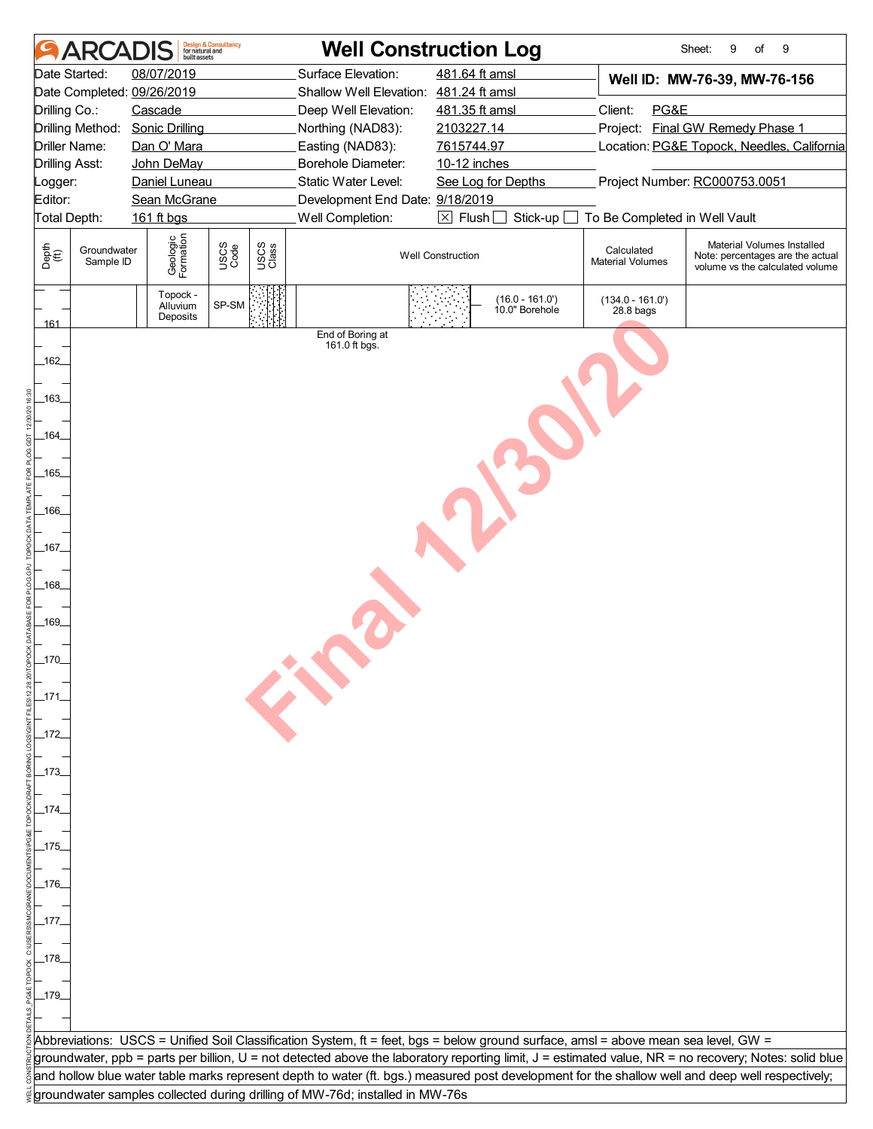|                                                              | <b>ARCA</b>                                        | huilt assets                                                                                                                               | <b>Design &amp; Consultancy</b><br>for natural and |               | <b>Well Construction Log</b>                                                                                                                                                                                         |                                                                                                                                                                                                                                                                                                                                            |                                           | Sheet:<br>9<br>of<br>9                                                                                                                                |  |  |
|--------------------------------------------------------------|----------------------------------------------------|--------------------------------------------------------------------------------------------------------------------------------------------|----------------------------------------------------|---------------|----------------------------------------------------------------------------------------------------------------------------------------------------------------------------------------------------------------------|--------------------------------------------------------------------------------------------------------------------------------------------------------------------------------------------------------------------------------------------------------------------------------------------------------------------------------------------|-------------------------------------------|-------------------------------------------------------------------------------------------------------------------------------------------------------|--|--|
| Drilling Co.:<br><b>Drilling Asst:</b><br>Logger:<br>Editor: | Date Started:<br>Drilling Method:<br>Driller Name: | 08/07/2019<br>Date Completed: 09/26/2019<br>Cascade<br><b>Sonic Drilling</b><br>Dan O' Mara<br>John DeMay<br>Daniel Luneau<br>Sean McGrane |                                                    |               | Surface Elevation:<br>Shallow Well Elevation: 481.24 ft amsl<br>Deep Well Elevation:<br>Northing (NAD83):<br>Easting (NAD83):<br><b>Borehole Diameter:</b><br>Static Water Level:<br>Development End Date: 9/18/2019 | 481.64 ft amsl<br>Well ID: MW-76-39, MW-76-156<br>481.35 ft amsl<br>Client:<br>PG&E<br>Project: Final GW Remedy Phase 1<br>2103227.14<br>7615744.97<br>Location: PG&E Topock, Needles, California<br>10-12 inches<br>Project Number: RC000753.0051<br>See Log for Depths<br>$\boxtimes$ Flush<br>Stick-up<br>To Be Completed in Well Vault |                                           |                                                                                                                                                       |  |  |
| Total Depth:                                                 |                                                    | 161 ft bgs                                                                                                                                 |                                                    |               | Well Completion:                                                                                                                                                                                                     |                                                                                                                                                                                                                                                                                                                                            |                                           |                                                                                                                                                       |  |  |
| Depth<br>(ff)                                                | Groundwater<br>Sample ID                           | Geologic<br>Formation                                                                                                                      | USCS<br>Code                                       | USCS<br>Class |                                                                                                                                                                                                                      | <b>Well Construction</b>                                                                                                                                                                                                                                                                                                                   | Calculated<br><b>Material Volumes</b>     | Material Volumes Installed<br>Note: percentages are the actual<br>volume vs the calculated volume                                                     |  |  |
| 161                                                          |                                                    | Topock -<br>Alluvium<br>Deposits                                                                                                           | SP-SM                                              |               | End of Boring at                                                                                                                                                                                                     | $(16.0 - 161.0)$<br>10.0" Borehole                                                                                                                                                                                                                                                                                                         | $(134.0 - 161.0')$<br>28.8 <sub>bag</sub> |                                                                                                                                                       |  |  |
| 162                                                          |                                                    |                                                                                                                                            |                                                    |               | 161.0 ft bgs.                                                                                                                                                                                                        |                                                                                                                                                                                                                                                                                                                                            |                                           |                                                                                                                                                       |  |  |
| -163<br>_164_                                                |                                                    |                                                                                                                                            |                                                    |               |                                                                                                                                                                                                                      |                                                                                                                                                                                                                                                                                                                                            |                                           |                                                                                                                                                       |  |  |
| $-165$                                                       |                                                    |                                                                                                                                            |                                                    |               |                                                                                                                                                                                                                      |                                                                                                                                                                                                                                                                                                                                            |                                           |                                                                                                                                                       |  |  |
| _166_                                                        |                                                    |                                                                                                                                            |                                                    |               |                                                                                                                                                                                                                      |                                                                                                                                                                                                                                                                                                                                            |                                           |                                                                                                                                                       |  |  |
| _167_<br>$-168$                                              |                                                    |                                                                                                                                            |                                                    |               |                                                                                                                                                                                                                      |                                                                                                                                                                                                                                                                                                                                            |                                           |                                                                                                                                                       |  |  |
| _169_                                                        |                                                    |                                                                                                                                            |                                                    |               |                                                                                                                                                                                                                      |                                                                                                                                                                                                                                                                                                                                            |                                           |                                                                                                                                                       |  |  |
| $-170$                                                       |                                                    |                                                                                                                                            |                                                    |               |                                                                                                                                                                                                                      |                                                                                                                                                                                                                                                                                                                                            |                                           |                                                                                                                                                       |  |  |
| $-171$                                                       |                                                    |                                                                                                                                            |                                                    |               |                                                                                                                                                                                                                      |                                                                                                                                                                                                                                                                                                                                            |                                           |                                                                                                                                                       |  |  |
| _172_<br>_173_                                               |                                                    |                                                                                                                                            |                                                    |               |                                                                                                                                                                                                                      |                                                                                                                                                                                                                                                                                                                                            |                                           |                                                                                                                                                       |  |  |
| $-174$                                                       |                                                    |                                                                                                                                            |                                                    |               |                                                                                                                                                                                                                      |                                                                                                                                                                                                                                                                                                                                            |                                           |                                                                                                                                                       |  |  |
| $-175$                                                       |                                                    |                                                                                                                                            |                                                    |               |                                                                                                                                                                                                                      |                                                                                                                                                                                                                                                                                                                                            |                                           |                                                                                                                                                       |  |  |
| _176_                                                        |                                                    |                                                                                                                                            |                                                    |               |                                                                                                                                                                                                                      |                                                                                                                                                                                                                                                                                                                                            |                                           |                                                                                                                                                       |  |  |
| $-177.$<br>_178_                                             |                                                    |                                                                                                                                            |                                                    |               |                                                                                                                                                                                                                      |                                                                                                                                                                                                                                                                                                                                            |                                           |                                                                                                                                                       |  |  |
| 179                                                          |                                                    |                                                                                                                                            |                                                    |               |                                                                                                                                                                                                                      |                                                                                                                                                                                                                                                                                                                                            |                                           |                                                                                                                                                       |  |  |
|                                                              |                                                    |                                                                                                                                            |                                                    |               |                                                                                                                                                                                                                      | Abbreviations: USCS = Unified Soil Classification System, ft = feet, bgs = below ground surface, amsl = above mean sea level, GW =                                                                                                                                                                                                         |                                           | groundwater, ppb = parts per billion, U = not detected above the laboratory reporting limit, J = estimated value, NR = no recovery; Notes: solid blue |  |  |
|                                                              |                                                    |                                                                                                                                            |                                                    |               | groundwater samples collected during drilling of MW-76d; installed in MW-76s                                                                                                                                         |                                                                                                                                                                                                                                                                                                                                            |                                           | and hollow blue water table marks represent depth to water (ft. bgs.) measured post development for the shallow well and deep well respectively;      |  |  |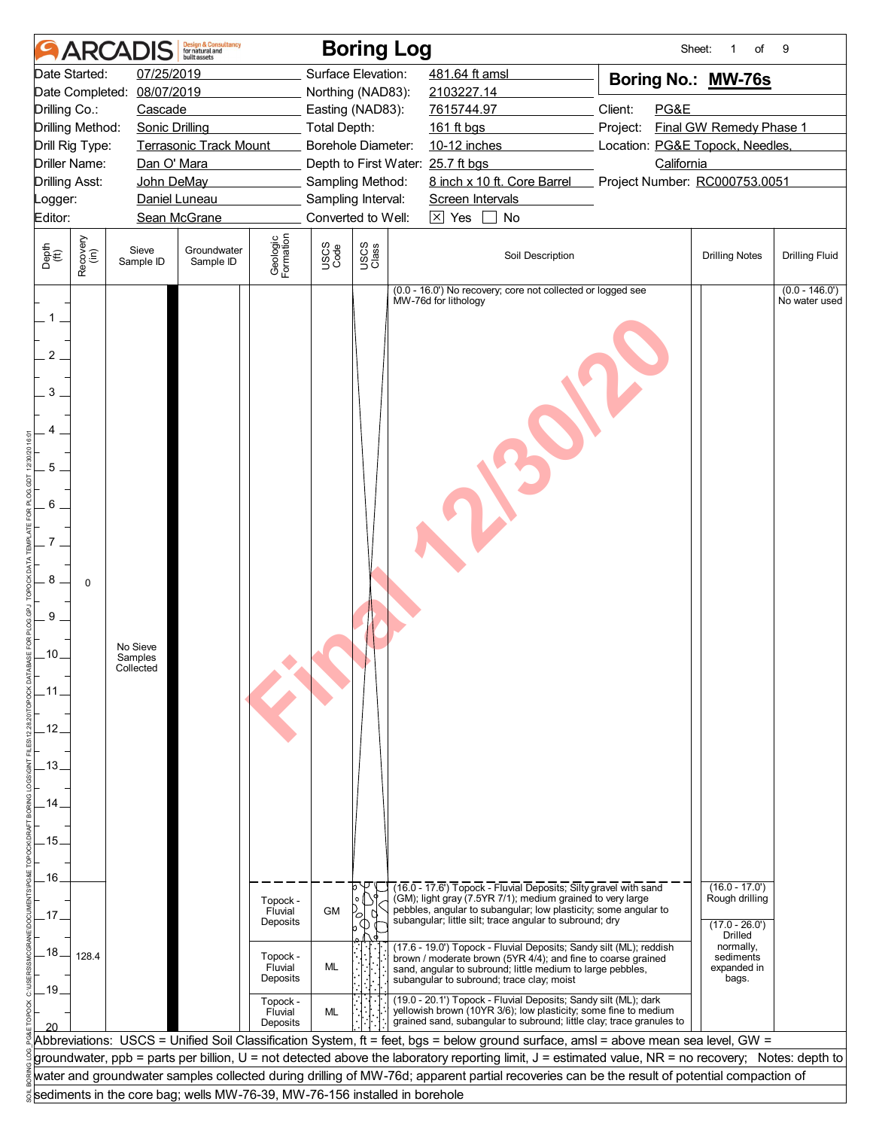| 07/25/2019<br>Surface Elevation:<br>Date Started:<br>481.64 ft amsl<br>Boring No.: MW-76s<br>08/07/2019<br>Date Completed:<br>Northing (NAD83):<br>2103227.14<br>Client:<br>PG&E<br>Drilling Co.:<br>Cascade<br>Easting (NAD83):<br>7615744.97<br>Final GW Remedy Phase 1<br>Drilling Method:<br><b>Sonic Drilling</b><br><b>Total Depth:</b><br>161 ft bgs<br>Project:<br><b>Terrasonic Track Mount</b><br>Borehole Diameter:<br>10-12 inches<br>Location: PG&E Topock, Needles,<br>Drill Rig Type:<br><b>Driller Name:</b><br>California<br>Dan O' Mara<br>Depth to First Water: 25.7 ft bgs<br>8 inch x 10 ft. Core Barrel<br><b>Drilling Asst:</b><br>John DeMay<br>Sampling Method:<br>Project Number: RC000753.0051<br>Daniel Luneau<br>Sampling Interval:<br>Screen Intervals<br>Logger:<br>Converted to Well:<br>$\boxtimes$ Yes<br>Editor:<br>Sean McGrane<br>No<br>Geologic<br>Formation<br>Recovery<br>(in)<br>USCS<br>Class<br>USCS<br>Code<br>Depth<br>$\overset{\text{fft}}{(\text{ft})}$<br>Groundwater<br>Sieve<br>Soil Description<br><b>Drilling Notes</b><br><b>Drilling Fluid</b><br>Sample ID<br>Sample ID<br>$(0.0 - 146.0')$<br>(0.0 - 16.0') No recovery; core not collected or logged see<br>No water used<br>MW-76d for lithology<br>$1$ .<br>2<br>3<br>5<br>6<br>8<br>$\mathbf 0$<br>9<br>No Sieve<br>$-10$<br>Samples<br>Collected<br>.11<br>.12.<br>.13.<br>14<br>.15.<br>.16.<br>$(16.0 - 17.0')$<br>(16.0 - 17.6') Topock - Fluvial Deposits; Silty gravel with sand<br>(GM); light gray (7.5YR 7/1); medium grained to very large<br>Rough drilling<br>Topock -<br>pebbles, angular to subangular; low plasticity; some angular to<br><b>GM</b><br>Fluvial<br>17<br>subangular; little silt; trace angular to subround; dry<br>Deposits<br>$(17.0 - 26.0')$<br><b>Drilled</b><br>normally,<br>(17.6 - 19.0') Topock - Fluvial Deposits; Sandy silt (ML); reddish<br>.18 <sub>1</sub><br>128.4<br>Topock -<br>sediments<br>brown / moderate brown (5YR 4/4); and fine to coarse grained<br>ML<br>Fluvial<br>expanded in<br>sand, angular to subround; little medium to large pebbles,<br>Deposits<br>bags.<br>subangular to subround; trace clay; moist<br>.19.<br>(19.0 - 20.1') Topock - Fluvial Deposits; Sandy silt (ML); dark<br>Topock -<br>yellowish brown (10YR 3/6); low plasticity; some fine to medium<br>ML<br>Fluvial<br>grained sand, subangular to subround; little clay; trace granules to<br>Deposits<br>Abbreviations: USCS = Unified Soil Classification System, ft = feet, bgs = below ground surface, amsl = above mean sea level, GW =<br>groundwater, ppb = parts per billion, U = not detected above the laboratory reporting limit, J = estimated value, NR = no recovery; Notes: depth to<br>water and groundwater samples collected during drilling of MW-76d; apparent partial recoveries can be the result of potential compaction of<br>sediments in the core bag; wells MW-76-39, MW-76-156 installed in borehole |  | <b>ARCADIS</b> | <b>Design &amp; Consultancy</b><br>for natural and<br><b>built</b> assets |  | <b>Boring Log</b> |  | Sheet: | $\mathbf{1}$<br>of | 9 |
|---------------------------------------------------------------------------------------------------------------------------------------------------------------------------------------------------------------------------------------------------------------------------------------------------------------------------------------------------------------------------------------------------------------------------------------------------------------------------------------------------------------------------------------------------------------------------------------------------------------------------------------------------------------------------------------------------------------------------------------------------------------------------------------------------------------------------------------------------------------------------------------------------------------------------------------------------------------------------------------------------------------------------------------------------------------------------------------------------------------------------------------------------------------------------------------------------------------------------------------------------------------------------------------------------------------------------------------------------------------------------------------------------------------------------------------------------------------------------------------------------------------------------------------------------------------------------------------------------------------------------------------------------------------------------------------------------------------------------------------------------------------------------------------------------------------------------------------------------------------------------------------------------------------------------------------------------------------------------------------------------------------------------------------------------------------------------------------------------------------------------------------------------------------------------------------------------------------------------------------------------------------------------------------------------------------------------------------------------------------------------------------------------------------------------------------------------------------------------------------------------------------------------------------------------------------------------------------------------------------------------------------------------------------------------------------------------------------------------------------------------------------------------------------------------------------------------------------------------------------------------------------------------------------------------------------------------------------------------------|--|----------------|---------------------------------------------------------------------------|--|-------------------|--|--------|--------------------|---|
|                                                                                                                                                                                                                                                                                                                                                                                                                                                                                                                                                                                                                                                                                                                                                                                                                                                                                                                                                                                                                                                                                                                                                                                                                                                                                                                                                                                                                                                                                                                                                                                                                                                                                                                                                                                                                                                                                                                                                                                                                                                                                                                                                                                                                                                                                                                                                                                                                                                                                                                                                                                                                                                                                                                                                                                                                                                                                                                                                                                 |  |                |                                                                           |  |                   |  |        |                    |   |
|                                                                                                                                                                                                                                                                                                                                                                                                                                                                                                                                                                                                                                                                                                                                                                                                                                                                                                                                                                                                                                                                                                                                                                                                                                                                                                                                                                                                                                                                                                                                                                                                                                                                                                                                                                                                                                                                                                                                                                                                                                                                                                                                                                                                                                                                                                                                                                                                                                                                                                                                                                                                                                                                                                                                                                                                                                                                                                                                                                                 |  |                |                                                                           |  |                   |  |        |                    |   |
|                                                                                                                                                                                                                                                                                                                                                                                                                                                                                                                                                                                                                                                                                                                                                                                                                                                                                                                                                                                                                                                                                                                                                                                                                                                                                                                                                                                                                                                                                                                                                                                                                                                                                                                                                                                                                                                                                                                                                                                                                                                                                                                                                                                                                                                                                                                                                                                                                                                                                                                                                                                                                                                                                                                                                                                                                                                                                                                                                                                 |  |                |                                                                           |  |                   |  |        |                    |   |
|                                                                                                                                                                                                                                                                                                                                                                                                                                                                                                                                                                                                                                                                                                                                                                                                                                                                                                                                                                                                                                                                                                                                                                                                                                                                                                                                                                                                                                                                                                                                                                                                                                                                                                                                                                                                                                                                                                                                                                                                                                                                                                                                                                                                                                                                                                                                                                                                                                                                                                                                                                                                                                                                                                                                                                                                                                                                                                                                                                                 |  |                |                                                                           |  |                   |  |        |                    |   |
|                                                                                                                                                                                                                                                                                                                                                                                                                                                                                                                                                                                                                                                                                                                                                                                                                                                                                                                                                                                                                                                                                                                                                                                                                                                                                                                                                                                                                                                                                                                                                                                                                                                                                                                                                                                                                                                                                                                                                                                                                                                                                                                                                                                                                                                                                                                                                                                                                                                                                                                                                                                                                                                                                                                                                                                                                                                                                                                                                                                 |  |                |                                                                           |  |                   |  |        |                    |   |
|                                                                                                                                                                                                                                                                                                                                                                                                                                                                                                                                                                                                                                                                                                                                                                                                                                                                                                                                                                                                                                                                                                                                                                                                                                                                                                                                                                                                                                                                                                                                                                                                                                                                                                                                                                                                                                                                                                                                                                                                                                                                                                                                                                                                                                                                                                                                                                                                                                                                                                                                                                                                                                                                                                                                                                                                                                                                                                                                                                                 |  |                |                                                                           |  |                   |  |        |                    |   |
|                                                                                                                                                                                                                                                                                                                                                                                                                                                                                                                                                                                                                                                                                                                                                                                                                                                                                                                                                                                                                                                                                                                                                                                                                                                                                                                                                                                                                                                                                                                                                                                                                                                                                                                                                                                                                                                                                                                                                                                                                                                                                                                                                                                                                                                                                                                                                                                                                                                                                                                                                                                                                                                                                                                                                                                                                                                                                                                                                                                 |  |                |                                                                           |  |                   |  |        |                    |   |
|                                                                                                                                                                                                                                                                                                                                                                                                                                                                                                                                                                                                                                                                                                                                                                                                                                                                                                                                                                                                                                                                                                                                                                                                                                                                                                                                                                                                                                                                                                                                                                                                                                                                                                                                                                                                                                                                                                                                                                                                                                                                                                                                                                                                                                                                                                                                                                                                                                                                                                                                                                                                                                                                                                                                                                                                                                                                                                                                                                                 |  |                |                                                                           |  |                   |  |        |                    |   |
|                                                                                                                                                                                                                                                                                                                                                                                                                                                                                                                                                                                                                                                                                                                                                                                                                                                                                                                                                                                                                                                                                                                                                                                                                                                                                                                                                                                                                                                                                                                                                                                                                                                                                                                                                                                                                                                                                                                                                                                                                                                                                                                                                                                                                                                                                                                                                                                                                                                                                                                                                                                                                                                                                                                                                                                                                                                                                                                                                                                 |  |                |                                                                           |  |                   |  |        |                    |   |
|                                                                                                                                                                                                                                                                                                                                                                                                                                                                                                                                                                                                                                                                                                                                                                                                                                                                                                                                                                                                                                                                                                                                                                                                                                                                                                                                                                                                                                                                                                                                                                                                                                                                                                                                                                                                                                                                                                                                                                                                                                                                                                                                                                                                                                                                                                                                                                                                                                                                                                                                                                                                                                                                                                                                                                                                                                                                                                                                                                                 |  |                |                                                                           |  |                   |  |        |                    |   |
|                                                                                                                                                                                                                                                                                                                                                                                                                                                                                                                                                                                                                                                                                                                                                                                                                                                                                                                                                                                                                                                                                                                                                                                                                                                                                                                                                                                                                                                                                                                                                                                                                                                                                                                                                                                                                                                                                                                                                                                                                                                                                                                                                                                                                                                                                                                                                                                                                                                                                                                                                                                                                                                                                                                                                                                                                                                                                                                                                                                 |  |                |                                                                           |  |                   |  |        |                    |   |
|                                                                                                                                                                                                                                                                                                                                                                                                                                                                                                                                                                                                                                                                                                                                                                                                                                                                                                                                                                                                                                                                                                                                                                                                                                                                                                                                                                                                                                                                                                                                                                                                                                                                                                                                                                                                                                                                                                                                                                                                                                                                                                                                                                                                                                                                                                                                                                                                                                                                                                                                                                                                                                                                                                                                                                                                                                                                                                                                                                                 |  |                |                                                                           |  |                   |  |        |                    |   |
|                                                                                                                                                                                                                                                                                                                                                                                                                                                                                                                                                                                                                                                                                                                                                                                                                                                                                                                                                                                                                                                                                                                                                                                                                                                                                                                                                                                                                                                                                                                                                                                                                                                                                                                                                                                                                                                                                                                                                                                                                                                                                                                                                                                                                                                                                                                                                                                                                                                                                                                                                                                                                                                                                                                                                                                                                                                                                                                                                                                 |  |                |                                                                           |  |                   |  |        |                    |   |
|                                                                                                                                                                                                                                                                                                                                                                                                                                                                                                                                                                                                                                                                                                                                                                                                                                                                                                                                                                                                                                                                                                                                                                                                                                                                                                                                                                                                                                                                                                                                                                                                                                                                                                                                                                                                                                                                                                                                                                                                                                                                                                                                                                                                                                                                                                                                                                                                                                                                                                                                                                                                                                                                                                                                                                                                                                                                                                                                                                                 |  |                |                                                                           |  |                   |  |        |                    |   |
|                                                                                                                                                                                                                                                                                                                                                                                                                                                                                                                                                                                                                                                                                                                                                                                                                                                                                                                                                                                                                                                                                                                                                                                                                                                                                                                                                                                                                                                                                                                                                                                                                                                                                                                                                                                                                                                                                                                                                                                                                                                                                                                                                                                                                                                                                                                                                                                                                                                                                                                                                                                                                                                                                                                                                                                                                                                                                                                                                                                 |  |                |                                                                           |  |                   |  |        |                    |   |
|                                                                                                                                                                                                                                                                                                                                                                                                                                                                                                                                                                                                                                                                                                                                                                                                                                                                                                                                                                                                                                                                                                                                                                                                                                                                                                                                                                                                                                                                                                                                                                                                                                                                                                                                                                                                                                                                                                                                                                                                                                                                                                                                                                                                                                                                                                                                                                                                                                                                                                                                                                                                                                                                                                                                                                                                                                                                                                                                                                                 |  |                |                                                                           |  |                   |  |        |                    |   |
|                                                                                                                                                                                                                                                                                                                                                                                                                                                                                                                                                                                                                                                                                                                                                                                                                                                                                                                                                                                                                                                                                                                                                                                                                                                                                                                                                                                                                                                                                                                                                                                                                                                                                                                                                                                                                                                                                                                                                                                                                                                                                                                                                                                                                                                                                                                                                                                                                                                                                                                                                                                                                                                                                                                                                                                                                                                                                                                                                                                 |  |                |                                                                           |  |                   |  |        |                    |   |
|                                                                                                                                                                                                                                                                                                                                                                                                                                                                                                                                                                                                                                                                                                                                                                                                                                                                                                                                                                                                                                                                                                                                                                                                                                                                                                                                                                                                                                                                                                                                                                                                                                                                                                                                                                                                                                                                                                                                                                                                                                                                                                                                                                                                                                                                                                                                                                                                                                                                                                                                                                                                                                                                                                                                                                                                                                                                                                                                                                                 |  |                |                                                                           |  |                   |  |        |                    |   |
|                                                                                                                                                                                                                                                                                                                                                                                                                                                                                                                                                                                                                                                                                                                                                                                                                                                                                                                                                                                                                                                                                                                                                                                                                                                                                                                                                                                                                                                                                                                                                                                                                                                                                                                                                                                                                                                                                                                                                                                                                                                                                                                                                                                                                                                                                                                                                                                                                                                                                                                                                                                                                                                                                                                                                                                                                                                                                                                                                                                 |  |                |                                                                           |  |                   |  |        |                    |   |
|                                                                                                                                                                                                                                                                                                                                                                                                                                                                                                                                                                                                                                                                                                                                                                                                                                                                                                                                                                                                                                                                                                                                                                                                                                                                                                                                                                                                                                                                                                                                                                                                                                                                                                                                                                                                                                                                                                                                                                                                                                                                                                                                                                                                                                                                                                                                                                                                                                                                                                                                                                                                                                                                                                                                                                                                                                                                                                                                                                                 |  |                |                                                                           |  |                   |  |        |                    |   |
|                                                                                                                                                                                                                                                                                                                                                                                                                                                                                                                                                                                                                                                                                                                                                                                                                                                                                                                                                                                                                                                                                                                                                                                                                                                                                                                                                                                                                                                                                                                                                                                                                                                                                                                                                                                                                                                                                                                                                                                                                                                                                                                                                                                                                                                                                                                                                                                                                                                                                                                                                                                                                                                                                                                                                                                                                                                                                                                                                                                 |  |                |                                                                           |  |                   |  |        |                    |   |
|                                                                                                                                                                                                                                                                                                                                                                                                                                                                                                                                                                                                                                                                                                                                                                                                                                                                                                                                                                                                                                                                                                                                                                                                                                                                                                                                                                                                                                                                                                                                                                                                                                                                                                                                                                                                                                                                                                                                                                                                                                                                                                                                                                                                                                                                                                                                                                                                                                                                                                                                                                                                                                                                                                                                                                                                                                                                                                                                                                                 |  |                |                                                                           |  |                   |  |        |                    |   |
|                                                                                                                                                                                                                                                                                                                                                                                                                                                                                                                                                                                                                                                                                                                                                                                                                                                                                                                                                                                                                                                                                                                                                                                                                                                                                                                                                                                                                                                                                                                                                                                                                                                                                                                                                                                                                                                                                                                                                                                                                                                                                                                                                                                                                                                                                                                                                                                                                                                                                                                                                                                                                                                                                                                                                                                                                                                                                                                                                                                 |  |                |                                                                           |  |                   |  |        |                    |   |
|                                                                                                                                                                                                                                                                                                                                                                                                                                                                                                                                                                                                                                                                                                                                                                                                                                                                                                                                                                                                                                                                                                                                                                                                                                                                                                                                                                                                                                                                                                                                                                                                                                                                                                                                                                                                                                                                                                                                                                                                                                                                                                                                                                                                                                                                                                                                                                                                                                                                                                                                                                                                                                                                                                                                                                                                                                                                                                                                                                                 |  |                |                                                                           |  |                   |  |        |                    |   |
|                                                                                                                                                                                                                                                                                                                                                                                                                                                                                                                                                                                                                                                                                                                                                                                                                                                                                                                                                                                                                                                                                                                                                                                                                                                                                                                                                                                                                                                                                                                                                                                                                                                                                                                                                                                                                                                                                                                                                                                                                                                                                                                                                                                                                                                                                                                                                                                                                                                                                                                                                                                                                                                                                                                                                                                                                                                                                                                                                                                 |  |                |                                                                           |  |                   |  |        |                    |   |
|                                                                                                                                                                                                                                                                                                                                                                                                                                                                                                                                                                                                                                                                                                                                                                                                                                                                                                                                                                                                                                                                                                                                                                                                                                                                                                                                                                                                                                                                                                                                                                                                                                                                                                                                                                                                                                                                                                                                                                                                                                                                                                                                                                                                                                                                                                                                                                                                                                                                                                                                                                                                                                                                                                                                                                                                                                                                                                                                                                                 |  |                |                                                                           |  |                   |  |        |                    |   |
|                                                                                                                                                                                                                                                                                                                                                                                                                                                                                                                                                                                                                                                                                                                                                                                                                                                                                                                                                                                                                                                                                                                                                                                                                                                                                                                                                                                                                                                                                                                                                                                                                                                                                                                                                                                                                                                                                                                                                                                                                                                                                                                                                                                                                                                                                                                                                                                                                                                                                                                                                                                                                                                                                                                                                                                                                                                                                                                                                                                 |  |                |                                                                           |  |                   |  |        |                    |   |
|                                                                                                                                                                                                                                                                                                                                                                                                                                                                                                                                                                                                                                                                                                                                                                                                                                                                                                                                                                                                                                                                                                                                                                                                                                                                                                                                                                                                                                                                                                                                                                                                                                                                                                                                                                                                                                                                                                                                                                                                                                                                                                                                                                                                                                                                                                                                                                                                                                                                                                                                                                                                                                                                                                                                                                                                                                                                                                                                                                                 |  |                |                                                                           |  |                   |  |        |                    |   |
|                                                                                                                                                                                                                                                                                                                                                                                                                                                                                                                                                                                                                                                                                                                                                                                                                                                                                                                                                                                                                                                                                                                                                                                                                                                                                                                                                                                                                                                                                                                                                                                                                                                                                                                                                                                                                                                                                                                                                                                                                                                                                                                                                                                                                                                                                                                                                                                                                                                                                                                                                                                                                                                                                                                                                                                                                                                                                                                                                                                 |  |                |                                                                           |  |                   |  |        |                    |   |
|                                                                                                                                                                                                                                                                                                                                                                                                                                                                                                                                                                                                                                                                                                                                                                                                                                                                                                                                                                                                                                                                                                                                                                                                                                                                                                                                                                                                                                                                                                                                                                                                                                                                                                                                                                                                                                                                                                                                                                                                                                                                                                                                                                                                                                                                                                                                                                                                                                                                                                                                                                                                                                                                                                                                                                                                                                                                                                                                                                                 |  |                |                                                                           |  |                   |  |        |                    |   |
|                                                                                                                                                                                                                                                                                                                                                                                                                                                                                                                                                                                                                                                                                                                                                                                                                                                                                                                                                                                                                                                                                                                                                                                                                                                                                                                                                                                                                                                                                                                                                                                                                                                                                                                                                                                                                                                                                                                                                                                                                                                                                                                                                                                                                                                                                                                                                                                                                                                                                                                                                                                                                                                                                                                                                                                                                                                                                                                                                                                 |  |                |                                                                           |  |                   |  |        |                    |   |
|                                                                                                                                                                                                                                                                                                                                                                                                                                                                                                                                                                                                                                                                                                                                                                                                                                                                                                                                                                                                                                                                                                                                                                                                                                                                                                                                                                                                                                                                                                                                                                                                                                                                                                                                                                                                                                                                                                                                                                                                                                                                                                                                                                                                                                                                                                                                                                                                                                                                                                                                                                                                                                                                                                                                                                                                                                                                                                                                                                                 |  |                |                                                                           |  |                   |  |        |                    |   |
|                                                                                                                                                                                                                                                                                                                                                                                                                                                                                                                                                                                                                                                                                                                                                                                                                                                                                                                                                                                                                                                                                                                                                                                                                                                                                                                                                                                                                                                                                                                                                                                                                                                                                                                                                                                                                                                                                                                                                                                                                                                                                                                                                                                                                                                                                                                                                                                                                                                                                                                                                                                                                                                                                                                                                                                                                                                                                                                                                                                 |  |                |                                                                           |  |                   |  |        |                    |   |
|                                                                                                                                                                                                                                                                                                                                                                                                                                                                                                                                                                                                                                                                                                                                                                                                                                                                                                                                                                                                                                                                                                                                                                                                                                                                                                                                                                                                                                                                                                                                                                                                                                                                                                                                                                                                                                                                                                                                                                                                                                                                                                                                                                                                                                                                                                                                                                                                                                                                                                                                                                                                                                                                                                                                                                                                                                                                                                                                                                                 |  |                |                                                                           |  |                   |  |        |                    |   |
|                                                                                                                                                                                                                                                                                                                                                                                                                                                                                                                                                                                                                                                                                                                                                                                                                                                                                                                                                                                                                                                                                                                                                                                                                                                                                                                                                                                                                                                                                                                                                                                                                                                                                                                                                                                                                                                                                                                                                                                                                                                                                                                                                                                                                                                                                                                                                                                                                                                                                                                                                                                                                                                                                                                                                                                                                                                                                                                                                                                 |  |                |                                                                           |  |                   |  |        |                    |   |
|                                                                                                                                                                                                                                                                                                                                                                                                                                                                                                                                                                                                                                                                                                                                                                                                                                                                                                                                                                                                                                                                                                                                                                                                                                                                                                                                                                                                                                                                                                                                                                                                                                                                                                                                                                                                                                                                                                                                                                                                                                                                                                                                                                                                                                                                                                                                                                                                                                                                                                                                                                                                                                                                                                                                                                                                                                                                                                                                                                                 |  |                |                                                                           |  |                   |  |        |                    |   |
|                                                                                                                                                                                                                                                                                                                                                                                                                                                                                                                                                                                                                                                                                                                                                                                                                                                                                                                                                                                                                                                                                                                                                                                                                                                                                                                                                                                                                                                                                                                                                                                                                                                                                                                                                                                                                                                                                                                                                                                                                                                                                                                                                                                                                                                                                                                                                                                                                                                                                                                                                                                                                                                                                                                                                                                                                                                                                                                                                                                 |  |                |                                                                           |  |                   |  |        |                    |   |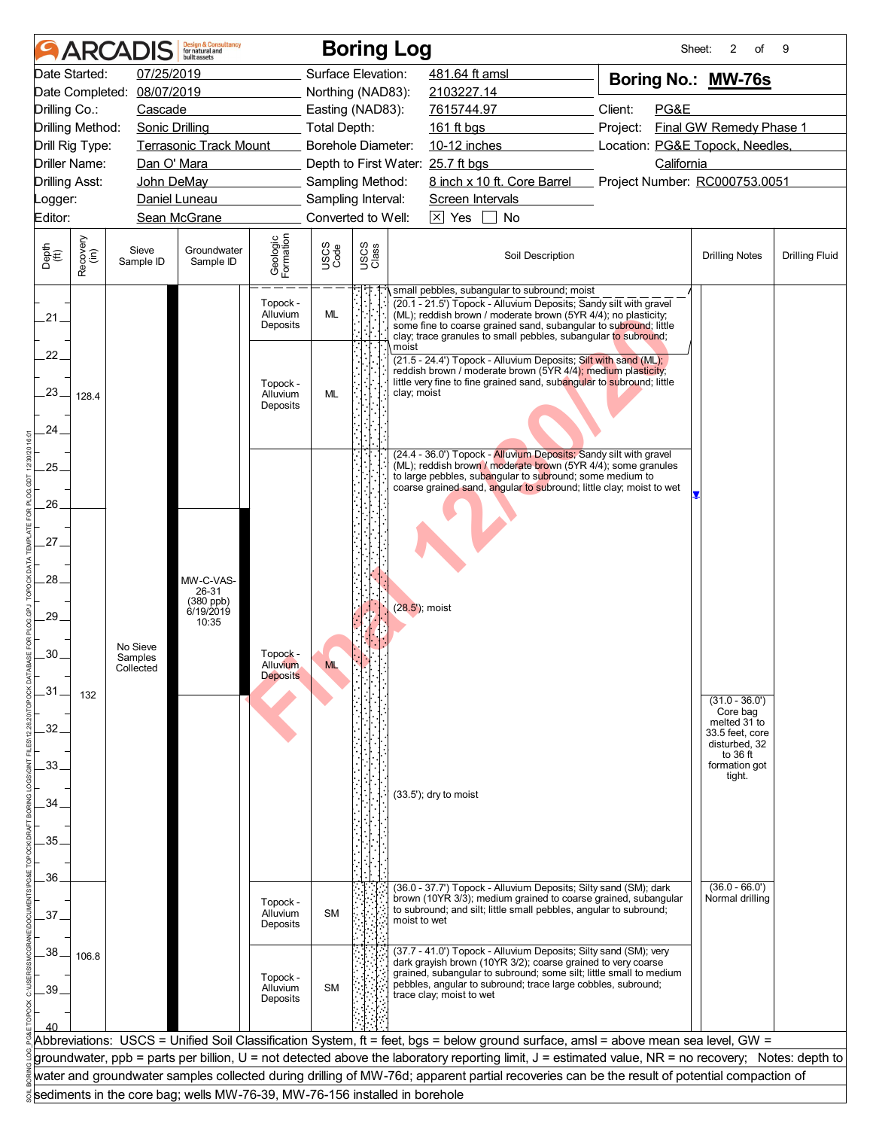|                                              |                  | <b>ARCADIS</b>                   | <b>Design &amp; Consultancy</b><br>for natural and<br>huilt assets |                                  |                     |               | <b>Boring Log</b>                                                                                                                                                                                                                                                                                                         | Sheet:                          | 2<br>of                                      | 9                     |
|----------------------------------------------|------------------|----------------------------------|--------------------------------------------------------------------|----------------------------------|---------------------|---------------|---------------------------------------------------------------------------------------------------------------------------------------------------------------------------------------------------------------------------------------------------------------------------------------------------------------------------|---------------------------------|----------------------------------------------|-----------------------|
|                                              | Date Started:    | 07/25/2019                       |                                                                    |                                  | Surface Elevation:  |               | 481.64 ft amsl                                                                                                                                                                                                                                                                                                            | Boring No.: MW-76s              |                                              |                       |
|                                              |                  | Date Completed: 08/07/2019       |                                                                    |                                  | Northing (NAD83):   |               | 2103227.14                                                                                                                                                                                                                                                                                                                |                                 |                                              |                       |
| Drilling Co.:                                |                  | Cascade                          |                                                                    |                                  | Easting (NAD83):    |               | 7615744.97                                                                                                                                                                                                                                                                                                                | Client:<br>PG&E                 |                                              |                       |
|                                              | Drilling Method: | <b>Sonic Drilling</b>            |                                                                    |                                  | <b>Total Depth:</b> |               | 161 ft bgs                                                                                                                                                                                                                                                                                                                | Project:                        | Final GW Remedy Phase 1                      |                       |
|                                              | Drill Rig Type:  |                                  | Terrasonic Track Mount                                             |                                  | Borehole Diameter:  |               | 10-12 inches                                                                                                                                                                                                                                                                                                              | Location: PG&E Topock, Needles, |                                              |                       |
|                                              | Driller Name:    | Dan O' Mara                      |                                                                    |                                  |                     |               | Depth to First Water: 25.7 ft bgs                                                                                                                                                                                                                                                                                         | California                      |                                              |                       |
| <b>Drilling Asst:</b>                        |                  | John DeMay                       |                                                                    |                                  | Sampling Method:    |               | 8 inch x 10 ft. Core Barrel                                                                                                                                                                                                                                                                                               | Project Number: RC000753.0051   |                                              |                       |
| Logger:                                      |                  |                                  | Daniel Luneau                                                      |                                  | Sampling Interval:  |               | Screen Intervals                                                                                                                                                                                                                                                                                                          |                                 |                                              |                       |
| Editor:                                      |                  |                                  | Sean McGrane                                                       |                                  | Converted to Well:  |               | $\times$ Yes<br>No                                                                                                                                                                                                                                                                                                        |                                 |                                              |                       |
| Depth<br>$\overset{\text{fft}}{(\text{ft})}$ | Recovery<br>(in) | Sieve<br>Sample ID               | Groundwater<br>Sample ID                                           | Geologic<br>Formation            | USCS<br>Code        | USCS<br>Class | Soil Description                                                                                                                                                                                                                                                                                                          |                                 | <b>Drilling Notes</b>                        | <b>Drilling Fluid</b> |
| $21 -$                                       |                  |                                  |                                                                    | Topock -<br>Alluvium<br>Deposits | <b>ML</b>           |               | small pebbles, subangular to subround; moist<br>(20.1 - 21.5') Topock - Alluvium Deposits; Sandy silt with gravel<br>(ML); reddish brown / moderate brown (5YR 4/4); no plasticity;<br>some fine to coarse grained sand, subangular to subround; little<br>clay; trace granules to small pebbles, subangular to subround; |                                 |                                              |                       |
| 22 <sub>1</sub>                              |                  |                                  |                                                                    |                                  |                     |               | moist<br>(21.5 - 24.4') Topock - Alluvium Deposits; Silt with sand (ML);<br>reddish brown / moderate brown (5YR 4/4); medium plasticity;                                                                                                                                                                                  |                                 |                                              |                       |
| 23.                                          | 128.4            |                                  |                                                                    | Topock -<br>Alluvium<br>Deposits | ML                  |               | little very fine to fine grained sand, subangular to subround; little<br>clay; moist                                                                                                                                                                                                                                      |                                 |                                              |                       |
| 24.                                          |                  |                                  |                                                                    |                                  |                     |               |                                                                                                                                                                                                                                                                                                                           |                                 |                                              |                       |
| .25.                                         |                  |                                  |                                                                    |                                  |                     |               | (24.4 - 36.0') Topock - Alluvium Deposits; Sandy silt with gravel<br>(ML); reddish brown / moderate brown (5YR 4/4); some granules<br>to large pebbles, subangular to subround; some medium to                                                                                                                            |                                 |                                              |                       |
| 26.                                          |                  |                                  |                                                                    |                                  |                     |               | coarse grained sand, angular to subround; little clay; moist to wet                                                                                                                                                                                                                                                       |                                 |                                              |                       |
| 27.                                          |                  |                                  |                                                                    |                                  |                     |               |                                                                                                                                                                                                                                                                                                                           |                                 |                                              |                       |
| 28.                                          |                  |                                  | MW-C-VAS-<br>26-31                                                 |                                  |                     |               |                                                                                                                                                                                                                                                                                                                           |                                 |                                              |                       |
| .29.                                         |                  |                                  | (380 ppb)<br>6/19/2019<br>10:35                                    |                                  |                     |               | (28.5'); moist                                                                                                                                                                                                                                                                                                            |                                 |                                              |                       |
| 30                                           |                  | No Sieve<br>Samples<br>Collected |                                                                    | Topock -<br>Alluvium             |                     |               |                                                                                                                                                                                                                                                                                                                           |                                 |                                              |                       |
| $-31$                                        |                  |                                  |                                                                    | <b>Deposits</b>                  |                     |               |                                                                                                                                                                                                                                                                                                                           |                                 |                                              |                       |
| 32.                                          | 132              |                                  |                                                                    |                                  |                     |               |                                                                                                                                                                                                                                                                                                                           |                                 | $(31.0 - 36.0')$<br>Core bag<br>melted 31 to |                       |
|                                              |                  |                                  |                                                                    |                                  |                     |               |                                                                                                                                                                                                                                                                                                                           |                                 | 33.5 feet. core<br>disturbed, 32<br>to 36 ft |                       |
| .33.                                         |                  |                                  |                                                                    |                                  |                     |               |                                                                                                                                                                                                                                                                                                                           |                                 | formation got<br>tight.                      |                       |
| 34.                                          |                  |                                  |                                                                    |                                  |                     |               | (33.5'); dry to moist                                                                                                                                                                                                                                                                                                     |                                 |                                              |                       |
|                                              |                  |                                  |                                                                    |                                  |                     |               |                                                                                                                                                                                                                                                                                                                           |                                 |                                              |                       |
| 35.                                          |                  |                                  |                                                                    |                                  |                     |               |                                                                                                                                                                                                                                                                                                                           |                                 |                                              |                       |
|                                              |                  |                                  |                                                                    |                                  |                     |               |                                                                                                                                                                                                                                                                                                                           |                                 |                                              |                       |
| .36.                                         |                  |                                  |                                                                    |                                  |                     |               | (36.0 - 37.7') Topock - Alluvium Deposits; Silty sand (SM); dark                                                                                                                                                                                                                                                          |                                 | $(36.0 - 66.0')$                             |                       |
|                                              |                  |                                  |                                                                    | Topock -                         |                     |               | brown (10YR 3/3); medium grained to coarse grained, subangular                                                                                                                                                                                                                                                            |                                 | Normal drilling                              |                       |
| 37.                                          |                  |                                  |                                                                    | Alluvium<br>Deposits             | <b>SM</b>           |               | to subround; and silt; little small pebbles, angular to subround;<br>moist to wet                                                                                                                                                                                                                                         |                                 |                                              |                       |
| .38.                                         |                  |                                  |                                                                    |                                  |                     |               | (37.7 - 41.0') Topock - Alluvium Deposits; Silty sand (SM); very                                                                                                                                                                                                                                                          |                                 |                                              |                       |
|                                              | 106.8            |                                  |                                                                    | Topock -                         |                     |               | dark grayish brown (10YR 3/2); coarse grained to very coarse<br>grained, subangular to subround; some silt; little small to medium                                                                                                                                                                                        |                                 |                                              |                       |
| 39                                           |                  |                                  |                                                                    | Alluvium                         | <b>SM</b>           |               | pebbles, angular to subround; trace large cobbles, subround;<br>trace clay; moist to wet                                                                                                                                                                                                                                  |                                 |                                              |                       |
|                                              |                  |                                  |                                                                    | Deposits                         |                     |               |                                                                                                                                                                                                                                                                                                                           |                                 |                                              |                       |
|                                              |                  |                                  |                                                                    |                                  |                     |               |                                                                                                                                                                                                                                                                                                                           |                                 |                                              |                       |
|                                              |                  |                                  |                                                                    |                                  |                     |               | Abbreviations: USCS = Unified Soil Classification System, ft = feet, bgs = below ground surface, amsl = above mean sea level, GW =                                                                                                                                                                                        |                                 |                                              |                       |
|                                              |                  |                                  |                                                                    |                                  |                     |               | groundwater, ppb = parts per billion, U = not detected above the laboratory reporting limit, J = estimated value, NR = no recovery; Notes: depth to                                                                                                                                                                       |                                 |                                              |                       |
|                                              |                  |                                  |                                                                    |                                  |                     |               | water and groundwater samples collected during drilling of MW-76d; apparent partial recoveries can be the result of potential compaction of                                                                                                                                                                               |                                 |                                              |                       |
|                                              |                  |                                  |                                                                    |                                  |                     |               | sediments in the core bag; wells MW-76-39, MW-76-156 installed in borehole                                                                                                                                                                                                                                                |                                 |                                              |                       |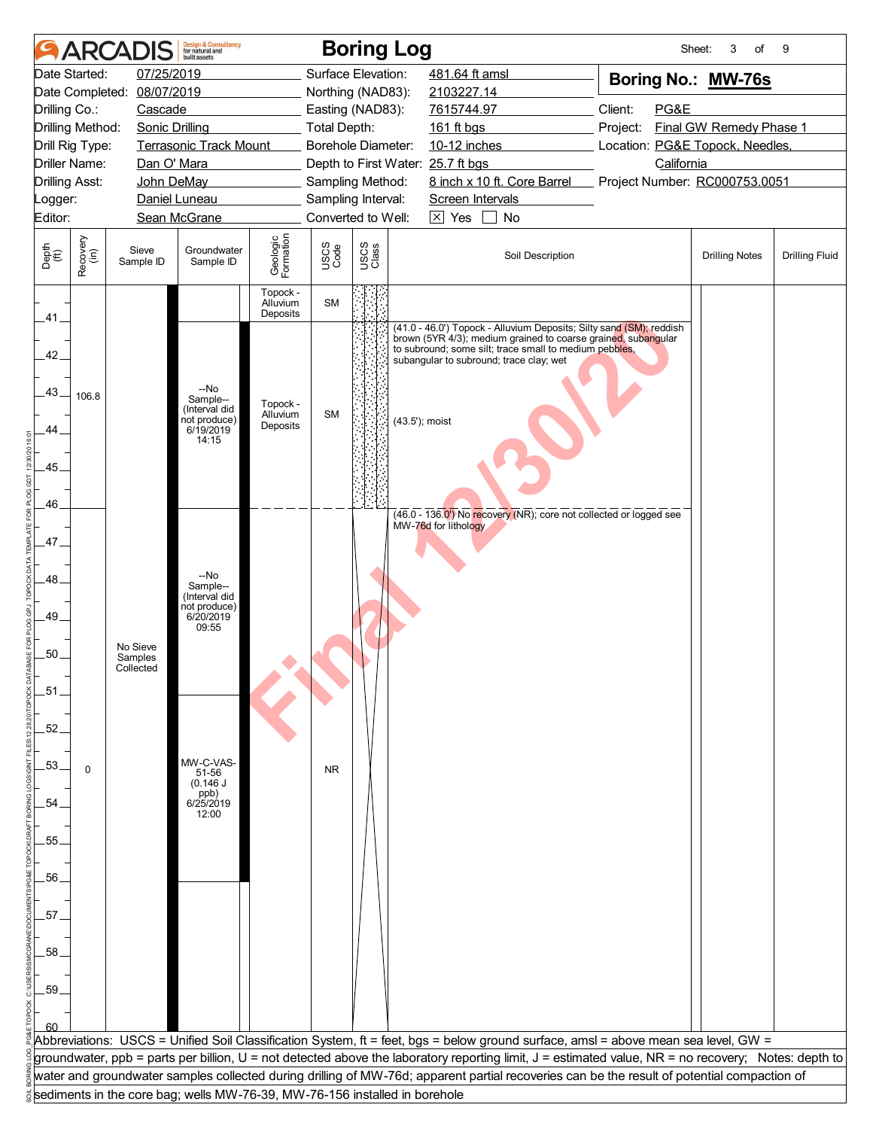|                             |                      | <b>ARCADIS</b>             | <b>Design &amp; Consultancy</b><br>for natural and<br>huilt assets             |                                  |              | <b>Boring Log</b>                 |                                                                                                                                                     | Sheet:                          | 3<br>of                 | 9                     |
|-----------------------------|----------------------|----------------------------|--------------------------------------------------------------------------------|----------------------------------|--------------|-----------------------------------|-----------------------------------------------------------------------------------------------------------------------------------------------------|---------------------------------|-------------------------|-----------------------|
|                             | Date Started:        | 07/25/2019                 |                                                                                |                                  |              | Surface Elevation:                | 481.64 ft amsl                                                                                                                                      | Boring No.: MW-76s              |                         |                       |
|                             |                      | Date Completed: 08/07/2019 |                                                                                |                                  |              | Northing (NAD83):                 | 2103227.14                                                                                                                                          |                                 |                         |                       |
| Drilling Co.:               |                      | Cascade                    |                                                                                |                                  |              | Easting (NAD83):                  | 7615744.97                                                                                                                                          | Client:<br>PG&E                 |                         |                       |
|                             | Drilling Method:     | <b>Sonic Drilling</b>      |                                                                                |                                  | Total Depth: |                                   | 161 ft bgs                                                                                                                                          | Project:                        | Final GW Remedy Phase 1 |                       |
|                             | Drill Rig Type:      |                            | Terrasonic Track Mount                                                         |                                  |              | Borehole Diameter:                | 10-12 inches                                                                                                                                        | Location: PG&E Topock, Needles, |                         |                       |
|                             | <b>Driller Name:</b> | Dan O' Mara                |                                                                                |                                  |              | Depth to First Water: 25.7 ft bgs |                                                                                                                                                     | California                      |                         |                       |
| <b>Drilling Asst:</b>       |                      | John DeMay                 |                                                                                |                                  |              | Sampling Method:                  | 8 inch x 10 ft. Core Barrel                                                                                                                         | Project Number: RC000753.0051   |                         |                       |
| Logger:                     |                      |                            | Daniel Luneau                                                                  |                                  |              | Sampling Interval:                | Screen Intervals                                                                                                                                    |                                 |                         |                       |
| Editor:                     |                      |                            | Sean McGrane                                                                   |                                  |              | Converted to Well:                | $\boxtimes$ Yes<br>$\blacksquare$<br>No                                                                                                             |                                 |                         |                       |
| Depth<br>$\widetilde{f(t)}$ | Recovery<br>(in)     | Sieve<br>Sample ID         | Groundwater<br>Sample ID                                                       | Geologic<br>Formation            | USCS<br>Code | USCS<br>Class                     | Soil Description                                                                                                                                    |                                 | <b>Drilling Notes</b>   | <b>Drilling Fluid</b> |
|                             |                      |                            |                                                                                | Topock -<br>Alluvium<br>Deposits | <b>SM</b>    |                                   |                                                                                                                                                     |                                 |                         |                       |
| .41.                        |                      |                            |                                                                                |                                  |              |                                   | (41.0 - 46.0') Topock - Alluvium Deposits; Silty sand (SM); reddish<br>brown (5YR 4/3); medium grained to coarse grained, subangular                |                                 |                         |                       |
| 42                          |                      |                            |                                                                                |                                  |              |                                   | to subround; some silt; trace small to medium pebbles,<br>subangular to subround; trace clay; wet                                                   |                                 |                         |                       |
| .43.                        | 106.8                |                            | --No<br>Sample--<br>(Interval did                                              | Topock -<br>Alluvium             | <b>SM</b>    |                                   |                                                                                                                                                     |                                 |                         |                       |
| 44.                         |                      |                            | not produce)<br>6/19/2019<br>14:15                                             | Deposits                         |              | (43.5'); moist                    |                                                                                                                                                     |                                 |                         |                       |
| .45.                        |                      |                            |                                                                                |                                  |              |                                   |                                                                                                                                                     |                                 |                         |                       |
| 46.                         |                      |                            |                                                                                |                                  |              |                                   | (46.0 - 136.0') No recovery (NR); core not collected or logged see                                                                                  |                                 |                         |                       |
| .47.                        |                      |                            |                                                                                |                                  |              |                                   | MW-76d for lithology                                                                                                                                |                                 |                         |                       |
| .48.                        |                      |                            | --No                                                                           |                                  |              |                                   |                                                                                                                                                     |                                 |                         |                       |
| .49.                        |                      |                            | Sample--<br>(Interval did<br>not produce)<br>6/20/2019                         |                                  |              |                                   |                                                                                                                                                     |                                 |                         |                       |
|                             |                      | No Sieve                   | 09:55                                                                          |                                  |              |                                   |                                                                                                                                                     |                                 |                         |                       |
| .50.                        |                      | Samples<br>Collected       |                                                                                |                                  |              |                                   |                                                                                                                                                     |                                 |                         |                       |
| $-51$                       |                      |                            |                                                                                |                                  |              |                                   |                                                                                                                                                     |                                 |                         |                       |
| .52.                        |                      |                            |                                                                                |                                  |              |                                   |                                                                                                                                                     |                                 |                         |                       |
| .53.                        | 0                    |                            | MW-C-VAS-<br>51-56<br>(0.146 J)                                                |                                  | <b>NR</b>    |                                   |                                                                                                                                                     |                                 |                         |                       |
| 54.                         |                      |                            | $\begin{array}{c} (0.116) \\ (90) \\ (90) \\ (9125/2019) \end{array}$<br>12:00 |                                  |              |                                   |                                                                                                                                                     |                                 |                         |                       |
| 55.                         |                      |                            |                                                                                |                                  |              |                                   |                                                                                                                                                     |                                 |                         |                       |
| .56.                        |                      |                            |                                                                                |                                  |              |                                   |                                                                                                                                                     |                                 |                         |                       |
| .57.                        |                      |                            |                                                                                |                                  |              |                                   |                                                                                                                                                     |                                 |                         |                       |
| .58.                        |                      |                            |                                                                                |                                  |              |                                   |                                                                                                                                                     |                                 |                         |                       |
| .59.                        |                      |                            |                                                                                |                                  |              |                                   |                                                                                                                                                     |                                 |                         |                       |
|                             |                      |                            |                                                                                |                                  |              |                                   |                                                                                                                                                     |                                 |                         |                       |
|                             |                      |                            |                                                                                |                                  |              |                                   | Abbreviations: USCS = Unified Soil Classification System, ft = feet, bgs = below ground surface, amsl = above mean sea level, GW =                  |                                 |                         |                       |
|                             |                      |                            |                                                                                |                                  |              |                                   | groundwater, ppb = parts per billion, U = not detected above the laboratory reporting limit, J = estimated value, NR = no recovery; Notes: depth to |                                 |                         |                       |
|                             |                      |                            |                                                                                |                                  |              |                                   | water and groundwater samples collected during drilling of MW-76d; apparent partial recoveries can be the result of potential compaction of         |                                 |                         |                       |
|                             |                      |                            | sediments in the core bag; wells MW-76-39, MW-76-156 installed in borehole     |                                  |              |                                   |                                                                                                                                                     |                                 |                         |                       |
|                             |                      |                            |                                                                                |                                  |              |                                   |                                                                                                                                                     |                                 |                         |                       |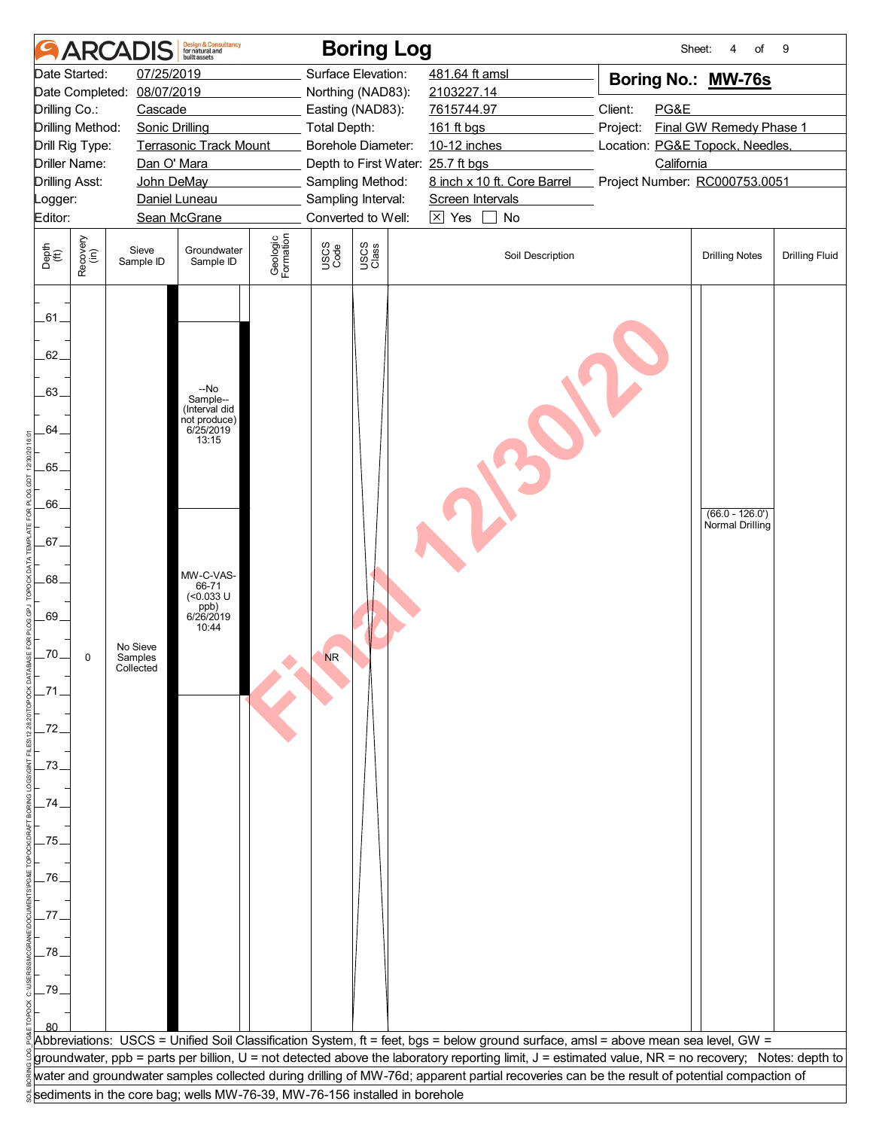| Surface Elevation:<br>Date Started:<br>07/25/2019<br>481.64 ft amsl<br>Boring No.: MW-76s<br>Date Completed:<br>08/07/2019<br>Northing (NAD83):<br>2103227.14<br>Client:<br>PG&E<br>Drilling Co.:<br>Easting (NAD83):<br>7615744.97<br>Cascade<br>Final GW Remedy Phase 1<br>Drilling Method:<br><b>Sonic Drilling</b><br><b>Total Depth:</b><br>161 ft bgs<br>Project:<br>Location: PG&E Topock, Needles,<br>Drill Rig Type:<br><b>Terrasonic Track Mount</b><br>Borehole Diameter:<br>10-12 inches<br><b>Driller Name:</b><br>Dan O' Mara<br>California<br>Depth to First Water: 25.7 ft bgs<br>Sampling Method:<br>8 inch x 10 ft. Core Barrel<br>Project Number: RC000753.0051<br><b>Drilling Asst:</b><br>John DeMay<br>Sampling Interval:<br>Daniel Luneau<br>Screen Intervals<br>Logger:<br>Converted to Well:<br>$\boxtimes$ Yes<br>Editor:<br>Sean McGrane<br>$\blacksquare$<br>No<br>Geologic<br>Formation<br>Recovery<br>(in)<br>USCS<br>Class<br>USCS<br>Code<br>Depth<br>$\widetilde{f(t)}$<br>Sieve<br>Groundwater<br>Soil Description<br><b>Drilling Notes</b><br><b>Drilling Fluid</b><br>Sample ID<br>Sample ID<br>$-61$<br>62.<br>--No<br>.63.<br>Sample--<br>(Interval did<br>not produce)<br>6/25/2019<br>64.<br>13:15<br>.65.<br>.66<br>$(66.0 - 126.0')$<br>Normal Drilling<br>$.67-$<br>MW-C-VAS-<br>.68.<br>66-71<br>$(<0.033$ U<br>ppb)<br>6/26/2019<br>.69.<br>10:44<br>No Sieve<br>$-70$<br><b>NR</b><br>0<br>Samples<br>Collected<br>_71<br>-72.<br>.73<br>74<br>.75.<br>$-76$<br>77.<br>.78<br>-79.<br>Abbreviations: USCS = Unified Soil Classification System, ft = feet, bgs = below ground surface, amsl = above mean sea level, GW =<br>groundwater, ppb = parts per billion, U = not detected above the laboratory reporting limit, J = estimated value, NR = no recovery; Notes: depth to<br>water and groundwater samples collected during drilling of MW-76d; apparent partial recoveries can be the result of potential compaction of<br>sediments in the core bag; wells MW-76-39, MW-76-156 installed in borehole |  | <b>ARCADIS</b> | <b>Design &amp; Consultancy</b><br>for natural and<br>huilt assets |  | <b>Boring Log</b> | Sheet: | 4<br>of | 9 |
|------------------------------------------------------------------------------------------------------------------------------------------------------------------------------------------------------------------------------------------------------------------------------------------------------------------------------------------------------------------------------------------------------------------------------------------------------------------------------------------------------------------------------------------------------------------------------------------------------------------------------------------------------------------------------------------------------------------------------------------------------------------------------------------------------------------------------------------------------------------------------------------------------------------------------------------------------------------------------------------------------------------------------------------------------------------------------------------------------------------------------------------------------------------------------------------------------------------------------------------------------------------------------------------------------------------------------------------------------------------------------------------------------------------------------------------------------------------------------------------------------------------------------------------------------------------------------------------------------------------------------------------------------------------------------------------------------------------------------------------------------------------------------------------------------------------------------------------------------------------------------------------------------------------------------------------------------------------------------------------------------------------------------------------------------------|--|----------------|--------------------------------------------------------------------|--|-------------------|--------|---------|---|
|                                                                                                                                                                                                                                                                                                                                                                                                                                                                                                                                                                                                                                                                                                                                                                                                                                                                                                                                                                                                                                                                                                                                                                                                                                                                                                                                                                                                                                                                                                                                                                                                                                                                                                                                                                                                                                                                                                                                                                                                                                                            |  |                |                                                                    |  |                   |        |         |   |
|                                                                                                                                                                                                                                                                                                                                                                                                                                                                                                                                                                                                                                                                                                                                                                                                                                                                                                                                                                                                                                                                                                                                                                                                                                                                                                                                                                                                                                                                                                                                                                                                                                                                                                                                                                                                                                                                                                                                                                                                                                                            |  |                |                                                                    |  |                   |        |         |   |
|                                                                                                                                                                                                                                                                                                                                                                                                                                                                                                                                                                                                                                                                                                                                                                                                                                                                                                                                                                                                                                                                                                                                                                                                                                                                                                                                                                                                                                                                                                                                                                                                                                                                                                                                                                                                                                                                                                                                                                                                                                                            |  |                |                                                                    |  |                   |        |         |   |
|                                                                                                                                                                                                                                                                                                                                                                                                                                                                                                                                                                                                                                                                                                                                                                                                                                                                                                                                                                                                                                                                                                                                                                                                                                                                                                                                                                                                                                                                                                                                                                                                                                                                                                                                                                                                                                                                                                                                                                                                                                                            |  |                |                                                                    |  |                   |        |         |   |
|                                                                                                                                                                                                                                                                                                                                                                                                                                                                                                                                                                                                                                                                                                                                                                                                                                                                                                                                                                                                                                                                                                                                                                                                                                                                                                                                                                                                                                                                                                                                                                                                                                                                                                                                                                                                                                                                                                                                                                                                                                                            |  |                |                                                                    |  |                   |        |         |   |
|                                                                                                                                                                                                                                                                                                                                                                                                                                                                                                                                                                                                                                                                                                                                                                                                                                                                                                                                                                                                                                                                                                                                                                                                                                                                                                                                                                                                                                                                                                                                                                                                                                                                                                                                                                                                                                                                                                                                                                                                                                                            |  |                |                                                                    |  |                   |        |         |   |
|                                                                                                                                                                                                                                                                                                                                                                                                                                                                                                                                                                                                                                                                                                                                                                                                                                                                                                                                                                                                                                                                                                                                                                                                                                                                                                                                                                                                                                                                                                                                                                                                                                                                                                                                                                                                                                                                                                                                                                                                                                                            |  |                |                                                                    |  |                   |        |         |   |
|                                                                                                                                                                                                                                                                                                                                                                                                                                                                                                                                                                                                                                                                                                                                                                                                                                                                                                                                                                                                                                                                                                                                                                                                                                                                                                                                                                                                                                                                                                                                                                                                                                                                                                                                                                                                                                                                                                                                                                                                                                                            |  |                |                                                                    |  |                   |        |         |   |
|                                                                                                                                                                                                                                                                                                                                                                                                                                                                                                                                                                                                                                                                                                                                                                                                                                                                                                                                                                                                                                                                                                                                                                                                                                                                                                                                                                                                                                                                                                                                                                                                                                                                                                                                                                                                                                                                                                                                                                                                                                                            |  |                |                                                                    |  |                   |        |         |   |
|                                                                                                                                                                                                                                                                                                                                                                                                                                                                                                                                                                                                                                                                                                                                                                                                                                                                                                                                                                                                                                                                                                                                                                                                                                                                                                                                                                                                                                                                                                                                                                                                                                                                                                                                                                                                                                                                                                                                                                                                                                                            |  |                |                                                                    |  |                   |        |         |   |
|                                                                                                                                                                                                                                                                                                                                                                                                                                                                                                                                                                                                                                                                                                                                                                                                                                                                                                                                                                                                                                                                                                                                                                                                                                                                                                                                                                                                                                                                                                                                                                                                                                                                                                                                                                                                                                                                                                                                                                                                                                                            |  |                |                                                                    |  |                   |        |         |   |
|                                                                                                                                                                                                                                                                                                                                                                                                                                                                                                                                                                                                                                                                                                                                                                                                                                                                                                                                                                                                                                                                                                                                                                                                                                                                                                                                                                                                                                                                                                                                                                                                                                                                                                                                                                                                                                                                                                                                                                                                                                                            |  |                |                                                                    |  |                   |        |         |   |
|                                                                                                                                                                                                                                                                                                                                                                                                                                                                                                                                                                                                                                                                                                                                                                                                                                                                                                                                                                                                                                                                                                                                                                                                                                                                                                                                                                                                                                                                                                                                                                                                                                                                                                                                                                                                                                                                                                                                                                                                                                                            |  |                |                                                                    |  |                   |        |         |   |
|                                                                                                                                                                                                                                                                                                                                                                                                                                                                                                                                                                                                                                                                                                                                                                                                                                                                                                                                                                                                                                                                                                                                                                                                                                                                                                                                                                                                                                                                                                                                                                                                                                                                                                                                                                                                                                                                                                                                                                                                                                                            |  |                |                                                                    |  |                   |        |         |   |
|                                                                                                                                                                                                                                                                                                                                                                                                                                                                                                                                                                                                                                                                                                                                                                                                                                                                                                                                                                                                                                                                                                                                                                                                                                                                                                                                                                                                                                                                                                                                                                                                                                                                                                                                                                                                                                                                                                                                                                                                                                                            |  |                |                                                                    |  |                   |        |         |   |
|                                                                                                                                                                                                                                                                                                                                                                                                                                                                                                                                                                                                                                                                                                                                                                                                                                                                                                                                                                                                                                                                                                                                                                                                                                                                                                                                                                                                                                                                                                                                                                                                                                                                                                                                                                                                                                                                                                                                                                                                                                                            |  |                |                                                                    |  |                   |        |         |   |
|                                                                                                                                                                                                                                                                                                                                                                                                                                                                                                                                                                                                                                                                                                                                                                                                                                                                                                                                                                                                                                                                                                                                                                                                                                                                                                                                                                                                                                                                                                                                                                                                                                                                                                                                                                                                                                                                                                                                                                                                                                                            |  |                |                                                                    |  |                   |        |         |   |
|                                                                                                                                                                                                                                                                                                                                                                                                                                                                                                                                                                                                                                                                                                                                                                                                                                                                                                                                                                                                                                                                                                                                                                                                                                                                                                                                                                                                                                                                                                                                                                                                                                                                                                                                                                                                                                                                                                                                                                                                                                                            |  |                |                                                                    |  |                   |        |         |   |
|                                                                                                                                                                                                                                                                                                                                                                                                                                                                                                                                                                                                                                                                                                                                                                                                                                                                                                                                                                                                                                                                                                                                                                                                                                                                                                                                                                                                                                                                                                                                                                                                                                                                                                                                                                                                                                                                                                                                                                                                                                                            |  |                |                                                                    |  |                   |        |         |   |
|                                                                                                                                                                                                                                                                                                                                                                                                                                                                                                                                                                                                                                                                                                                                                                                                                                                                                                                                                                                                                                                                                                                                                                                                                                                                                                                                                                                                                                                                                                                                                                                                                                                                                                                                                                                                                                                                                                                                                                                                                                                            |  |                |                                                                    |  |                   |        |         |   |
|                                                                                                                                                                                                                                                                                                                                                                                                                                                                                                                                                                                                                                                                                                                                                                                                                                                                                                                                                                                                                                                                                                                                                                                                                                                                                                                                                                                                                                                                                                                                                                                                                                                                                                                                                                                                                                                                                                                                                                                                                                                            |  |                |                                                                    |  |                   |        |         |   |
|                                                                                                                                                                                                                                                                                                                                                                                                                                                                                                                                                                                                                                                                                                                                                                                                                                                                                                                                                                                                                                                                                                                                                                                                                                                                                                                                                                                                                                                                                                                                                                                                                                                                                                                                                                                                                                                                                                                                                                                                                                                            |  |                |                                                                    |  |                   |        |         |   |
|                                                                                                                                                                                                                                                                                                                                                                                                                                                                                                                                                                                                                                                                                                                                                                                                                                                                                                                                                                                                                                                                                                                                                                                                                                                                                                                                                                                                                                                                                                                                                                                                                                                                                                                                                                                                                                                                                                                                                                                                                                                            |  |                |                                                                    |  |                   |        |         |   |
|                                                                                                                                                                                                                                                                                                                                                                                                                                                                                                                                                                                                                                                                                                                                                                                                                                                                                                                                                                                                                                                                                                                                                                                                                                                                                                                                                                                                                                                                                                                                                                                                                                                                                                                                                                                                                                                                                                                                                                                                                                                            |  |                |                                                                    |  |                   |        |         |   |
|                                                                                                                                                                                                                                                                                                                                                                                                                                                                                                                                                                                                                                                                                                                                                                                                                                                                                                                                                                                                                                                                                                                                                                                                                                                                                                                                                                                                                                                                                                                                                                                                                                                                                                                                                                                                                                                                                                                                                                                                                                                            |  |                |                                                                    |  |                   |        |         |   |
|                                                                                                                                                                                                                                                                                                                                                                                                                                                                                                                                                                                                                                                                                                                                                                                                                                                                                                                                                                                                                                                                                                                                                                                                                                                                                                                                                                                                                                                                                                                                                                                                                                                                                                                                                                                                                                                                                                                                                                                                                                                            |  |                |                                                                    |  |                   |        |         |   |
|                                                                                                                                                                                                                                                                                                                                                                                                                                                                                                                                                                                                                                                                                                                                                                                                                                                                                                                                                                                                                                                                                                                                                                                                                                                                                                                                                                                                                                                                                                                                                                                                                                                                                                                                                                                                                                                                                                                                                                                                                                                            |  |                |                                                                    |  |                   |        |         |   |
|                                                                                                                                                                                                                                                                                                                                                                                                                                                                                                                                                                                                                                                                                                                                                                                                                                                                                                                                                                                                                                                                                                                                                                                                                                                                                                                                                                                                                                                                                                                                                                                                                                                                                                                                                                                                                                                                                                                                                                                                                                                            |  |                |                                                                    |  |                   |        |         |   |
|                                                                                                                                                                                                                                                                                                                                                                                                                                                                                                                                                                                                                                                                                                                                                                                                                                                                                                                                                                                                                                                                                                                                                                                                                                                                                                                                                                                                                                                                                                                                                                                                                                                                                                                                                                                                                                                                                                                                                                                                                                                            |  |                |                                                                    |  |                   |        |         |   |
|                                                                                                                                                                                                                                                                                                                                                                                                                                                                                                                                                                                                                                                                                                                                                                                                                                                                                                                                                                                                                                                                                                                                                                                                                                                                                                                                                                                                                                                                                                                                                                                                                                                                                                                                                                                                                                                                                                                                                                                                                                                            |  |                |                                                                    |  |                   |        |         |   |
|                                                                                                                                                                                                                                                                                                                                                                                                                                                                                                                                                                                                                                                                                                                                                                                                                                                                                                                                                                                                                                                                                                                                                                                                                                                                                                                                                                                                                                                                                                                                                                                                                                                                                                                                                                                                                                                                                                                                                                                                                                                            |  |                |                                                                    |  |                   |        |         |   |
|                                                                                                                                                                                                                                                                                                                                                                                                                                                                                                                                                                                                                                                                                                                                                                                                                                                                                                                                                                                                                                                                                                                                                                                                                                                                                                                                                                                                                                                                                                                                                                                                                                                                                                                                                                                                                                                                                                                                                                                                                                                            |  |                |                                                                    |  |                   |        |         |   |
|                                                                                                                                                                                                                                                                                                                                                                                                                                                                                                                                                                                                                                                                                                                                                                                                                                                                                                                                                                                                                                                                                                                                                                                                                                                                                                                                                                                                                                                                                                                                                                                                                                                                                                                                                                                                                                                                                                                                                                                                                                                            |  |                |                                                                    |  |                   |        |         |   |
|                                                                                                                                                                                                                                                                                                                                                                                                                                                                                                                                                                                                                                                                                                                                                                                                                                                                                                                                                                                                                                                                                                                                                                                                                                                                                                                                                                                                                                                                                                                                                                                                                                                                                                                                                                                                                                                                                                                                                                                                                                                            |  |                |                                                                    |  |                   |        |         |   |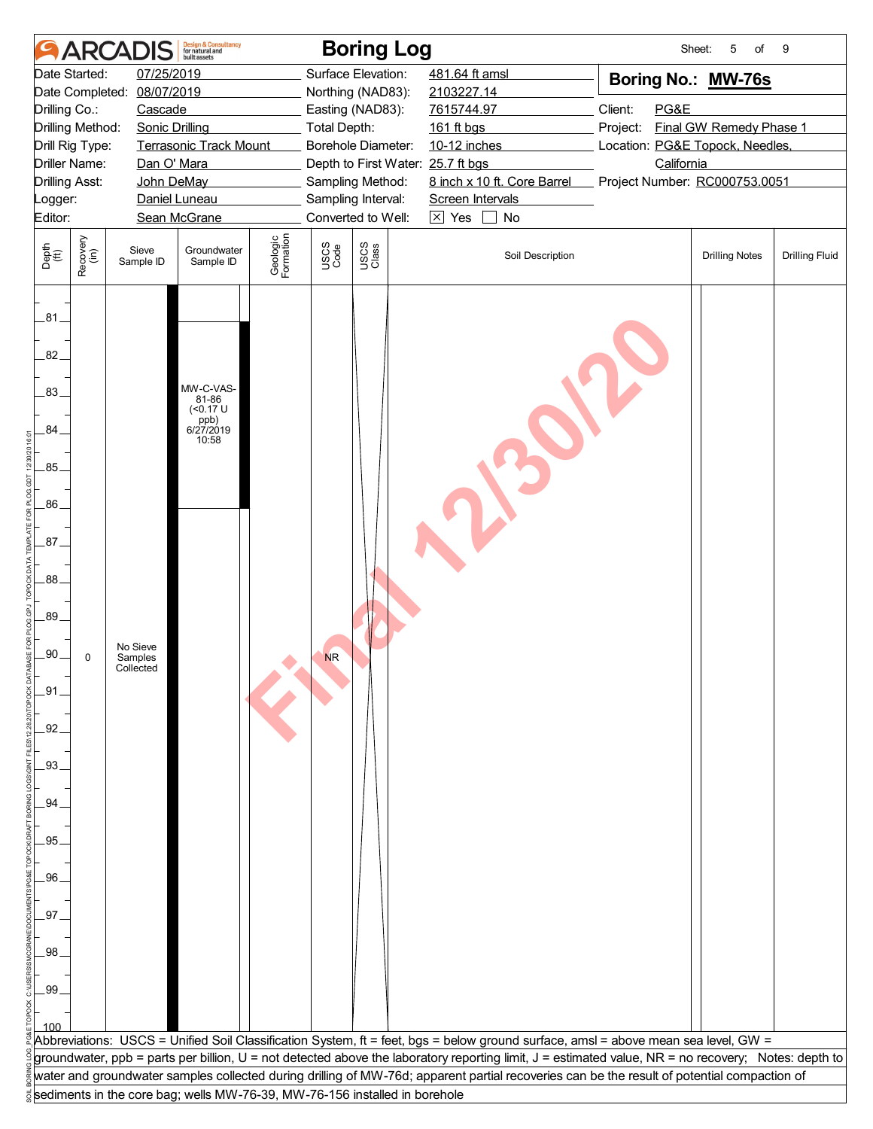|                             |                       | <b>ARCADIS</b>        | <b>Design &amp; Consultancy</b><br>for natural and<br>huilt assets         |                       |                     | <b>Boring Log</b>                      |                                                                                                                                                                                                                                                                                                    | Sheet:                          | 5<br>of                 | 9                     |
|-----------------------------|-----------------------|-----------------------|----------------------------------------------------------------------------|-----------------------|---------------------|----------------------------------------|----------------------------------------------------------------------------------------------------------------------------------------------------------------------------------------------------------------------------------------------------------------------------------------------------|---------------------------------|-------------------------|-----------------------|
|                             | Date Started:         | 07/25/2019            |                                                                            |                       |                     | Surface Elevation:                     | 481.64 ft amsl                                                                                                                                                                                                                                                                                     | Boring No.: MW-76s              |                         |                       |
|                             | Date Completed:       | 08/07/2019            |                                                                            |                       |                     | Northing (NAD83):                      | 2103227.14                                                                                                                                                                                                                                                                                         |                                 |                         |                       |
| Drilling Co.:               |                       | Cascade               |                                                                            |                       |                     | Easting (NAD83):                       | 7615744.97                                                                                                                                                                                                                                                                                         | Client:<br>PG&E                 |                         |                       |
|                             | Drilling Method:      | <b>Sonic Drilling</b> |                                                                            |                       | <b>Total Depth:</b> |                                        | 161 ft bgs                                                                                                                                                                                                                                                                                         | Project:                        | Final GW Remedy Phase 1 |                       |
|                             | Drill Rig Type:       |                       | <b>Terrasonic Track Mount</b>                                              |                       |                     | Borehole Diameter:                     | 10-12 inches                                                                                                                                                                                                                                                                                       | Location: PG&E Topock, Needles, |                         |                       |
|                             | <b>Driller Name:</b>  | Dan O' Mara           |                                                                            |                       |                     | Depth to First Water: 25.7 ft bgs      |                                                                                                                                                                                                                                                                                                    | California                      |                         |                       |
|                             | <b>Drilling Asst:</b> | John DeMay            | Daniel Luneau                                                              |                       |                     | Sampling Method:<br>Sampling Interval: | 8 inch x 10 ft. Core Barrel<br>Screen Intervals                                                                                                                                                                                                                                                    | Project Number: RC000753.0051   |                         |                       |
| Logger:<br>Editor:          |                       |                       | Sean McGrane                                                               |                       |                     | Converted to Well:                     | $\boxtimes$ Yes<br>No<br>$\blacksquare$                                                                                                                                                                                                                                                            |                                 |                         |                       |
|                             |                       |                       |                                                                            |                       |                     |                                        |                                                                                                                                                                                                                                                                                                    |                                 |                         |                       |
| Depth<br>$\widetilde{f(t)}$ | Recovery<br>(in)      | Sieve<br>Sample ID    | Groundwater<br>Sample ID                                                   | Geologic<br>Formation | USCS<br>Code        | USCS<br>Class                          | Soil Description                                                                                                                                                                                                                                                                                   |                                 | <b>Drilling Notes</b>   | <b>Drilling Fluid</b> |
| $-81$                       |                       |                       |                                                                            |                       |                     |                                        |                                                                                                                                                                                                                                                                                                    |                                 |                         |                       |
| 82.                         |                       |                       |                                                                            |                       |                     |                                        |                                                                                                                                                                                                                                                                                                    |                                 |                         |                       |
| .83.                        |                       |                       | MW-C-VAS-<br>81-86<br>$($ < 0.17 U                                         |                       |                     |                                        |                                                                                                                                                                                                                                                                                                    |                                 |                         |                       |
| 84.                         |                       |                       | ppb)<br>6/27/2019<br>10:58                                                 |                       |                     |                                        |                                                                                                                                                                                                                                                                                                    |                                 |                         |                       |
| .85                         |                       |                       |                                                                            |                       |                     |                                        |                                                                                                                                                                                                                                                                                                    |                                 |                         |                       |
| .86                         |                       |                       |                                                                            |                       |                     |                                        |                                                                                                                                                                                                                                                                                                    |                                 |                         |                       |
| $.87-$                      |                       |                       |                                                                            |                       |                     |                                        |                                                                                                                                                                                                                                                                                                    |                                 |                         |                       |
| 88.                         |                       |                       |                                                                            |                       |                     |                                        |                                                                                                                                                                                                                                                                                                    |                                 |                         |                       |
| .89.                        |                       | No Sieve              |                                                                            |                       |                     |                                        |                                                                                                                                                                                                                                                                                                    |                                 |                         |                       |
| .90 <sub>1</sub>            | 0                     | Samples<br>Collected  |                                                                            |                       | <b>NR</b>           |                                        |                                                                                                                                                                                                                                                                                                    |                                 |                         |                       |
| $-91$                       |                       |                       |                                                                            |                       |                     |                                        |                                                                                                                                                                                                                                                                                                    |                                 |                         |                       |
| .92.<br>$-93.$              |                       |                       |                                                                            |                       |                     |                                        |                                                                                                                                                                                                                                                                                                    |                                 |                         |                       |
| .94                         |                       |                       |                                                                            |                       |                     |                                        |                                                                                                                                                                                                                                                                                                    |                                 |                         |                       |
| .95.                        |                       |                       |                                                                            |                       |                     |                                        |                                                                                                                                                                                                                                                                                                    |                                 |                         |                       |
| .96.                        |                       |                       |                                                                            |                       |                     |                                        |                                                                                                                                                                                                                                                                                                    |                                 |                         |                       |
| .97.                        |                       |                       |                                                                            |                       |                     |                                        |                                                                                                                                                                                                                                                                                                    |                                 |                         |                       |
| .98.                        |                       |                       |                                                                            |                       |                     |                                        |                                                                                                                                                                                                                                                                                                    |                                 |                         |                       |
| .99.                        |                       |                       |                                                                            |                       |                     |                                        |                                                                                                                                                                                                                                                                                                    |                                 |                         |                       |
|                             |                       |                       |                                                                            |                       |                     |                                        |                                                                                                                                                                                                                                                                                                    |                                 |                         |                       |
|                             |                       |                       |                                                                            |                       |                     |                                        | Abbreviations: USCS = Unified Soil Classification System, ft = feet, bgs = below ground surface, amsl = above mean sea level, GW =                                                                                                                                                                 |                                 |                         |                       |
|                             |                       |                       |                                                                            |                       |                     |                                        | groundwater, ppb = parts per billion, U = not detected above the laboratory reporting limit, J = estimated value, NR = no recovery; Notes: depth to<br>water and groundwater samples collected during drilling of MW-76d; apparent partial recoveries can be the result of potential compaction of |                                 |                         |                       |
|                             |                       |                       | sediments in the core bag; wells MW-76-39, MW-76-156 installed in borehole |                       |                     |                                        |                                                                                                                                                                                                                                                                                                    |                                 |                         |                       |
|                             |                       |                       |                                                                            |                       |                     |                                        |                                                                                                                                                                                                                                                                                                    |                                 |                         |                       |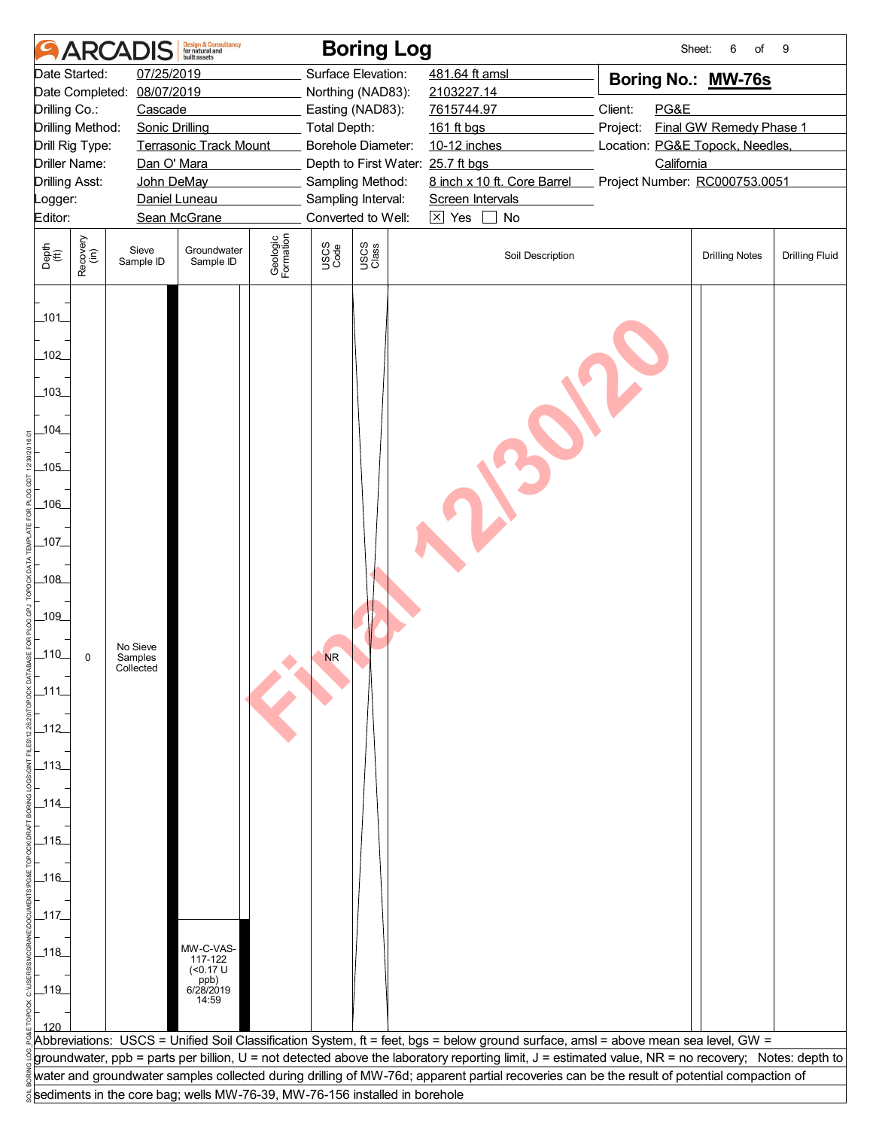|                                  |                      | <b>ARCADIS</b>                   | <b>Design &amp; Consultancy</b><br>for natural and<br><b>built</b> assets  |                       |                     | <b>Boring Log</b>                      |                                                                                                                                                     |          | Sheet:     | 6<br>of                         | 9                     |
|----------------------------------|----------------------|----------------------------------|----------------------------------------------------------------------------|-----------------------|---------------------|----------------------------------------|-----------------------------------------------------------------------------------------------------------------------------------------------------|----------|------------|---------------------------------|-----------------------|
|                                  | Date Started:        | 07/25/2019                       |                                                                            |                       |                     | Surface Elevation:                     | 481.64 ft amsl                                                                                                                                      |          |            | Boring No.: MW-76s              |                       |
|                                  | Date Completed:      | 08/07/2019                       |                                                                            |                       |                     | Northing (NAD83):                      | 2103227.14                                                                                                                                          |          |            |                                 |                       |
| Drilling Co.:                    |                      | Cascade                          |                                                                            |                       |                     | Easting (NAD83):                       | 7615744.97                                                                                                                                          | Client:  | PG&E       |                                 |                       |
|                                  | Drilling Method:     | <b>Sonic Drilling</b>            |                                                                            |                       | <b>Total Depth:</b> |                                        | 161 ft bgs                                                                                                                                          | Project: |            | Final GW Remedy Phase 1         |                       |
|                                  | Drill Rig Type:      |                                  | <b>Terrasonic Track Mount</b>                                              |                       |                     | Borehole Diameter:                     | 10-12 inches                                                                                                                                        |          |            | Location: PG&E Topock, Needles, |                       |
|                                  | <b>Driller Name:</b> | Dan O' Mara                      |                                                                            |                       |                     | Depth to First Water: 25.7 ft bgs      | 8 inch x 10 ft. Core Barrel                                                                                                                         |          | California |                                 |                       |
| <b>Drilling Asst:</b><br>Logger: |                      | John DeMay                       | Daniel Luneau                                                              |                       |                     | Sampling Method:<br>Sampling Interval: | Screen Intervals                                                                                                                                    |          |            | Project Number: RC000753.0051   |                       |
| Editor:                          |                      |                                  | Sean McGrane                                                               |                       |                     | Converted to Well:                     | $\boxtimes$ Yes<br>No<br>$\blacksquare$                                                                                                             |          |            |                                 |                       |
|                                  |                      |                                  |                                                                            |                       |                     |                                        |                                                                                                                                                     |          |            |                                 |                       |
| Depth<br>$\widetilde{f(t)}$      | Recovery<br>(in)     | Sieve<br>Sample ID               | Groundwater<br>Sample ID                                                   | Geologic<br>Formation | USCS<br>Code        | USCS<br>Class                          | Soil Description                                                                                                                                    |          |            | <b>Drilling Notes</b>           | <b>Drilling Fluid</b> |
| 101                              |                      |                                  |                                                                            |                       |                     |                                        |                                                                                                                                                     |          |            |                                 |                       |
| 102                              |                      |                                  |                                                                            |                       |                     |                                        |                                                                                                                                                     |          |            |                                 |                       |
| 103                              |                      |                                  |                                                                            |                       |                     |                                        |                                                                                                                                                     |          |            |                                 |                       |
| 104                              |                      |                                  |                                                                            |                       |                     |                                        |                                                                                                                                                     |          |            |                                 |                       |
| 105                              |                      |                                  |                                                                            |                       |                     |                                        |                                                                                                                                                     |          |            |                                 |                       |
| $-106$                           |                      |                                  |                                                                            |                       |                     |                                        |                                                                                                                                                     |          |            |                                 |                       |
| $-107$                           |                      |                                  |                                                                            |                       |                     |                                        |                                                                                                                                                     |          |            |                                 |                       |
| $-108$                           |                      |                                  |                                                                            |                       |                     |                                        |                                                                                                                                                     |          |            |                                 |                       |
| 109                              |                      |                                  |                                                                            |                       |                     |                                        |                                                                                                                                                     |          |            |                                 |                       |
| $110$                            | 0                    | No Sieve<br>Samples<br>Collected |                                                                            |                       | <b>NR</b>           |                                        |                                                                                                                                                     |          |            |                                 |                       |
| 111                              |                      |                                  |                                                                            |                       |                     |                                        |                                                                                                                                                     |          |            |                                 |                       |
| 112                              |                      |                                  |                                                                            |                       |                     |                                        |                                                                                                                                                     |          |            |                                 |                       |
| $\_113$                          |                      |                                  |                                                                            |                       |                     |                                        |                                                                                                                                                     |          |            |                                 |                       |
| _114_                            |                      |                                  |                                                                            |                       |                     |                                        |                                                                                                                                                     |          |            |                                 |                       |
| $\frac{115}{2}$                  |                      |                                  |                                                                            |                       |                     |                                        |                                                                                                                                                     |          |            |                                 |                       |
| $\_116$                          |                      |                                  |                                                                            |                       |                     |                                        |                                                                                                                                                     |          |            |                                 |                       |
| $-117$                           |                      |                                  |                                                                            |                       |                     |                                        |                                                                                                                                                     |          |            |                                 |                       |
| $\_118$                          |                      |                                  | MW-C-VAS-<br>$117 - 122$<br>(<0.17 U                                       |                       |                     |                                        |                                                                                                                                                     |          |            |                                 |                       |
| $-119$                           |                      |                                  | ppb)<br>6/28/2019<br>14:59                                                 |                       |                     |                                        |                                                                                                                                                     |          |            |                                 |                       |
|                                  |                      |                                  |                                                                            |                       |                     |                                        |                                                                                                                                                     |          |            |                                 |                       |
|                                  |                      |                                  |                                                                            |                       |                     |                                        | Abbreviations: USCS = Unified Soil Classification System, ft = feet, bgs = below ground surface, amsl = above mean sea level, GW =                  |          |            |                                 |                       |
|                                  |                      |                                  |                                                                            |                       |                     |                                        | groundwater, ppb = parts per billion, U = not detected above the laboratory reporting limit, J = estimated value, NR = no recovery; Notes: depth to |          |            |                                 |                       |
|                                  |                      |                                  |                                                                            |                       |                     |                                        | water and groundwater samples collected during drilling of MW-76d; apparent partial recoveries can be the result of potential compaction of         |          |            |                                 |                       |
|                                  |                      |                                  | sediments in the core bag; wells MW-76-39, MW-76-156 installed in borehole |                       |                     |                                        |                                                                                                                                                     |          |            |                                 |                       |
|                                  |                      |                                  |                                                                            |                       |                     |                                        |                                                                                                                                                     |          |            |                                 |                       |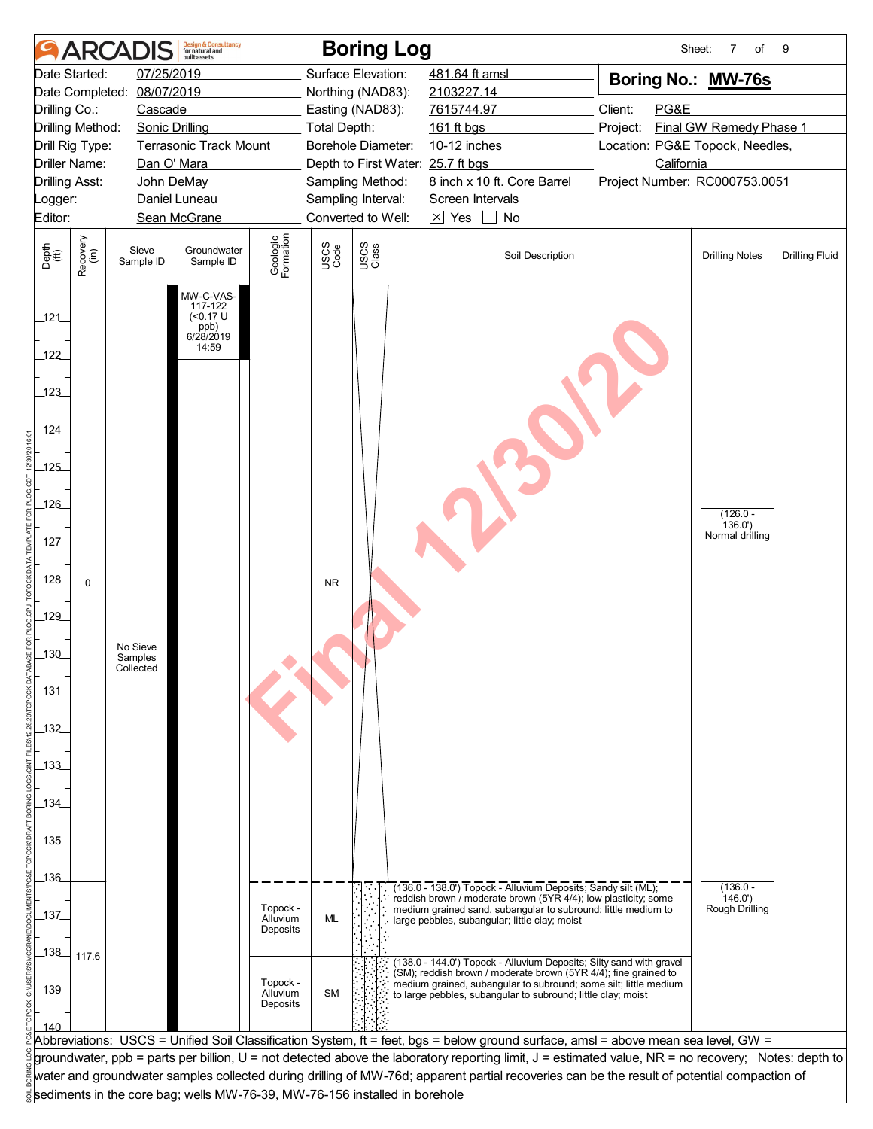|                             |                      | <b>ARCADIS</b>        | <b>Design &amp; Consultancy</b><br>for natural and<br><b>built</b> assets |                       |              | <b>Boring Log</b>                                                          |                                                                                                                                                     | Sheet:                          | $\overline{7}$<br>$\circ f$             | 9                     |
|-----------------------------|----------------------|-----------------------|---------------------------------------------------------------------------|-----------------------|--------------|----------------------------------------------------------------------------|-----------------------------------------------------------------------------------------------------------------------------------------------------|---------------------------------|-----------------------------------------|-----------------------|
|                             | Date Started:        | 07/25/2019            |                                                                           |                       |              | Surface Elevation:                                                         | 481.64 ft amsl                                                                                                                                      | Boring No.: MW-76s              |                                         |                       |
|                             | Date Completed:      | 08/07/2019            |                                                                           |                       |              | Northing (NAD83):                                                          | 2103227.14                                                                                                                                          |                                 |                                         |                       |
| Drilling Co.:               |                      | Cascade               |                                                                           |                       |              | Easting (NAD83):                                                           | 7615744.97                                                                                                                                          | Client:<br>PG&E                 |                                         |                       |
|                             | Drilling Method:     | <b>Sonic Drilling</b> |                                                                           |                       | Total Depth: |                                                                            | 161 ft bgs                                                                                                                                          | Project:                        | Final GW Remedy Phase 1                 |                       |
|                             | Drill Rig Type:      |                       | <b>Terrasonic Track Mount</b>                                             |                       |              | Borehole Diameter:                                                         | 10-12 inches                                                                                                                                        | Location: PG&E Topock, Needles, |                                         |                       |
|                             | <b>Driller Name:</b> | Dan O' Mara           |                                                                           |                       |              | Depth to First Water: 25.7 ft bgs                                          |                                                                                                                                                     | California                      |                                         |                       |
| <b>Drilling Asst:</b>       |                      | John DeMay            |                                                                           |                       |              | Sampling Method:                                                           | 8 inch x 10 ft. Core Barrel                                                                                                                         | Project Number: RC000753.0051   |                                         |                       |
| Logger:                     |                      |                       | Daniel Luneau                                                             |                       |              | Sampling Interval:                                                         | Screen Intervals                                                                                                                                    |                                 |                                         |                       |
| Editor:                     |                      |                       | Sean McGrane                                                              |                       |              | Converted to Well:                                                         | $\boxtimes$ Yes<br>No                                                                                                                               |                                 |                                         |                       |
| Depth<br>$\widetilde{f(t)}$ | Recovery<br>(in)     | Sieve<br>Sample ID    | Groundwater<br>Sample ID                                                  | Geologic<br>Formation | USCS<br>Code | USCS<br>Class                                                              | Soil Description                                                                                                                                    |                                 | <b>Drilling Notes</b>                   | <b>Drilling Fluid</b> |
| 121                         |                      |                       | MW-C-VAS-<br>117-122<br>$($ < 0.17 U<br>ppb)<br>6/28/2019                 |                       |              |                                                                            |                                                                                                                                                     |                                 |                                         |                       |
| 122                         |                      |                       | 14:59                                                                     |                       |              |                                                                            |                                                                                                                                                     |                                 |                                         |                       |
| 123                         |                      |                       |                                                                           |                       |              |                                                                            |                                                                                                                                                     |                                 |                                         |                       |
| 124                         |                      |                       |                                                                           |                       |              |                                                                            |                                                                                                                                                     |                                 |                                         |                       |
| 125                         |                      |                       |                                                                           |                       |              |                                                                            |                                                                                                                                                     |                                 |                                         |                       |
| $126$                       |                      |                       |                                                                           |                       |              |                                                                            |                                                                                                                                                     |                                 | $(126.0 -$<br>136.0'<br>Normal drilling |                       |
| $-127$                      |                      |                       |                                                                           |                       |              |                                                                            |                                                                                                                                                     |                                 |                                         |                       |
| $-128$<br>129               | $\mathbf 0$          |                       |                                                                           |                       | <b>NR</b>    |                                                                            |                                                                                                                                                     |                                 |                                         |                       |
| $-130$                      |                      | No Sieve              |                                                                           |                       |              |                                                                            |                                                                                                                                                     |                                 |                                         |                       |
| 131                         |                      | Samples<br>Collected  |                                                                           |                       |              |                                                                            |                                                                                                                                                     |                                 |                                         |                       |
| _132_                       |                      |                       |                                                                           |                       |              |                                                                            |                                                                                                                                                     |                                 |                                         |                       |
| $-133$                      |                      |                       |                                                                           |                       |              |                                                                            |                                                                                                                                                     |                                 |                                         |                       |
|                             |                      |                       |                                                                           |                       |              |                                                                            |                                                                                                                                                     |                                 |                                         |                       |
| 134                         |                      |                       |                                                                           |                       |              |                                                                            |                                                                                                                                                     |                                 |                                         |                       |
|                             |                      |                       |                                                                           |                       |              |                                                                            |                                                                                                                                                     |                                 |                                         |                       |
| 135                         |                      |                       |                                                                           |                       |              |                                                                            |                                                                                                                                                     |                                 |                                         |                       |
|                             |                      |                       |                                                                           |                       |              |                                                                            |                                                                                                                                                     |                                 |                                         |                       |
| $-136$                      |                      |                       |                                                                           |                       |              |                                                                            | (136.0 - 138.0') Topock - Alluvium Deposits; Sandy silt (ML);                                                                                       |                                 | $(136.0 -$                              |                       |
|                             |                      |                       |                                                                           | Topock -              |              |                                                                            | reddish brown / moderate brown (5YR 4/4); low plasticity; some<br>medium grained sand, subangular to subround; little medium to                     |                                 | 146.0'<br>Rough Drilling                |                       |
| 137                         |                      |                       |                                                                           | Alluvium<br>Deposits  | <b>ML</b>    |                                                                            | large pebbles, subangular; little clay; moist                                                                                                       |                                 |                                         |                       |
| 138                         | 117.6                |                       |                                                                           |                       |              |                                                                            |                                                                                                                                                     |                                 |                                         |                       |
|                             |                      |                       |                                                                           |                       |              |                                                                            | (138.0 - 144.0') Topock - Alluvium Deposits; Silty sand with gravel<br>(SM); reddish brown / moderate brown (5YR 4/4); fine grained to              |                                 |                                         |                       |
| $-139$                      |                      |                       |                                                                           | Topock -<br>Alluvium  | <b>SM</b>    |                                                                            | medium grained, subangular to subround; some silt; little medium<br>to large pebbles, subangular to subround; little clay; moist                    |                                 |                                         |                       |
|                             |                      |                       |                                                                           | Deposits              |              |                                                                            |                                                                                                                                                     |                                 |                                         |                       |
| 140                         |                      |                       |                                                                           |                       |              |                                                                            |                                                                                                                                                     |                                 |                                         |                       |
|                             |                      |                       |                                                                           |                       |              |                                                                            | Abbreviations: USCS = Unified Soil Classification System, ft = feet, bgs = below ground surface, amsl = above mean sea level, GW =                  |                                 |                                         |                       |
|                             |                      |                       |                                                                           |                       |              |                                                                            | groundwater, ppb = parts per billion, U = not detected above the laboratory reporting limit, J = estimated value, NR = no recovery; Notes: depth to |                                 |                                         |                       |
|                             |                      |                       |                                                                           |                       |              |                                                                            | water and groundwater samples collected during drilling of MW-76d; apparent partial recoveries can be the result of potential compaction of         |                                 |                                         |                       |
|                             |                      |                       |                                                                           |                       |              | sediments in the core bag; wells MW-76-39, MW-76-156 installed in borehole |                                                                                                                                                     |                                 |                                         |                       |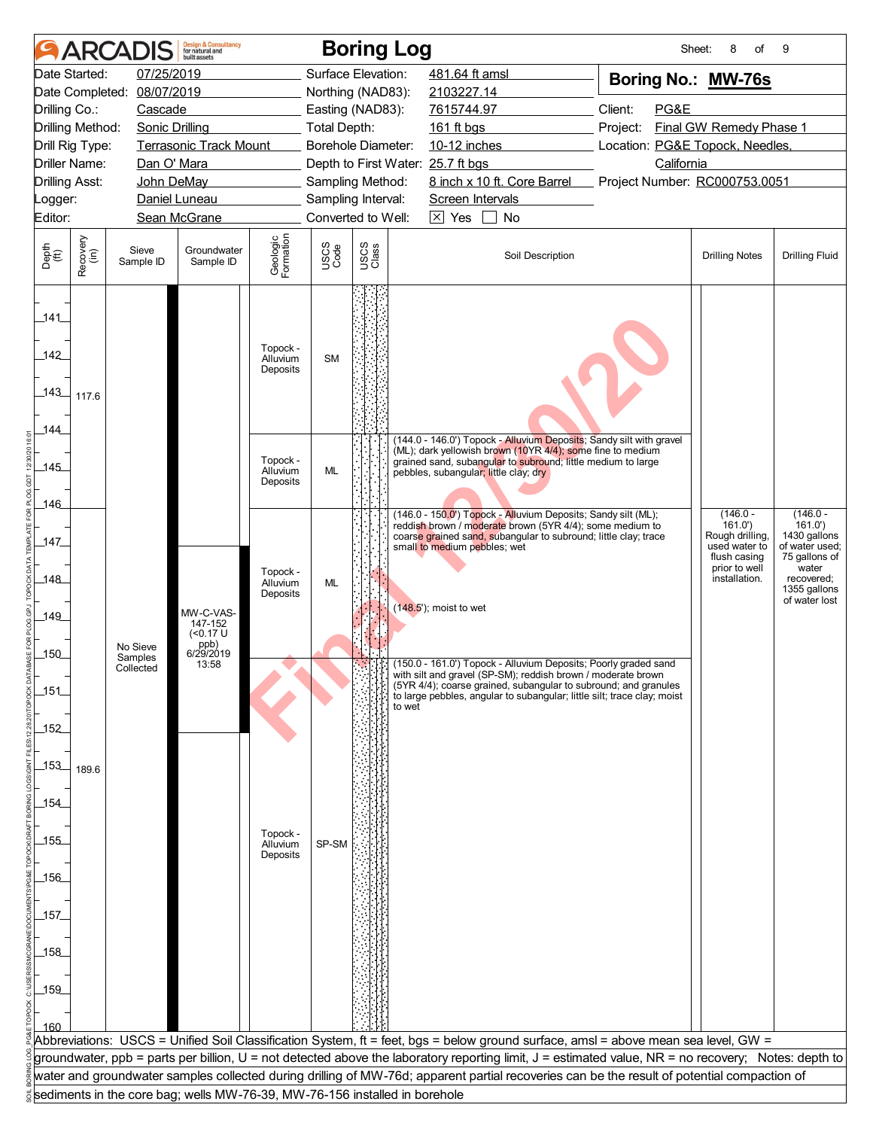|                                              |                       | <b>ARCADIS</b>       | <b>Design &amp; Consultancy</b><br>for natural and<br>huilt assets |                                  |                     | <b>Boring Log</b>                                                          |                                                                                                                                                     | Sheet:                          | 8<br>of                        | 9                               |
|----------------------------------------------|-----------------------|----------------------|--------------------------------------------------------------------|----------------------------------|---------------------|----------------------------------------------------------------------------|-----------------------------------------------------------------------------------------------------------------------------------------------------|---------------------------------|--------------------------------|---------------------------------|
|                                              | Date Started:         | 07/25/2019           |                                                                    |                                  |                     | Surface Elevation:                                                         | 481.64 ft amsl                                                                                                                                      | Boring No.: MW-76s              |                                |                                 |
| Date Completed: 08/07/2019                   |                       |                      |                                                                    |                                  |                     | Northing (NAD83):                                                          | 2103227.14                                                                                                                                          |                                 |                                |                                 |
|                                              | Drilling Co.:         | Cascade              |                                                                    |                                  |                     | Easting (NAD83):                                                           | 7615744.97                                                                                                                                          | Client:<br>PG&E                 |                                |                                 |
|                                              | Drilling Method:      | Sonic Drilling       |                                                                    |                                  | <b>Total Depth:</b> |                                                                            | 161 ft bgs                                                                                                                                          | Project:                        | Final GW Remedy Phase 1        |                                 |
|                                              | Drill Rig Type:       |                      | Terrasonic Track Mount                                             |                                  |                     | Borehole Diameter:                                                         | 10-12 inches                                                                                                                                        | Location: PG&E Topock, Needles, |                                |                                 |
|                                              | <b>Driller Name:</b>  | Dan O' Mara          |                                                                    |                                  |                     | Depth to First Water: 25.7 ft bgs                                          |                                                                                                                                                     | California                      |                                |                                 |
|                                              | <b>Drilling Asst:</b> | John DeMay           |                                                                    |                                  |                     | Sampling Method:                                                           | 8 inch x 10 ft. Core Barrel                                                                                                                         | Project Number: RC000753.0051   |                                |                                 |
| Logger:                                      |                       |                      | Daniel Luneau                                                      |                                  |                     | Sampling Interval:                                                         | Screen Intervals                                                                                                                                    |                                 |                                |                                 |
| Editor:                                      |                       |                      | Sean McGrane                                                       |                                  |                     | Converted to Well:                                                         | $\boxtimes$ Yes<br>$\blacksquare$<br>No                                                                                                             |                                 |                                |                                 |
|                                              |                       |                      |                                                                    |                                  |                     |                                                                            |                                                                                                                                                     |                                 |                                |                                 |
| Depth<br>$\overset{\text{fft}}{(\text{ft})}$ | Recovery<br>(in)      | Sieve<br>Sample ID   | Groundwater<br>Sample ID                                           | Geologic<br>Formation            | USCS<br>Code        | USCS<br>Class                                                              | Soil Description                                                                                                                                    |                                 | <b>Drilling Notes</b>          | <b>Drilling Fluid</b>           |
| 141<br>142                                   |                       |                      |                                                                    | Topock -<br>Alluvium<br>Deposits | <b>SM</b>           |                                                                            |                                                                                                                                                     |                                 |                                |                                 |
| 143<br>144                                   | 117.6                 |                      |                                                                    |                                  |                     |                                                                            |                                                                                                                                                     |                                 |                                |                                 |
|                                              |                       |                      |                                                                    |                                  |                     |                                                                            | (144.0 - 146.0') Topock - Alluvium Deposits; Sandy silt with gravel<br>(ML); dark yellowish brown (10YR 4/4); some fine to medium                   |                                 |                                |                                 |
| $-145$                                       |                       |                      |                                                                    | Topock -<br>Alluvium             | ML                  |                                                                            | grained sand, subangular to subround; little medium to large                                                                                        |                                 |                                |                                 |
|                                              |                       |                      |                                                                    | Deposits                         |                     |                                                                            | pebbles, subangular; little clay; dry                                                                                                               |                                 |                                |                                 |
| $-146$                                       |                       |                      |                                                                    |                                  |                     |                                                                            |                                                                                                                                                     |                                 |                                |                                 |
|                                              |                       |                      |                                                                    |                                  |                     |                                                                            | (146.0 - 150.0') Topock - Alluvium Deposits; Sandy silt (ML);<br>reddish brown / moderate brown (5YR 4/4); some medium to                           |                                 | $(146.0 -$<br>161.0'           | $(146.0 -$<br>161.0'            |
| 147                                          |                       |                      |                                                                    |                                  |                     |                                                                            | coarse grained sand, subangular to subround; little clay; trace                                                                                     |                                 | Rough drilling,                | 1430 gallons                    |
|                                              |                       |                      |                                                                    |                                  |                     |                                                                            | small to medium pebbles; wet                                                                                                                        |                                 | used water to<br>flush casing  | of water used;<br>75 gallons of |
| _148_                                        |                       |                      |                                                                    | Topock -                         |                     |                                                                            |                                                                                                                                                     |                                 | prior to well<br>installation. | water<br>recovered;             |
|                                              |                       |                      |                                                                    | Alluvium<br>Deposits             | ML                  |                                                                            |                                                                                                                                                     |                                 |                                | 1355 gallons                    |
|                                              |                       |                      | MW-C-VAS-                                                          |                                  |                     |                                                                            | $(148.5)$ ; moist to wet                                                                                                                            |                                 |                                | of water lost                   |
| 149_                                         |                       |                      | 147-152<br>$(0.17 \text{ U}$                                       |                                  |                     |                                                                            |                                                                                                                                                     |                                 |                                |                                 |
|                                              |                       | No Sieve             | ppb)                                                               |                                  |                     |                                                                            |                                                                                                                                                     |                                 |                                |                                 |
| $-150$                                       |                       | Samples<br>Collected | 6/29/2019<br>13:58                                                 |                                  |                     |                                                                            | [ [ ] [ ] [ ] (150.0 - 161.0') Topock - Alluvium Deposits; Poorly graded sand                                                                       |                                 |                                |                                 |
|                                              |                       |                      |                                                                    |                                  |                     |                                                                            | with silt and gravel (SP-SM); reddish brown / moderate brown<br>(5YR 4/4); coarse grained, subangular to subround; and granules                     |                                 |                                |                                 |
| 151                                          |                       |                      |                                                                    |                                  |                     |                                                                            | to large pebbles, angular to subangular; little silt; trace clay; moist                                                                             |                                 |                                |                                 |
|                                              |                       |                      |                                                                    |                                  |                     | to wet                                                                     |                                                                                                                                                     |                                 |                                |                                 |
| $-152$                                       |                       |                      |                                                                    |                                  |                     |                                                                            |                                                                                                                                                     |                                 |                                |                                 |
|                                              |                       |                      |                                                                    |                                  |                     |                                                                            |                                                                                                                                                     |                                 |                                |                                 |
| $-153$                                       | 189.6                 |                      |                                                                    |                                  |                     |                                                                            |                                                                                                                                                     |                                 |                                |                                 |
|                                              |                       |                      |                                                                    |                                  |                     |                                                                            |                                                                                                                                                     |                                 |                                |                                 |
| 154                                          |                       |                      |                                                                    |                                  |                     |                                                                            |                                                                                                                                                     |                                 |                                |                                 |
|                                              |                       |                      |                                                                    |                                  |                     |                                                                            |                                                                                                                                                     |                                 |                                |                                 |
| $-155$                                       |                       |                      |                                                                    | Topock -<br>Alluvium             | SP-SM               |                                                                            |                                                                                                                                                     |                                 |                                |                                 |
|                                              |                       |                      |                                                                    | Deposits                         |                     |                                                                            |                                                                                                                                                     |                                 |                                |                                 |
| $-156$                                       |                       |                      |                                                                    |                                  |                     |                                                                            |                                                                                                                                                     |                                 |                                |                                 |
|                                              |                       |                      |                                                                    |                                  |                     |                                                                            |                                                                                                                                                     |                                 |                                |                                 |
| 157                                          |                       |                      |                                                                    |                                  |                     |                                                                            |                                                                                                                                                     |                                 |                                |                                 |
|                                              |                       |                      |                                                                    |                                  |                     |                                                                            |                                                                                                                                                     |                                 |                                |                                 |
| 158                                          |                       |                      |                                                                    |                                  |                     |                                                                            |                                                                                                                                                     |                                 |                                |                                 |
|                                              |                       |                      |                                                                    |                                  |                     |                                                                            |                                                                                                                                                     |                                 |                                |                                 |
| 159                                          |                       |                      |                                                                    |                                  |                     |                                                                            |                                                                                                                                                     |                                 |                                |                                 |
|                                              |                       |                      |                                                                    |                                  |                     |                                                                            |                                                                                                                                                     |                                 |                                |                                 |
|                                              |                       |                      |                                                                    |                                  |                     |                                                                            |                                                                                                                                                     |                                 |                                |                                 |
|                                              |                       |                      |                                                                    |                                  |                     |                                                                            | Abbreviations: USCS = Unified Soil Classification System, ft = feet, bgs = below ground surface, amsl = above mean sea level, GW =                  |                                 |                                |                                 |
|                                              |                       |                      |                                                                    |                                  |                     |                                                                            | groundwater, ppb = parts per billion, U = not detected above the laboratory reporting limit, J = estimated value, NR = no recovery; Notes: depth to |                                 |                                |                                 |
|                                              |                       |                      |                                                                    |                                  |                     |                                                                            | water and groundwater samples collected during drilling of MW-76d; apparent partial recoveries can be the result of potential compaction of         |                                 |                                |                                 |
|                                              |                       |                      |                                                                    |                                  |                     | sediments in the core bag; wells MW-76-39, MW-76-156 installed in borehole |                                                                                                                                                     |                                 |                                |                                 |